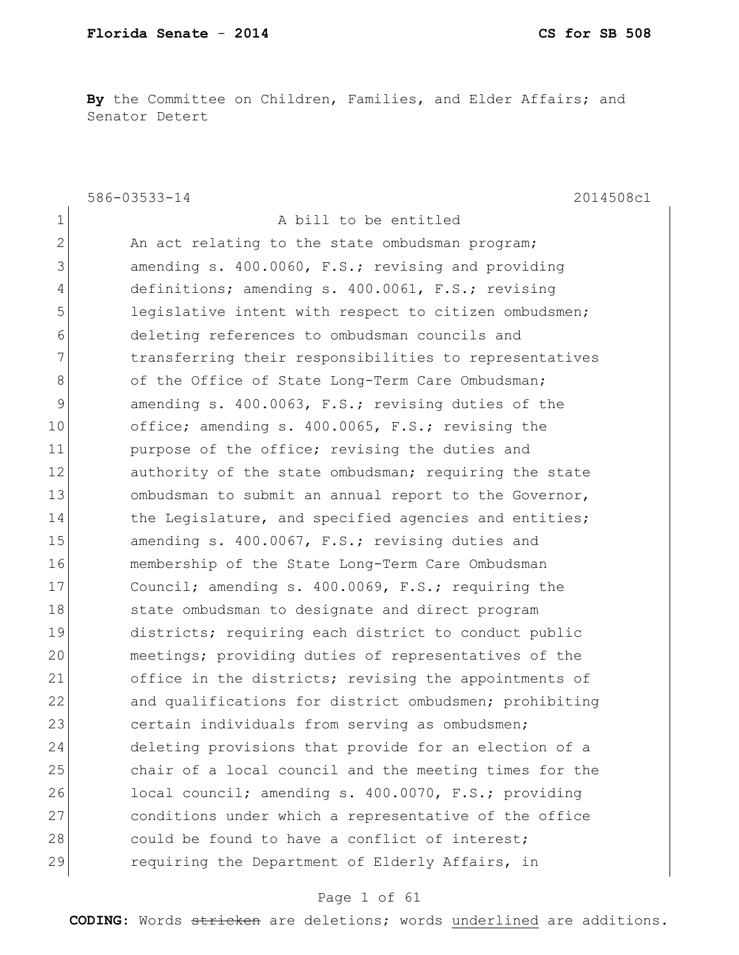**By** the Committee on Children, Families, and Elder Affairs; and Senator Detert

586-03533-14 2014508c1 1 a bill to be entitled 2 An act relating to the state ombudsman program; 3 amending s. 400.0060, F.S.; revising and providing 4 definitions; amending s. 400.0061, F.S.; revising 5 1eqislative intent with respect to citizen ombudsmen; 6 deleting references to ombudsman councils and 7 1 12 transferring their responsibilities to representatives 8 of the Office of State Long-Term Care Ombudsman; 9 amending s. 400.0063, F.S.; revising duties of the 10 office; amending s. 400.0065, F.S.; revising the 11 purpose of the office; revising the duties and 12 authority of the state ombudsman; requiring the state 13 ombudsman to submit an annual report to the Governor, 14 the Legislature, and specified agencies and entities; 15 amending s. 400.0067, F.S.; revising duties and 16 membership of the State Long-Term Care Ombudsman 17 Council; amending s. 400.0069, F.S.; requiring the 18 state ombudsman to designate and direct program 19 districts; requiring each district to conduct public 20 meetings; providing duties of representatives of the 21 office in the districts; revising the appointments of 22 and qualifications for district ombudsmen; prohibiting 23 certain individuals from serving as ombudsmen; 24 deleting provisions that provide for an election of a 25 chair of a local council and the meeting times for the 26 local council; amending s. 400.0070, F.S.; providing 27 conditions under which a representative of the office 28 could be found to have a conflict of interest; 29 requiring the Department of Elderly Affairs, in

#### Page 1 of 61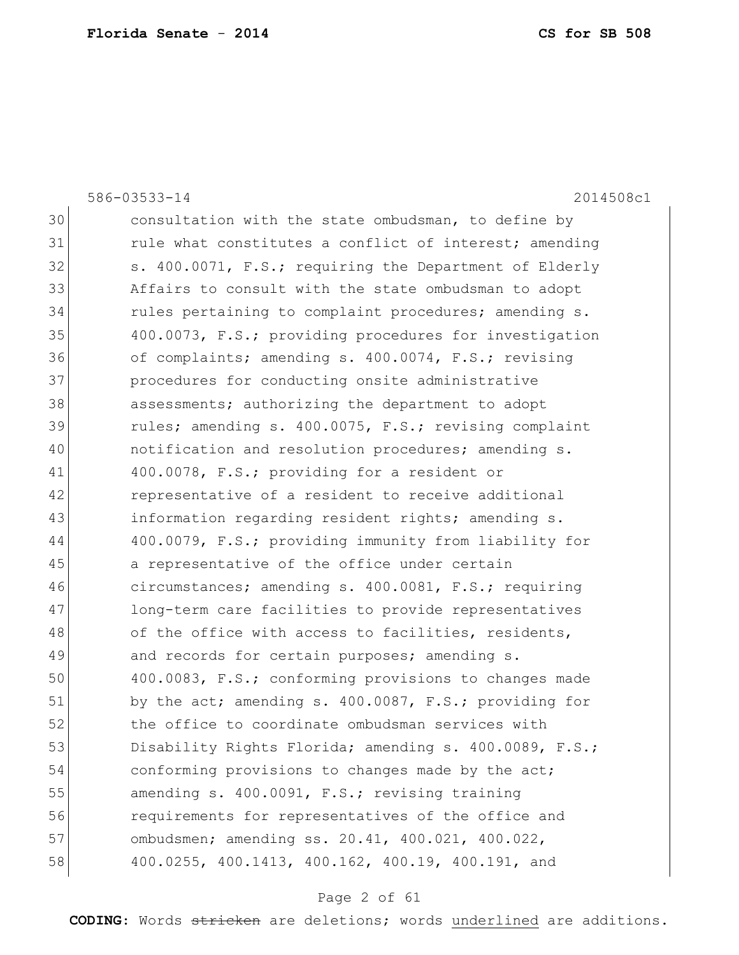|    | 2014508c1<br>586-03533-14                              |
|----|--------------------------------------------------------|
| 30 | consultation with the state ombudsman, to define by    |
| 31 | rule what constitutes a conflict of interest; amending |
| 32 | s. 400.0071, F.S.; requiring the Department of Elderly |
| 33 | Affairs to consult with the state ombudsman to adopt   |
| 34 | rules pertaining to complaint procedures; amending s.  |
| 35 | 400.0073, F.S.; providing procedures for investigation |
| 36 | of complaints; amending s. 400.0074, F.S.; revising    |
| 37 | procedures for conducting onsite administrative        |
| 38 | assessments; authorizing the department to adopt       |
| 39 | rules; amending s. 400.0075, F.S.; revising complaint  |
| 40 | notification and resolution procedures; amending s.    |
| 41 | 400.0078, F.S.; providing for a resident or            |
| 42 | representative of a resident to receive additional     |
| 43 | information regarding resident rights; amending s.     |
| 44 | 400.0079, F.S.; providing immunity from liability for  |
| 45 | a representative of the office under certain           |
| 46 | circumstances; amending s. 400.0081, F.S.; requiring   |
| 47 | long-term care facilities to provide representatives   |
| 48 | of the office with access to facilities, residents,    |
| 49 | and records for certain purposes; amending s.          |
| 50 | 400.0083, F.S.; conforming provisions to changes made  |
| 51 | by the act; amending s. 400.0087, F.S.; providing for  |
| 52 | the office to coordinate ombudsman services with       |
| 53 | Disability Rights Florida; amending s. 400.0089, F.S.; |
| 54 | conforming provisions to changes made by the act;      |
| 55 | amending s. 400.0091, F.S.; revising training          |
| 56 | requirements for representatives of the office and     |
| 57 | ombudsmen; amending ss. 20.41, 400.021, 400.022,       |
| 58 | 400.0255, 400.1413, 400.162, 400.19, 400.191, and      |

# Page 2 of 61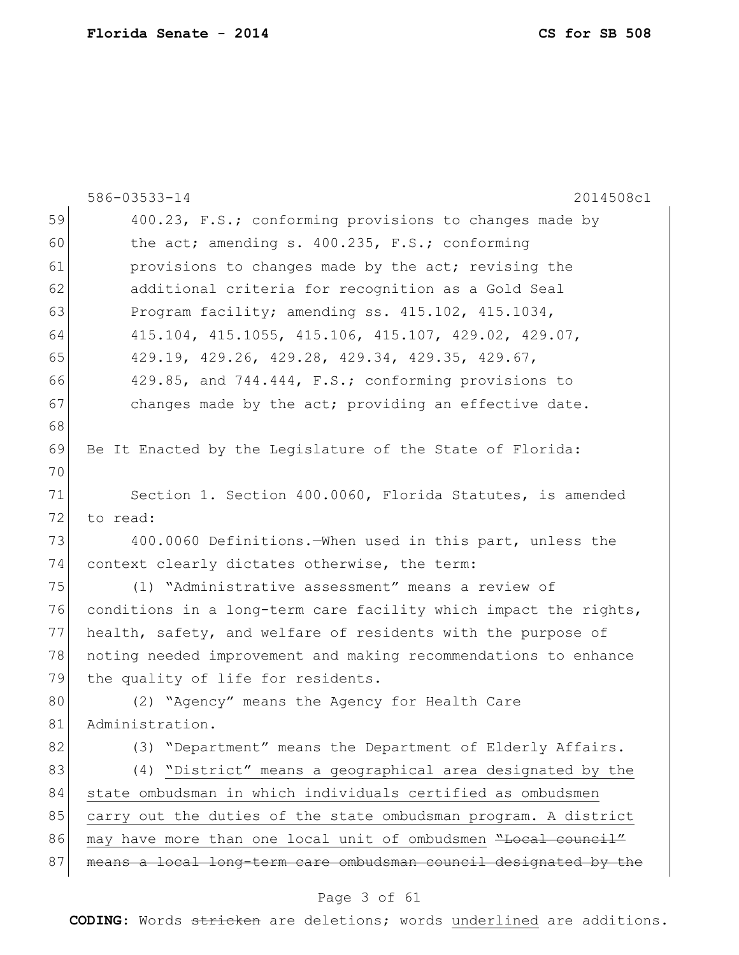|    | 586-03533-14<br>2014508c1                                        |
|----|------------------------------------------------------------------|
| 59 | 400.23, F.S.; conforming provisions to changes made by           |
| 60 | the act; amending s. 400.235, F.S.; conforming                   |
| 61 | provisions to changes made by the act; revising the              |
| 62 | additional criteria for recognition as a Gold Seal               |
| 63 | Program facility; amending ss. 415.102, 415.1034,                |
| 64 | 415.104, 415.1055, 415.106, 415.107, 429.02, 429.07,             |
| 65 | 429.19, 429.26, 429.28, 429.34, 429.35, 429.67,                  |
| 66 | 429.85, and 744.444, F.S.; conforming provisions to              |
| 67 | changes made by the act; providing an effective date.            |
| 68 |                                                                  |
| 69 | Be It Enacted by the Legislature of the State of Florida:        |
| 70 |                                                                  |
| 71 | Section 1. Section 400.0060, Florida Statutes, is amended        |
| 72 | to read:                                                         |
| 73 | 400.0060 Definitions. When used in this part, unless the         |
| 74 | context clearly dictates otherwise, the term:                    |
| 75 | (1) "Administrative assessment" means a review of                |
| 76 | conditions in a long-term care facility which impact the rights, |
| 77 | health, safety, and welfare of residents with the purpose of     |
| 78 | noting needed improvement and making recommendations to enhance  |
| 79 | the quality of life for residents.                               |
| 80 | (2) "Agency" means the Agency for Health Care                    |
| 81 | Administration.                                                  |
| 82 | (3) "Department" means the Department of Elderly Affairs.        |
| 83 | (4) "District" means a geographical area designated by the       |
| 84 | state ombudsman in which individuals certified as ombudsmen      |
| 85 | carry out the duties of the state ombudsman program. A district  |
| 86 | may have more than one local unit of ombudsmen "Local council"   |
| 87 | means a local long-term care ombudsman council designated by the |
|    | Page 3 of 61                                                     |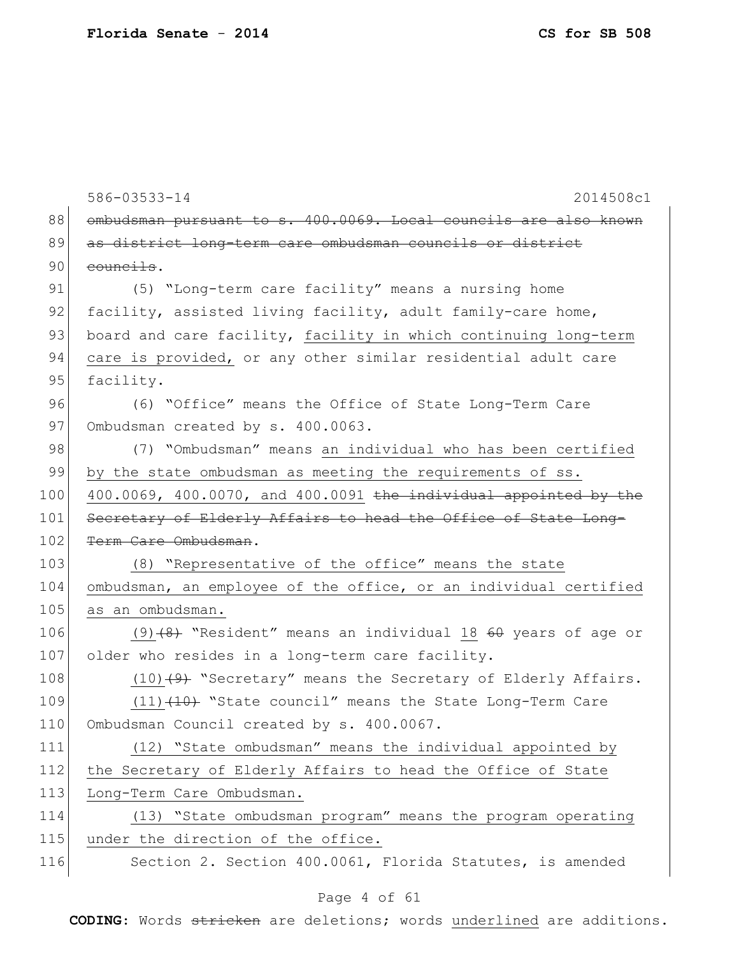586-03533-14 2014508c1 88 ombudsman pursuant to s. 400.0069. Local councils are also known 89 as district long-term care ombudsman councils or district 90 councils. 91 (5) "Long-term care facility" means a nursing home 92 facility, assisted living facility, adult family-care home, 93 board and care facility, facility in which continuing long-term 94 care is provided, or any other similar residential adult care 95 facility. 96 (6) "Office" means the Office of State Long-Term Care 97 Ombudsman created by s. 400.0063. 98 (7) "Ombudsman" means an individual who has been certified 99 by the state ombudsman as meeting the requirements of ss. 100 400.0069, 400.0070, and 400.0091 the individual appointed by the 101 Secretary of Elderly Affairs to head the Office of State Long-102 <del>Term Care Ombudsman</del>. 103 (8) "Representative of the office" means the state 104 ombudsman, an employee of the office, or an individual certified 105 as an ombudsman. 106 (9)<del>(8)</del> "Resident" means an individual 18 <del>60</del> years of age or 107 older who resides in a long-term care facility. 108  $(10)$   $(9)$  "Secretary" means the Secretary of Elderly Affairs. 109 (11) (10) "State council" means the State Long-Term Care 110 Ombudsman Council created by s. 400.0067. 111 (12) "State ombudsman" means the individual appointed by 112 the Secretary of Elderly Affairs to head the Office of State 113 Long-Term Care Ombudsman. 114 (13) "State ombudsman program" means the program operating 115 under the direction of the office. 116 Section 2. Section 400.0061, Florida Statutes, is amended

#### Page 4 of 61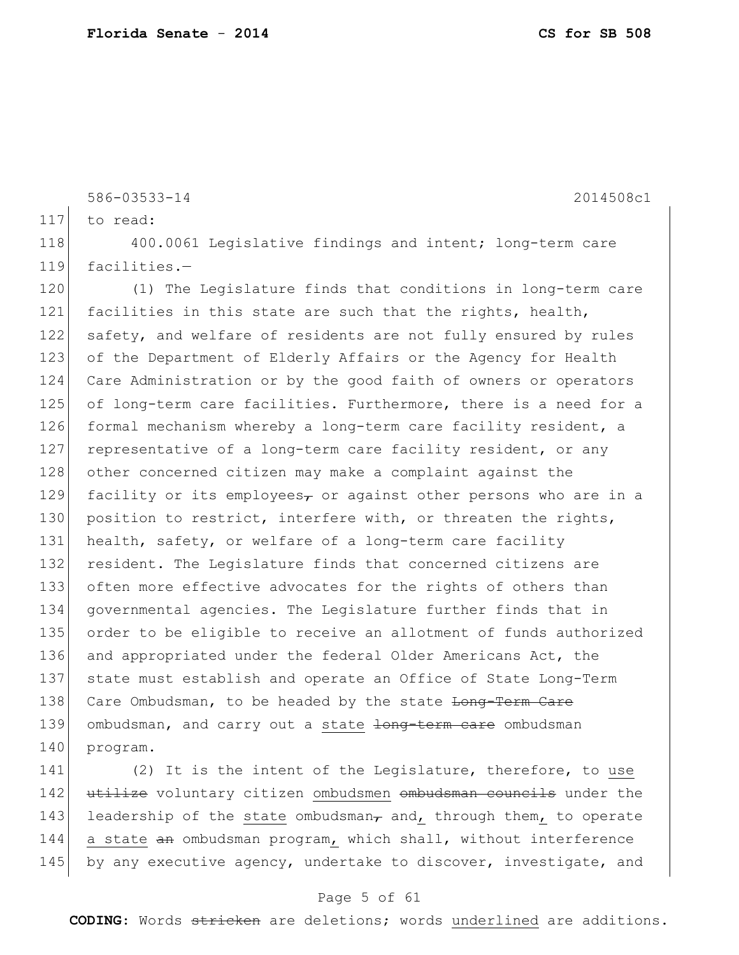117 to read: 118 400.0061 Legislative findings and intent; long-term care 119 facilities.-120 (1) The Legislature finds that conditions in long-term care 121 facilities in this state are such that the rights, health, 122 safety, and welfare of residents are not fully ensured by rules 123 of the Department of Elderly Affairs or the Agency for Health 124 Care Administration or by the good faith of owners or operators 125 of long-term care facilities. Furthermore, there is a need for a 126 formal mechanism whereby a long-term care facility resident, a 127 representative of a long-term care facility resident, or any 128 other concerned citizen may make a complaint against the 129 facility or its employees, or against other persons who are in a 130 position to restrict, interfere with, or threaten the rights, 131 health, safety, or welfare of a long-term care facility 132 resident. The Legislature finds that concerned citizens are 133 often more effective advocates for the rights of others than 134 governmental agencies. The Legislature further finds that in 135 order to be eligible to receive an allotment of funds authorized 136 and appropriated under the federal Older Americans Act, the 137 state must establish and operate an Office of State Long-Term 138 Care Ombudsman, to be headed by the state Long-Term Care 139 ombudsman, and carry out a state long term care ombudsman 140 program. 141 (2) It is the intent of the Legislature, therefore, to use

586-03533-14 2014508c1

142 utilize voluntary citizen ombudsmen ombudsman councils under the 143 leadership of the state ombudsman<sub> $\tau$ </sub> and, through them, to operate 144 a state an ombudsman program, which shall, without interference 145 by any executive agency, undertake to discover, investigate, and

#### Page 5 of 61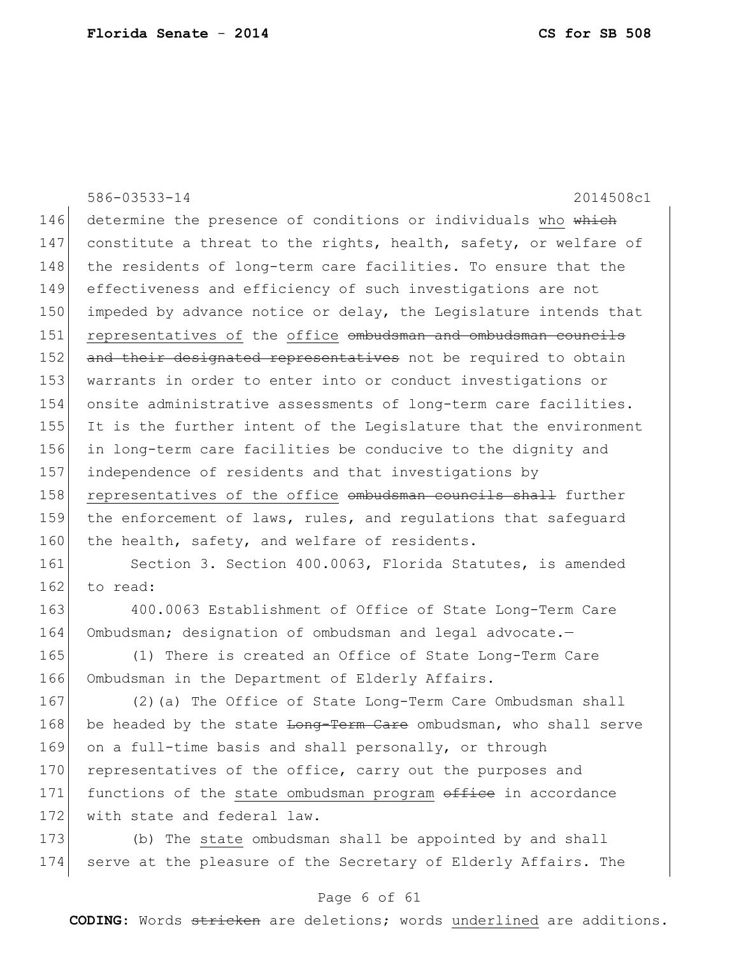|     | 586-03533-14<br>2014508c1                                        |
|-----|------------------------------------------------------------------|
| 146 | determine the presence of conditions or individuals who which    |
| 147 | constitute a threat to the rights, health, safety, or welfare of |
| 148 | the residents of long-term care facilities. To ensure that the   |
| 149 | effectiveness and efficiency of such investigations are not      |
| 150 | impeded by advance notice or delay, the Legislature intends that |
| 151 | representatives of the office ombudsman and ombudsman councils   |
| 152 | and their designated representatives not be required to obtain   |
| 153 | warrants in order to enter into or conduct investigations or     |
| 154 | onsite administrative assessments of long-term care facilities.  |
| 155 | It is the further intent of the Legislature that the environment |
| 156 | in long-term care facilities be conducive to the dignity and     |
| 157 | independence of residents and that investigations by             |
| 158 | representatives of the office ombudsman councils shall further   |
| 159 | the enforcement of laws, rules, and regulations that safeguard   |
| 160 | the health, safety, and welfare of residents.                    |
| 161 | Section 3. Section 400.0063, Florida Statutes, is amended        |
| 162 | to read:                                                         |
| 163 | 400.0063 Establishment of Office of State Long-Term Care         |
| 164 | Ombudsman; designation of ombudsman and legal advocate.-         |
| 165 | (1) There is created an Office of State Long-Term Care           |
| 166 | Ombudsman in the Department of Elderly Affairs.                  |
| 167 | (2) (a) The Office of State Long-Term Care Ombudsman shall       |
| 168 | be headed by the state Long-Term Care ombudsman, who shall serve |
| 169 | on a full-time basis and shall personally, or through            |
| 170 | representatives of the office, carry out the purposes and        |
| 171 | functions of the state ombudsman program office in accordance    |
| 172 | with state and federal law.                                      |
| 173 | (b) The state ombudsman shall be appointed by and shall          |

## Page 6 of 61

174 serve at the pleasure of the Secretary of Elderly Affairs. The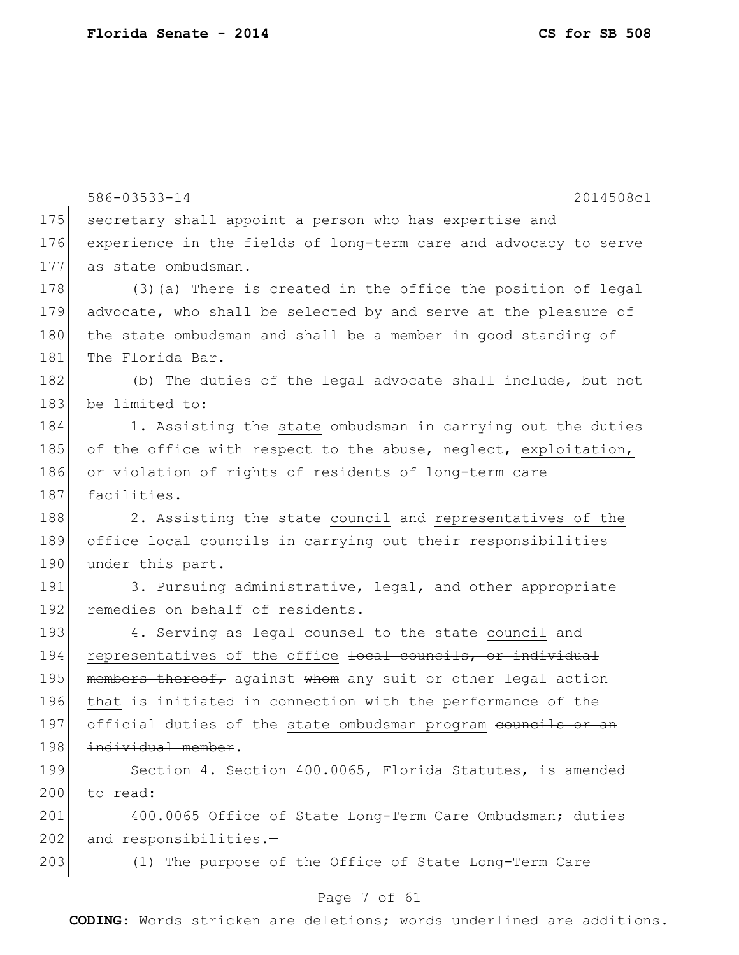586-03533-14 2014508c1 175 secretary shall appoint a person who has expertise and 176 experience in the fields of long-term care and advocacy to serve 177 as state ombudsman. 178 (3) (a) There is created in the office the position of legal 179 advocate, who shall be selected by and serve at the pleasure of 180 the state ombudsman and shall be a member in good standing of 181 The Florida Bar. 182 (b) The duties of the legal advocate shall include, but not 183 be limited to: 184 1. Assisting the state ombudsman in carrying out the duties 185 of the office with respect to the abuse, neglect, exploitation, 186 or violation of rights of residents of long-term care 187 facilities. 188 2. Assisting the state council and representatives of the 189 office Hocal councils in carrying out their responsibilities 190 under this part. 191 3. Pursuing administrative, legal, and other appropriate 192 remedies on behalf of residents. 193 4. Serving as legal counsel to the state council and 194 representatives of the office local councils, or individual 195 members thereof, against whom any suit or other legal action 196 that is initiated in connection with the performance of the 197 official duties of the state ombudsman program councils or an 198 individual member. 199 Section 4. Section 400.0065, Florida Statutes, is amended 200 to read: 201 400.0065 Office of State Long-Term Care Ombudsman; duties  $202$  and responsibilities.-203 (1) The purpose of the Office of State Long-Term Care

### Page 7 of 61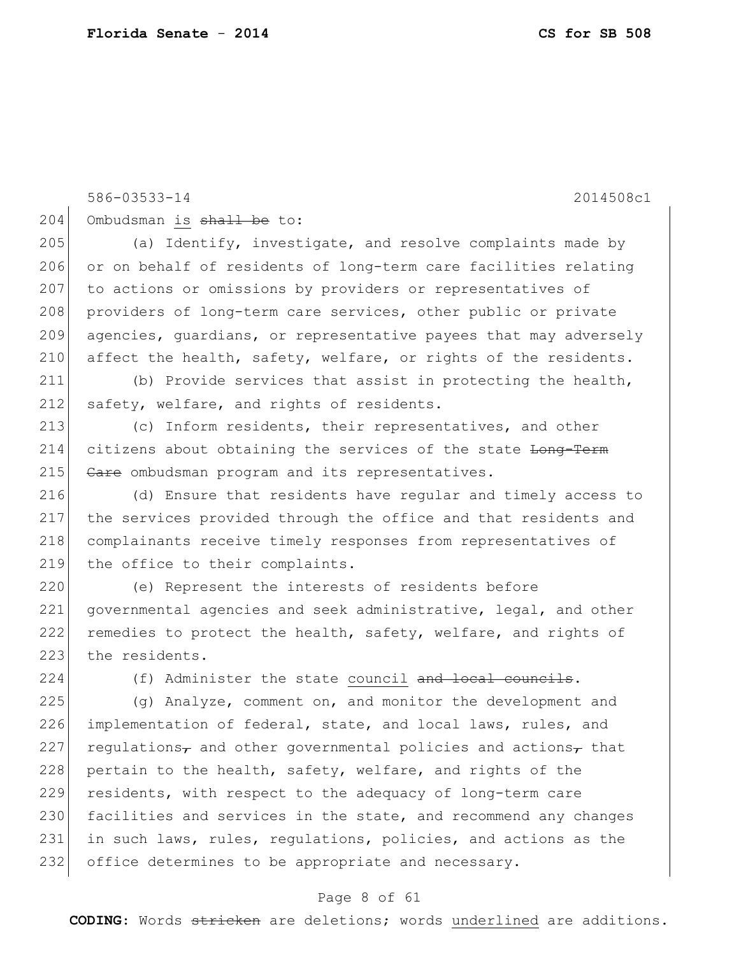586-03533-14 2014508c1 204 Ombudsman is shall be to: 205 (a) Identify, investigate, and resolve complaints made by 206 or on behalf of residents of long-term care facilities relating 207 to actions or omissions by providers or representatives of 208 providers of long-term care services, other public or private 209 agencies, guardians, or representative payees that may adversely 210 affect the health, safety, welfare, or rights of the residents. 211 (b) Provide services that assist in protecting the health, 212 safety, welfare, and rights of residents. 213 (c) Inform residents, their representatives, and other 214 citizens about obtaining the services of the state <del>Long-Term</del> 215 Gare ombudsman program and its representatives. 216 (d) Ensure that residents have regular and timely access to 217 the services provided through the office and that residents and 218 complainants receive timely responses from representatives of 219 the office to their complaints. 220 (e) Represent the interests of residents before 221 governmental agencies and seek administrative, legal, and other 222 remedies to protect the health, safety, welfare, and rights of 223 the residents.  $224$  (f) Administer the state council and local councils. 225 (g) Analyze, comment on, and monitor the development and 226 implementation of federal, state, and local laws, rules, and 227 regulations<sub>7</sub> and other governmental policies and actions<sub>7</sub> that 228 pertain to the health, safety, welfare, and rights of the 229 residents, with respect to the adequacy of long-term care

230 facilities and services in the state, and recommend any changes 231 in such laws, rules, regulations, policies, and actions as the 232 office determines to be appropriate and necessary.

#### Page 8 of 61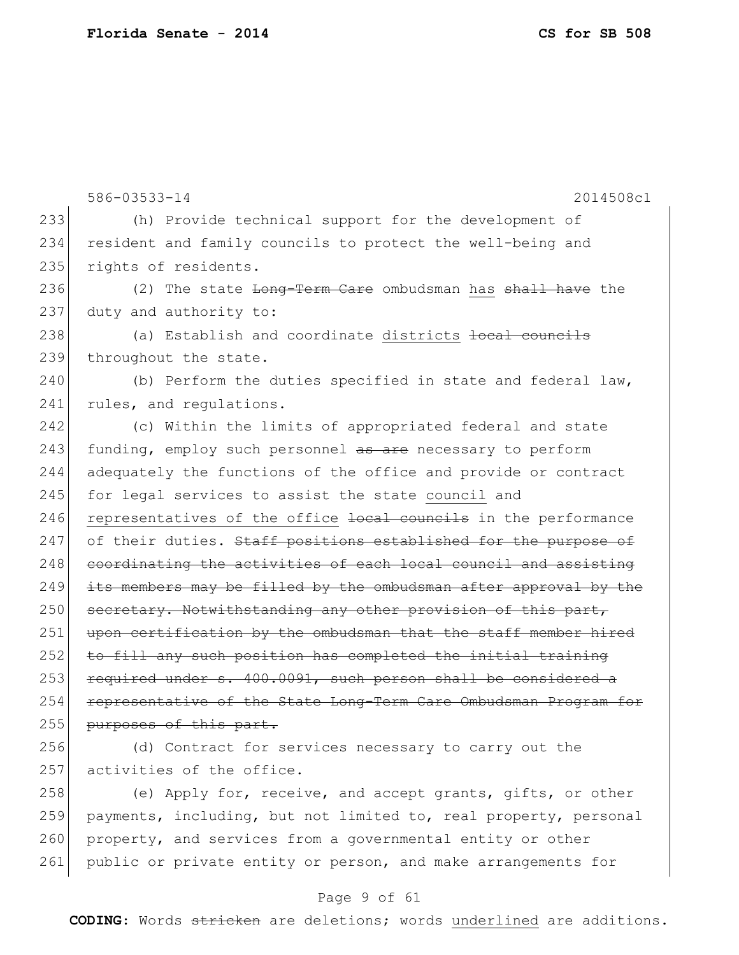586-03533-14 2014508c1 233 (h) Provide technical support for the development of 234 resident and family councils to protect the well-being and 235 rights of residents. 236 (2) The state <del>Long-Term Care</del> ombudsman has <del>shall have</del> the 237 duty and authority to: 238 (a) Establish and coordinate districts <del>local councils</del> 239 throughout the state. 240 (b) Perform the duties specified in state and federal law, 241 rules, and requiations. 242 (c) Within the limits of appropriated federal and state 243 funding, employ such personnel as are necessary to perform 244 adequately the functions of the office and provide or contract 245 for legal services to assist the state council and 246 representatives of the office local councils in the performance  $247$  of their duties. Staff positions established for the purpose of 248 coordinating the activities of each local council and assisting  $249$  its members may be filled by the ombudsman after approval by the 250 secretary. Notwithstanding any other provision of this part, 251 upon certification by the ombudsman that the staff member hired 252 to fill any such position has completed the initial training 253 required under s. 400.0091, such person shall be considered a 254 representative of the State Long-Term Care Ombudsman Program for 255 purposes of this part. 256 (d) Contract for services necessary to carry out the 257 activities of the office. 258 (e) Apply for, receive, and accept grants, gifts, or other 259 payments, including, but not limited to, real property, personal

260 property, and services from a governmental entity or other 261 public or private entity or person, and make arrangements for

### Page 9 of 61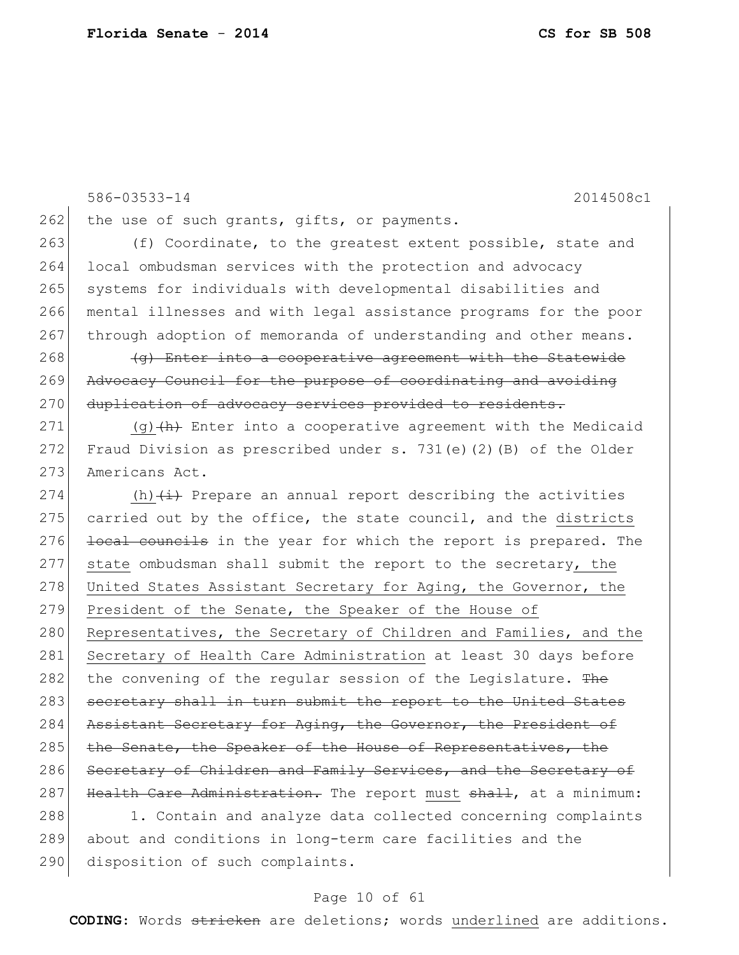586-03533-14 2014508c1 262 the use of such grants, gifts, or payments. 263 (f) Coordinate, to the greatest extent possible, state and 264 local ombudsman services with the protection and advocacy 265 systems for individuals with developmental disabilities and 266 mental illnesses and with legal assistance programs for the poor 267 through adoption of memoranda of understanding and other means.  $268$  (g) Enter into a cooperative agreement with the Statewide 269 Advocacy Council for the purpose of coordinating and avoiding 270 duplication of advocacy services provided to residents. 271 (g)  $\left(\frac{h}{h}\right)$  Enter into a cooperative agreement with the Medicaid 272 Fraud Division as prescribed under s. 731(e)(2)(B) of the Older 273 Americans Act. 274  $(h)$   $(i)$  Prepare an annual report describing the activities 275 carried out by the office, the state council, and the districts 276 local councils in the year for which the report is prepared. The 277 state ombudsman shall submit the report to the secretary, the 278 United States Assistant Secretary for Aging, the Governor, the 279 President of the Senate, the Speaker of the House of 280 Representatives, the Secretary of Children and Families, and the 281 Secretary of Health Care Administration at least 30 days before 282 the convening of the regular session of the Legislature. The 283 secretary shall in turn submit the report to the United States 284 Assistant Secretary for Aging, the Governor, the President of 285 the Senate, the Speaker of the House of Representatives, the 286 Secretary of Children and Family Services, and the Secretary of 287 Health Care Administration. The report must shall, at a minimum: 288 1. Contain and analyze data collected concerning complaints

289 about and conditions in long-term care facilities and the

## 290 disposition of such complaints.

#### Page 10 of 61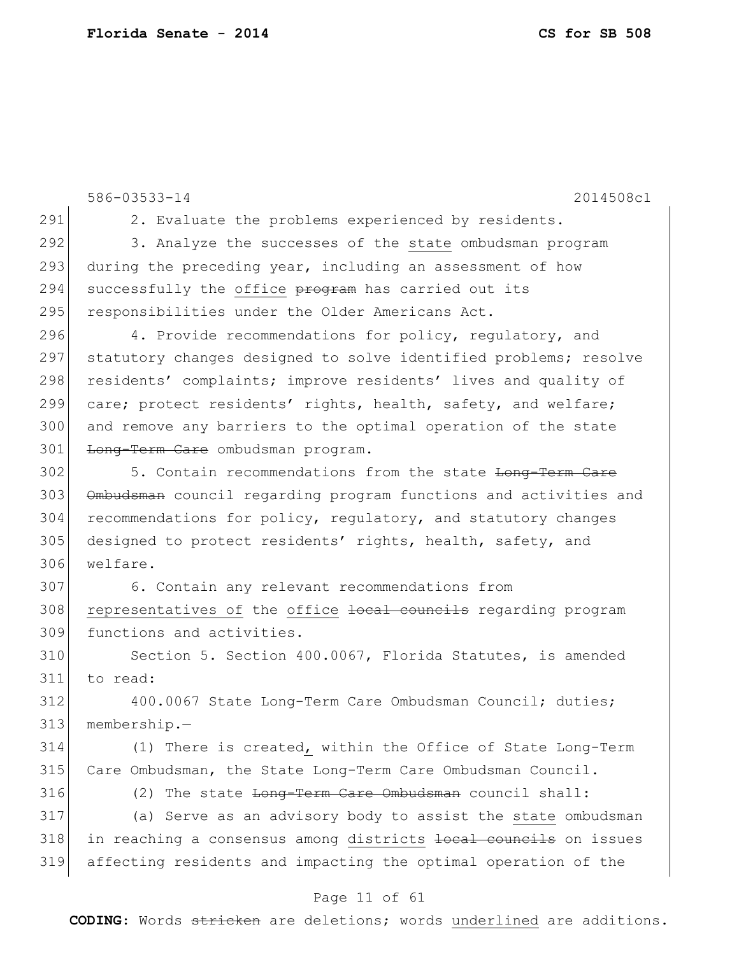586-03533-14 2014508c1 291 2. Evaluate the problems experienced by residents. 292 3. Analyze the successes of the state ombudsman program 293 during the preceding year, including an assessment of how 294 successfully the office program has carried out its 295 responsibilities under the Older Americans Act. 296 4. Provide recommendations for policy, requlatory, and 297 statutory changes designed to solve identified problems; resolve 298 residents' complaints; improve residents' lives and quality of 299 care; protect residents' rights, health, safety, and welfare; 300 and remove any barriers to the optimal operation of the state 301 Long-Term Care ombudsman program. 302 5. Contain recommendations from the state Long-Term Care 303 Ombudsman council regarding program functions and activities and 304 recommendations for policy, regulatory, and statutory changes 305 designed to protect residents' rights, health, safety, and 306 welfare. 307 6. Contain any relevant recommendations from 308 representatives of the office local councils regarding program 309 functions and activities. 310 Section 5. Section 400.0067, Florida Statutes, is amended 311 to read: 312 400.0067 State Long-Term Care Ombudsman Council; duties; 313 membership.— 314 (1) There is created, within the Office of State Long-Term 315 Care Ombudsman, the State Long-Term Care Ombudsman Council. 316 (2) The state <del>Long-Term Care Ombudsman</del> council shall: 317 (a) Serve as an advisory body to assist the state ombudsman 318 in reaching a consensus among districts <del>local councils</del> on issues 319 affecting residents and impacting the optimal operation of the

#### Page 11 of 61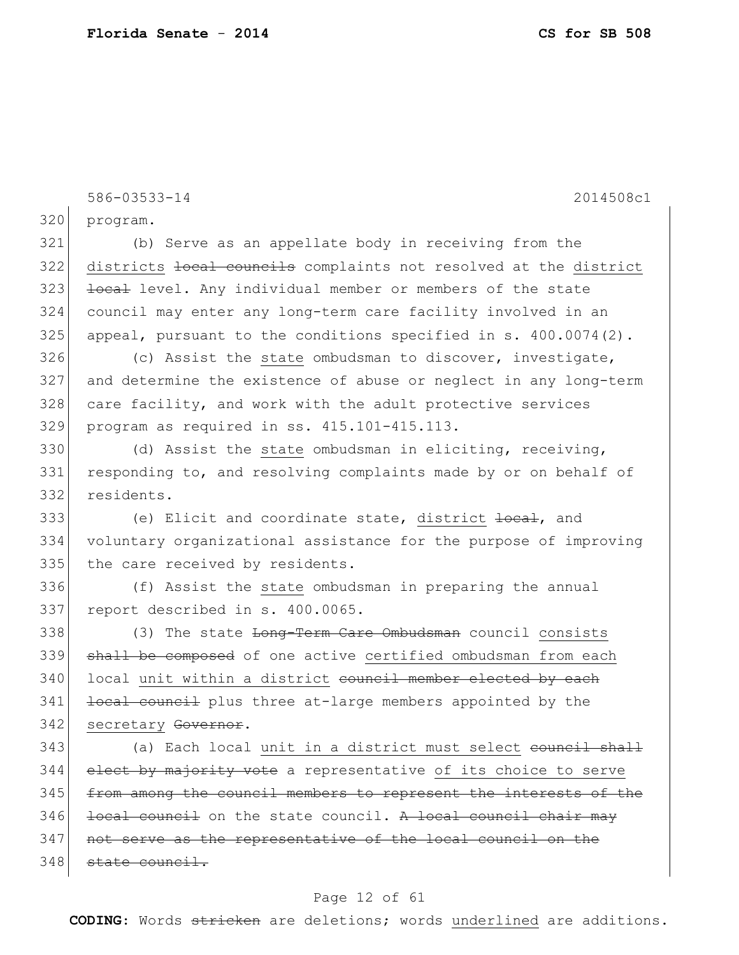586-03533-14 2014508c1 320 program. 321 (b) Serve as an appellate body in receiving from the 322 districts local councils complaints not resolved at the district 323 local level. Any individual member or members of the state 324 council may enter any long-term care facility involved in an  $325$  appeal, pursuant to the conditions specified in s.  $400.0074(2)$ . 326 (c) Assist the state ombudsman to discover, investigate, 327 and determine the existence of abuse or neglect in any long-term 328 care facility, and work with the adult protective services 329 program as required in ss. 415.101-415.113. 330 (d) Assist the state ombudsman in eliciting, receiving, 331 responding to, and resolving complaints made by or on behalf of 332 residents. 333 (e) Elicit and coordinate state, district local, and 334 voluntary organizational assistance for the purpose of improving 335 the care received by residents. 336 (f) Assist the state ombudsman in preparing the annual 337 report described in s. 400.0065. 338 (3) The state Long-Term Care Ombudsman council consists 339 shall be composed of one active certified ombudsman from each 340 local unit within a district council member elected by each 341 <del>local council</del> plus three at-large members appointed by the 342 secretary Governor. 343 (a) Each local unit in a district must select council shall 344 elect by majority vote a representative of its choice to serve 345 from among the council members to represent the interests of the  $346$  local council on the state council. A local council chair may 347 not serve as the representative of the local council on the 348 state council.

### Page 12 of 61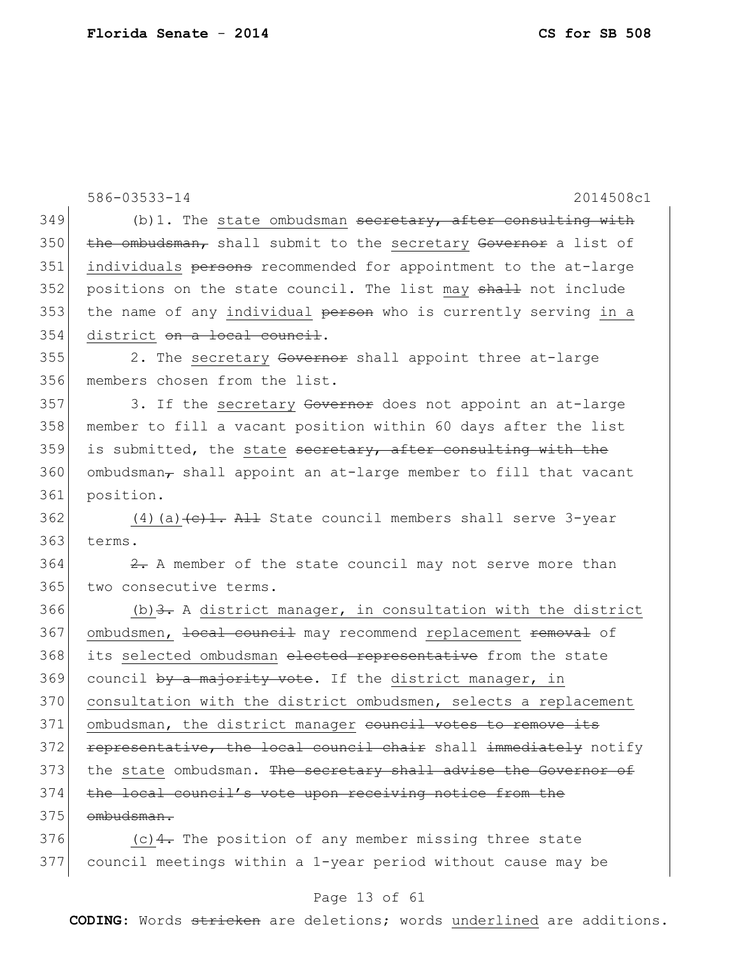|     | 586-03533-14<br>2014508c1                                                                                                                                                                                                                                                                                                                                                                                                 |
|-----|---------------------------------------------------------------------------------------------------------------------------------------------------------------------------------------------------------------------------------------------------------------------------------------------------------------------------------------------------------------------------------------------------------------------------|
| 349 | $(b)$ 1. The state ombudsman secretary, after consulting with                                                                                                                                                                                                                                                                                                                                                             |
| 350 | the ombudsman, shall submit to the secretary Governor a list of                                                                                                                                                                                                                                                                                                                                                           |
| 351 | individuals persons recommended for appointment to the at-large                                                                                                                                                                                                                                                                                                                                                           |
| 352 | positions on the state council. The list may shall not include                                                                                                                                                                                                                                                                                                                                                            |
| 353 | the name of any individual person who is currently serving in a                                                                                                                                                                                                                                                                                                                                                           |
| 354 | district on a local council.                                                                                                                                                                                                                                                                                                                                                                                              |
| 355 | 2. The secretary Governor shall appoint three at-large                                                                                                                                                                                                                                                                                                                                                                    |
| 356 | members chosen from the list.                                                                                                                                                                                                                                                                                                                                                                                             |
| 357 | 3. If the secretary Governor does not appoint an at-large                                                                                                                                                                                                                                                                                                                                                                 |
| 358 | member to fill a vacant position within 60 days after the list                                                                                                                                                                                                                                                                                                                                                            |
| 359 | is submitted, the state secretary, after consulting with the                                                                                                                                                                                                                                                                                                                                                              |
| 360 | ombudsman $_{\tau}$ shall appoint an at-large member to fill that vacant                                                                                                                                                                                                                                                                                                                                                  |
| 361 | position.                                                                                                                                                                                                                                                                                                                                                                                                                 |
| 362 | (4) (a) $\left(\text{e}\right)$ + $\text{e}\right)$ + $\text{e}\left(\text{e}\right)$ + $\text{e}\left(\text{e}\right)$ + $\text{e}\left(\text{e}\right)$ + $\text{e}\left(\text{e}\right)$ + $\text{e}\left(\text{e}\right)$ + $\text{e}\left(\text{e}\right)$ + $\text{e}\left(\text{e}\right)$ + $\text{e}\left(\text{e}\right)$ + $\text{e}\left(\text{e}\right)$ + $\text{e}\left(\text{e}\right)$ + $\text{e}\left$ |
| 363 | terms.                                                                                                                                                                                                                                                                                                                                                                                                                    |
| 364 | $\frac{2}{x}$ . A member of the state council may not serve more than                                                                                                                                                                                                                                                                                                                                                     |
| 365 | two consecutive terms.                                                                                                                                                                                                                                                                                                                                                                                                    |
| 366 | (b) $\frac{3}{2}$ . A district manager, in consultation with the district                                                                                                                                                                                                                                                                                                                                                 |
| 367 | ombudsmen, local council may recommend replacement removal of                                                                                                                                                                                                                                                                                                                                                             |
| 368 | its selected ombudsman elected representative from the state                                                                                                                                                                                                                                                                                                                                                              |
| 369 | council by a majority vote. If the district manager, in                                                                                                                                                                                                                                                                                                                                                                   |
| 370 | consultation with the district ombudsmen, selects a replacement                                                                                                                                                                                                                                                                                                                                                           |
| 371 | ombudsman, the district manager council votes to remove its                                                                                                                                                                                                                                                                                                                                                               |
| 372 | representative, the local council chair shall immediately notify                                                                                                                                                                                                                                                                                                                                                          |
| 373 | the state ombudsman. The secretary shall advise the Governor of                                                                                                                                                                                                                                                                                                                                                           |
| 374 | the local council's vote upon receiving notice from the                                                                                                                                                                                                                                                                                                                                                                   |
| 375 | ombudsman.                                                                                                                                                                                                                                                                                                                                                                                                                |
| 376 | (c) $4$ . The position of any member missing three state                                                                                                                                                                                                                                                                                                                                                                  |
| 377 | council meetings within a 1-year period without cause may be                                                                                                                                                                                                                                                                                                                                                              |

## Page 13 of 61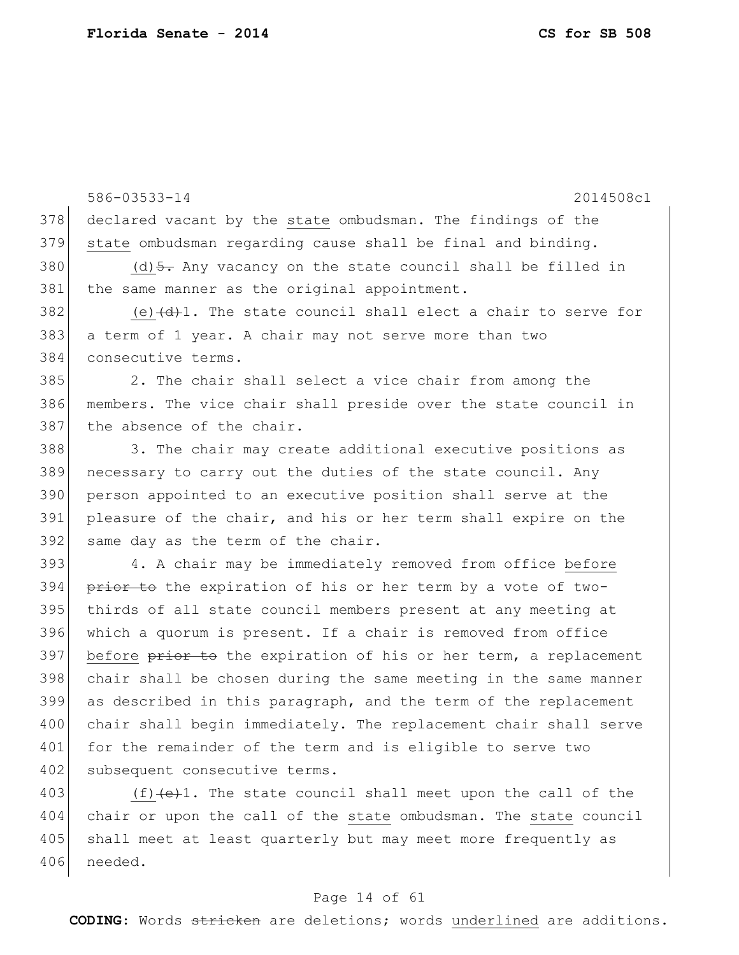586-03533-14 2014508c1 378 declared vacant by the state ombudsman. The findings of the 379 state ombudsman regarding cause shall be final and binding. 380 (d)  $\frac{1}{2}$ . Any vacancy on the state council shall be filled in 381 the same manner as the original appointment. 382 (e) $\frac{d}{dt}$ . The state council shall elect a chair to serve for 383 a term of 1 year. A chair may not serve more than two 384 consecutive terms. 385 2. The chair shall select a vice chair from among the 386 members. The vice chair shall preside over the state council in 387 the absence of the chair. 388 3. The chair may create additional executive positions as 389 necessary to carry out the duties of the state council. Any 390 person appointed to an executive position shall serve at the 391 pleasure of the chair, and his or her term shall expire on the 392 same day as the term of the chair. 393 4. A chair may be immediately removed from office before 394 prior to the expiration of his or her term by a vote of two-395 thirds of all state council members present at any meeting at 396 which a quorum is present. If a chair is removed from office 397 before prior to the expiration of his or her term, a replacement 398 chair shall be chosen during the same meeting in the same manner 399 as described in this paragraph, and the term of the replacement 400 chair shall begin immediately. The replacement chair shall serve 401 for the remainder of the term and is eligible to serve two 402 subsequent consecutive terms. 403  $(f)$  (f)  $(e)$ 1. The state council shall meet upon the call of the

404 chair or upon the call of the state ombudsman. The state council 405 shall meet at least quarterly but may meet more frequently as 406 needed.

#### Page 14 of 61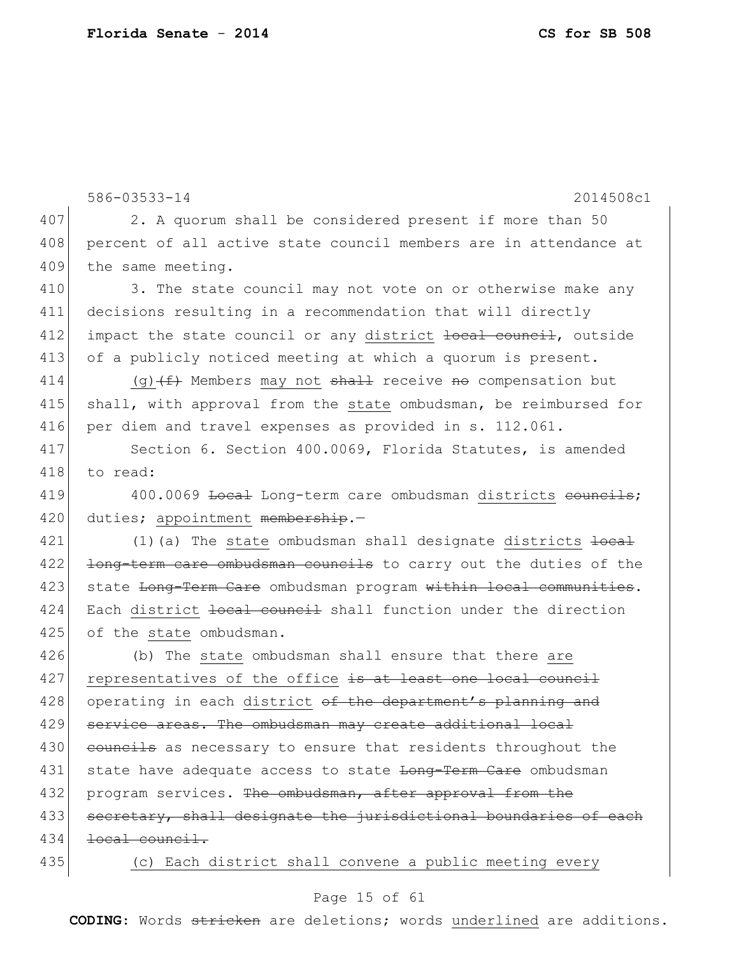586-03533-14 2014508c1 407 2. A quorum shall be considered present if more than 50 408 percent of all active state council members are in attendance at 409 the same meeting. 410 3. The state council may not vote on or otherwise make any 411 decisions resulting in a recommendation that will directly 412 impact the state council or any district local council, outside 413 of a publicly noticed meeting at which a quorum is present. 414 (g)  $(f)$  Members may not shall receive no compensation but 415 shall, with approval from the state ombudsman, be reimbursed for 416 per diem and travel expenses as provided in s. 112.061. 417 Section 6. Section 400.0069, Florida Statutes, is amended 418 to read: 419 400.0069 <del>Local</del> Long-term care ombudsman districts councils; 420 duties; appointment membership.-421  $(1)$  (a) The state ombudsman shall designate districts  $\frac{1}{1}$ 422 <del>long-term care ombudsman councils</del> to carry out the duties of the 423 state Long-Term Care ombudsman program within local communities. 424 Each district local council shall function under the direction 425 of the state ombudsman. 426 (b) The state ombudsman shall ensure that there are 427 representatives of the office is at least one local council 428 operating in each district of the department's planning and 429 service areas. The ombudsman may create additional local 430 councils as necessary to ensure that residents throughout the 431 state have adequate access to state Long-Term Care ombudsman 432 program services. The ombudsman, after approval from the 433 secretary, shall designate the jurisdictional boundaries of each 434 <del>local council.</del> 435 (c) Each district shall convene a public meeting every

#### Page 15 of 61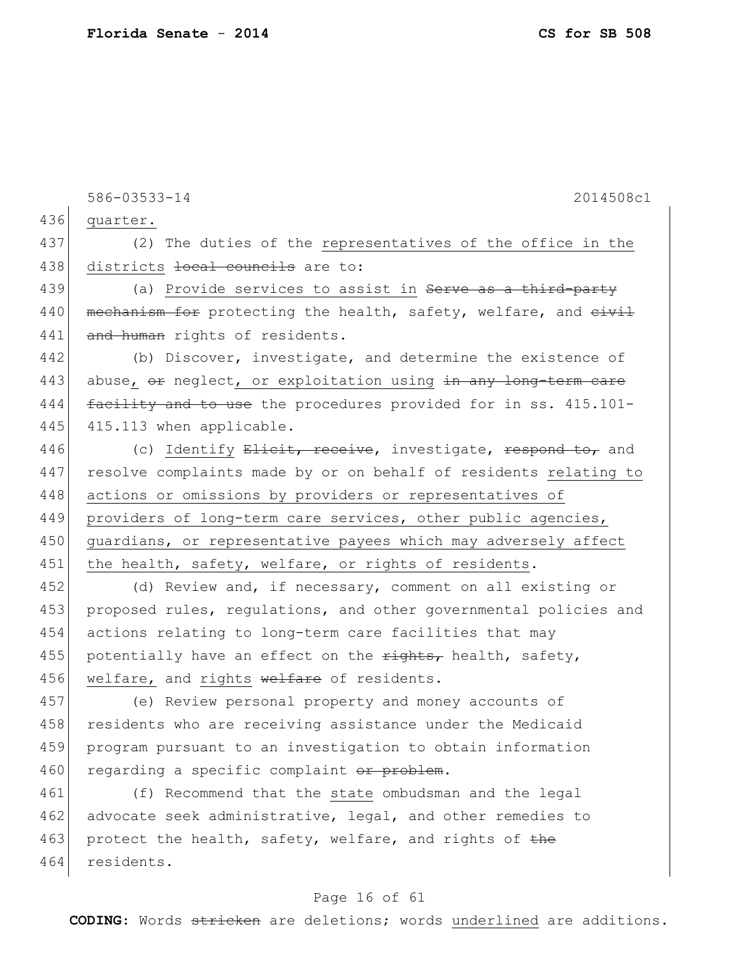586-03533-14 2014508c1 436 quarter. 437 (2) The duties of the representatives of the office in the 438 districts local councils are to: 439 (a) Provide services to assist in <del>Serve as a third-party</del> 440 | mechanism for protecting the health, safety, welfare, and civil 441 and human rights of residents. 442 (b) Discover, investigate, and determine the existence of 443 abuse,  $\Theta$  neglect, or exploitation using in any long-term care 444 facility and to use the procedures provided for in ss. 415.101-445 415.113 when applicable. 446 (c) Identify Elicit, receive, investigate, respond to, and 447 resolve complaints made by or on behalf of residents relating to 448 actions or omissions by providers or representatives of 449 providers of long-term care services, other public agencies, 450 | guardians, or representative payees which may adversely affect 451 the health, safety, welfare, or rights of residents. 452 (d) Review and, if necessary, comment on all existing or 453 proposed rules, regulations, and other governmental policies and 454 actions relating to long-term care facilities that may 455 potentially have an effect on the  $\frac{r}{r}$  health, safety, 456 welfare, and rights welfare of residents. 457 (e) Review personal property and money accounts of 458 residents who are receiving assistance under the Medicaid 459 program pursuant to an investigation to obtain information 460 regarding a specific complaint or problem. 461 (f) Recommend that the state ombudsman and the legal 462 advocate seek administrative, legal, and other remedies to 463 protect the health, safety, welfare, and rights of the 464 residents.

#### Page 16 of 61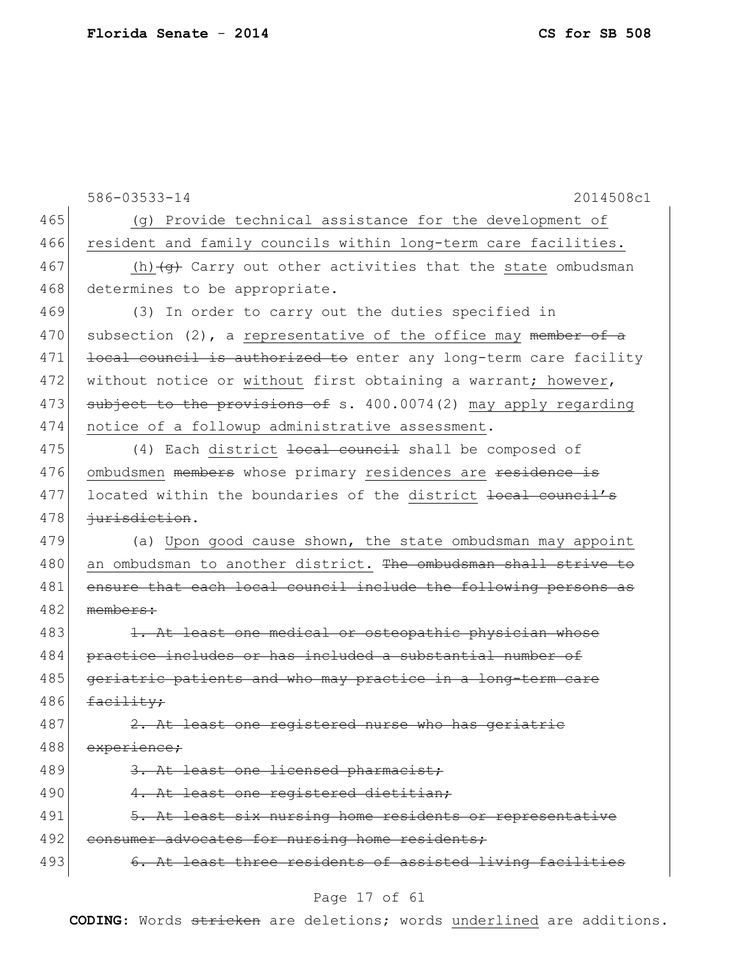586-03533-14 2014508c1 465 (g) Provide technical assistance for the development of 466 resident and family councils within long-term care facilities. 467 (h) $\left(4\right)$  Carry out other activities that the state ombudsman 468 determines to be appropriate. 469 (3) In order to carry out the duties specified in 470 subsection (2), a representative of the office may member of a 471 local council is authorized to enter any long-term care facility 472 without notice or without first obtaining a warrant; however, 473 subject to the provisions of s. 400.0074(2) may apply regarding 474 notice of a followup administrative assessment. 475 (4) Each district <del>local council</del> shall be composed of 476 ombudsmen members whose primary residences are residence is 477 located within the boundaries of the district <del>local council's</del> 478 +urisdiction. 479 (a) Upon good cause shown, the state ombudsman may appoint 480 an ombudsman to another district. The ombudsman shall strive to 481 ensure that each local council include the following persons as 482 members: 483 1. At least one medical or osteopathic physician whose 484 practice includes or has included a substantial number of 485 geriatric patients and who may practice in a long-term care  $486$  facility; 487 2. At least one registered nurse who has geriatric 488 experience: 489 3. At least one licensed pharmacist; 490 4. At least one registered dietitian; 491 5. At least six nursing home residents or representative 492 consumer advocates for nursing home residents; 493 6. At least three residents of assisted living facilities

#### Page 17 of 61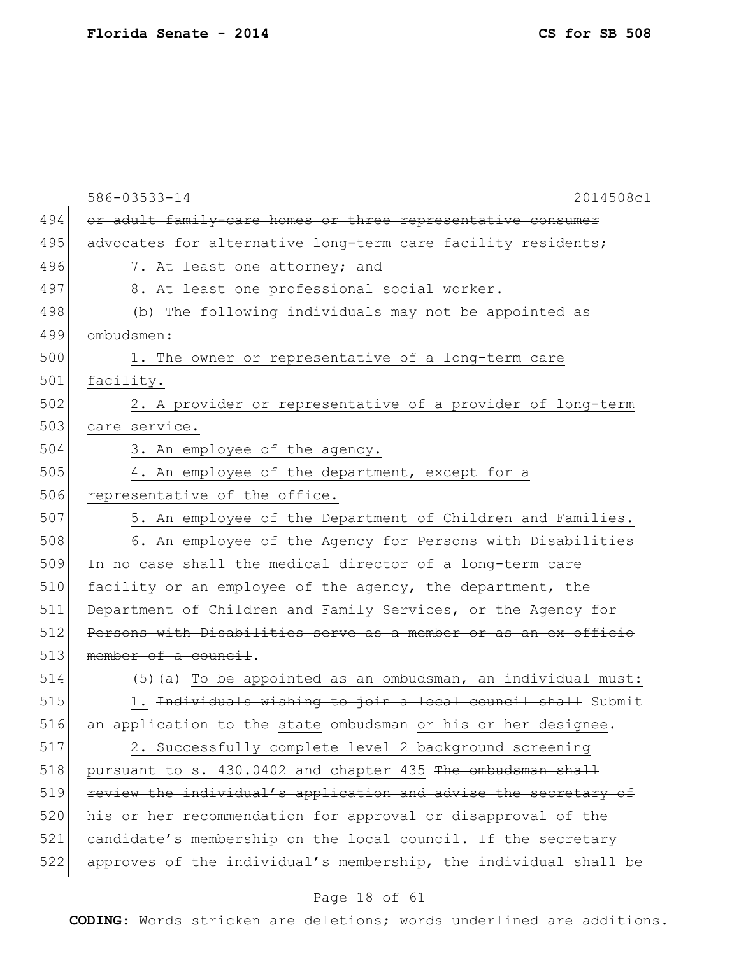|     | 586-03533-14<br>2014508c1                                        |
|-----|------------------------------------------------------------------|
| 494 | or adult family-care homes or three representative consumer      |
| 495 | advocates for alternative long-term care facility residents;     |
| 496 | 7. At least one attorney; and                                    |
| 497 | 8. At least one professional social worker.                      |
| 498 | (b) The following individuals may not be appointed as            |
| 499 | ombudsmen:                                                       |
| 500 | 1. The owner or representative of a long-term care               |
| 501 | facility.                                                        |
| 502 | 2. A provider or representative of a provider of long-term       |
| 503 | care service.                                                    |
| 504 | 3. An employee of the agency.                                    |
| 505 | 4. An employee of the department, except for a                   |
| 506 | representative of the office.                                    |
| 507 | 5. An employee of the Department of Children and Families.       |
| 508 | 6. An employee of the Agency for Persons with Disabilities       |
| 509 | In no case shall the medical director of a long-term care        |
| 510 | facility or an employee of the agency, the department, the       |
| 511 | Department of Children and Family Services, or the Agency for    |
| 512 | Persons with Disabilities serve as a member or as an ex officio  |
| 513 | member of a council.                                             |
| 514 | (5) (a) To be appointed as an ombudsman, an individual must:     |
| 515 | 1. Individuals wishing to join a local council shall Submit      |
| 516 | an application to the state ombudsman or his or her designee.    |
| 517 | 2. Successfully complete level 2 background screening            |
| 518 | pursuant to s. 430.0402 and chapter 435 The ombudsman shall      |
| 519 | review the individual's application and advise the secretary of  |
| 520 | his or her recommendation for approval or disapproval of the     |
| 521 | candidate's membership on the local council. If the secretary    |
| 522 | approves of the individual's membership, the individual shall be |
|     |                                                                  |

# Page 18 of 61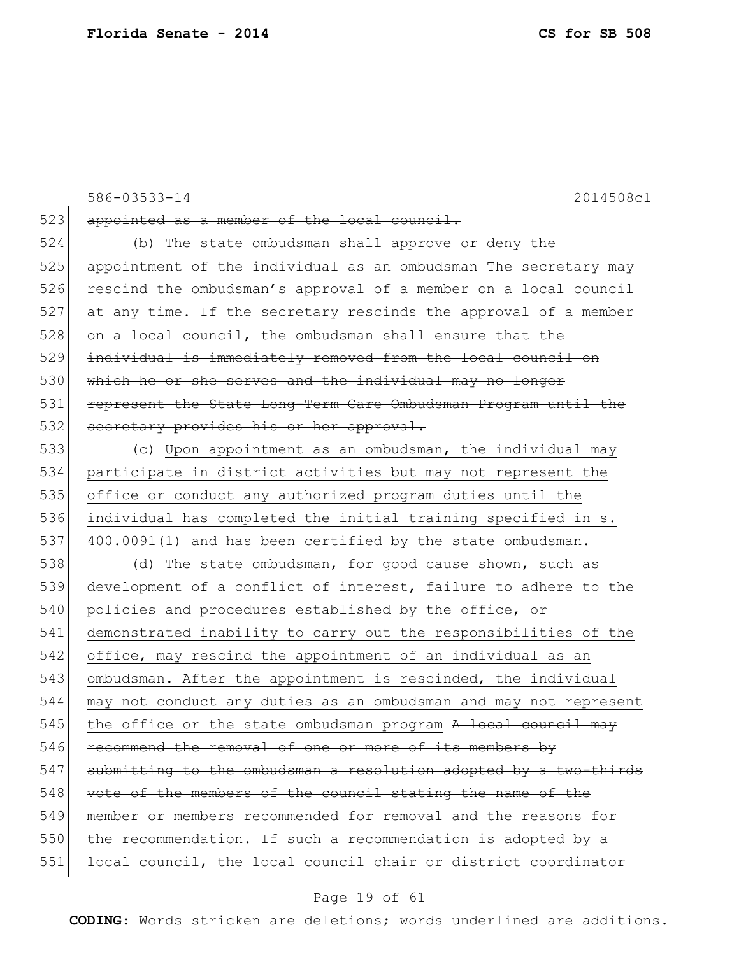523 appointed as a member of the local council.

524 (b) The state ombudsman shall approve or deny the  $525$  appointment of the individual as an ombudsman The secretary may 526 rescind the ombudsman's approval of a member on a local council  $527$  at any time. If the secretary rescinds the approval of a member 528 on a local council, the ombudsman shall ensure that the 529 individual is immediately removed from the local council on 530 which he or she serves and the individual may no longer 531 represent the State Long-Term Care Ombudsman Program until the 532 secretary provides his or her approval.

 (c) Upon appointment as an ombudsman, the individual may participate in district activities but may not represent the office or conduct any authorized program duties until the individual has completed the initial training specified in s. 537 400.0091(1) and has been certified by the state ombudsman.

538 (d) The state ombudsman, for good cause shown, such as 539 development of a conflict of interest, failure to adhere to the 540 policies and procedures established by the office, or 541 demonstrated inability to carry out the responsibilities of the 542 office, may rescind the appointment of an individual as an 543 ombudsman. After the appointment is rescinded, the individual 544 may not conduct any duties as an ombudsman and may not represent 545 the office or the state ombudsman program  $A$  local council may 546 recommend the removal of one or more of its members by 547 submitting to the ombudsman a resolution adopted by a two-thirds 548 vote of the members of the council stating the name of the 549 member or members recommended for removal and the reasons for  $550$  the recommendation. If such a recommendation is adopted by a 551 local council, the local council chair or district coordinator

Page 19 of 61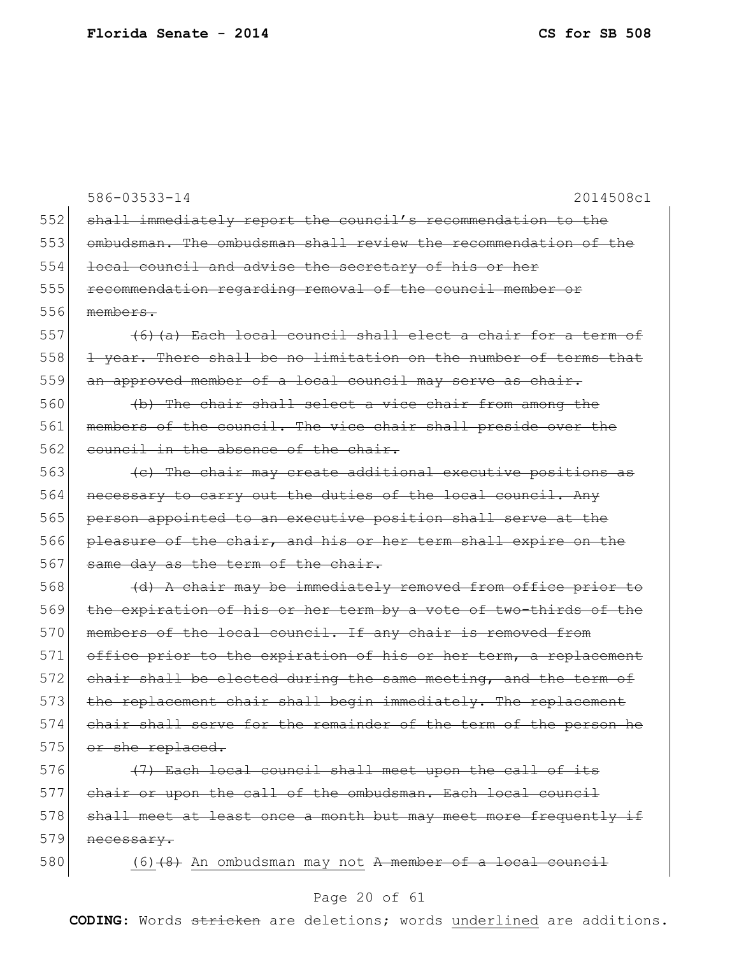586-03533-14 2014508c1 552 shall immediately report the council's recommendation to the 553 ombudsman. The ombudsman shall review the recommendation of the 554 local council and advise the secretary of his or her 555 recommendation regarding removal of the council member or 556 members. 557  $(6)$  (a) Each local council shall elect a chair for a term of 558 1 year. There shall be no limitation on the number of terms that 559 an approved member of a local council may serve as chair.  $560$  (b) The chair shall select a vice chair from among the 561 members of the council. The vice chair shall preside over the 562 council in the absence of the chair.  $563$  (c) The chair may create additional executive positions as 564 necessary to carry out the duties of the local council. Any 565 person appointed to an executive position shall serve at the 566 pleasure of the chair, and his or her term shall expire on the 567 same day as the term of the chair. 568 (d) A chair may be immediately removed from office prior to 569 the expiration of his or her term by a vote of two-thirds of the 570 members of the local council. If any chair is removed from 571 office prior to the expiration of his or her term, a replacement 572 chair shall be elected during the same meeting, and the term of 573 the replacement chair shall begin immediately. The replacement 574 chair shall serve for the remainder of the term of the person he 575 or she replaced. 576  $(7)$  Each local council shall meet upon the call of its 577 chair or upon the call of the ombudsman. Each local council 578 shall meet at least once a month but may meet more frequently if  $579$  necessary. 580  $(6)$  (6) (8) An ombudsman may not A member of a local council

#### Page 20 of 61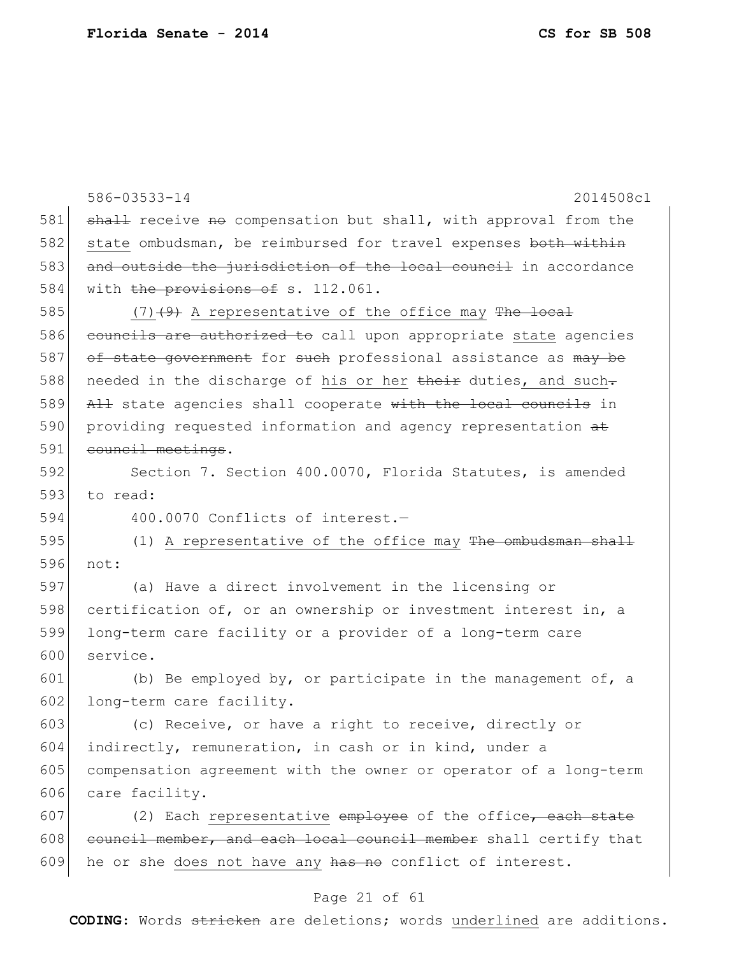|     | 586-03533-14<br>2014508c1                                        |
|-----|------------------------------------------------------------------|
| 581 | shall receive no compensation but shall, with approval from the  |
| 582 | state ombudsman, be reimbursed for travel expenses both within   |
| 583 | and outside the jurisdiction of the local council in accordance  |
| 584 | with the provisions of s. 112.061.                               |
| 585 | $(7)$ $(4)$ A representative of the office may The local         |
| 586 | councils are authorized to call upon appropriate state agencies  |
| 587 | of state government for such professional assistance as may be   |
| 588 | needed in the discharge of his or her their duties, and such-    |
| 589 | All state agencies shall cooperate with the local councils in    |
| 590 | providing requested information and agency representation at     |
| 591 | council meetings.                                                |
| 592 | Section 7. Section 400.0070, Florida Statutes, is amended        |
| 593 | to read:                                                         |
| 594 | 400.0070 Conflicts of interest.-                                 |
| 595 | (1) A representative of the office may The ombudsman shall       |
| 596 | not:                                                             |
| 597 | (a) Have a direct involvement in the licensing or                |
| 598 | certification of, or an ownership or investment interest in, a   |
| 599 | long-term care facility or a provider of a long-term care        |
| 600 | service.                                                         |
| 601 | (b) Be employed by, or participate in the management of, a       |
| 602 | long-term care facility.                                         |
| 603 | (c) Receive, or have a right to receive, directly or             |
| 604 | indirectly, remuneration, in cash or in kind, under a            |
| 605 | compensation agreement with the owner or operator of a long-term |
| 606 | care facility.                                                   |
| 607 | (2) Each representative employee of the office, each state       |
| 608 | council member, and each local council member shall certify that |
| 609 | he or she does not have any has no conflict of interest.         |

# Page 21 of 61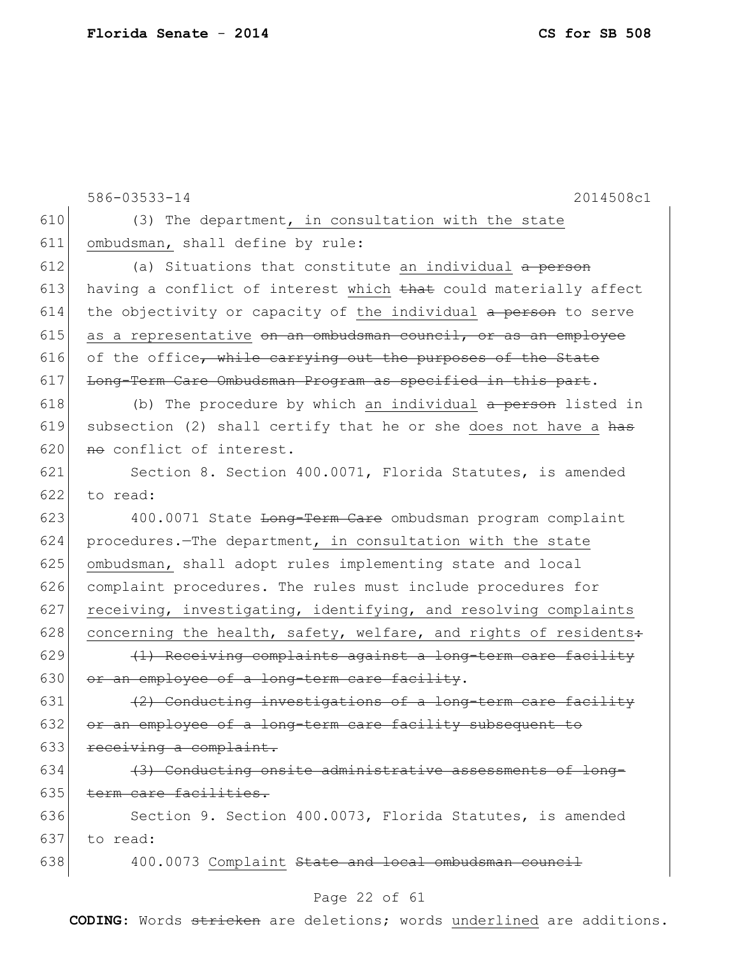|     | 586-03533-14<br>2014508c1                                                 |
|-----|---------------------------------------------------------------------------|
| 610 | (3) The department, in consultation with the state                        |
| 611 | ombudsman, shall define by rule:                                          |
| 612 | (a) Situations that constitute an individual a person                     |
| 613 | having a conflict of interest which that could materially affect          |
| 614 | the objectivity or capacity of the individual a person to serve           |
| 615 | as a representative <del>on an ombudsman council, or as an employee</del> |
| 616 | of the office, while carrying out the purposes of the State               |
| 617 | Long-Term Care Ombudsman Program as specified in this part.               |
| 618 | (b) The procedure by which an individual a person listed in               |
| 619 | subsection (2) shall certify that he or she does not have a has           |
| 620 | no conflict of interest.                                                  |
| 621 | Section 8. Section 400.0071, Florida Statutes, is amended                 |
| 622 | to read:                                                                  |
| 623 | 400.0071 State <del>Long-Term Care</del> ombudsman program complaint      |
| 624 | procedures. The department, in consultation with the state                |
| 625 | ombudsman, shall adopt rules implementing state and local                 |
| 626 | complaint procedures. The rules must include procedures for               |
| 627 | receiving, investigating, identifying, and resolving complaints           |
| 628 | concerning the health, safety, welfare, and rights of residents+          |
| 629 | (1) Receiving complaints against a long-term care facility                |
| 630 | or an employee of a long-term care facility.                              |
| 631 | (2) Conducting investigations of a long-term care facility                |
| 632 | or an employee of a long-term care facility subsequent to                 |
| 633 | receiving a complaint.                                                    |
| 634 | (3) Conducting onsite administrative assessments of long-                 |
| 635 | term care facilities.                                                     |
| 636 | Section 9. Section 400.0073, Florida Statutes, is amended                 |
| 637 | to read:                                                                  |
| 638 | 400.0073 Complaint State and local ombudsman council                      |

# Page 22 of 61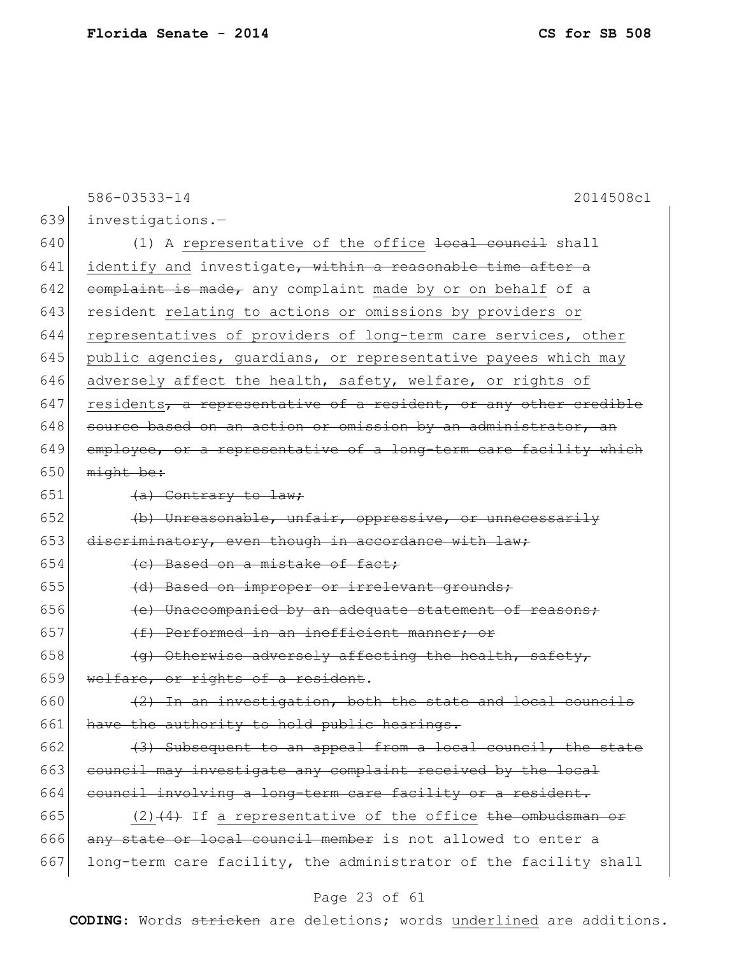586-03533-14 2014508c1 639 investigations.— 640  $(1)$  A representative of the office  $\frac{1}{1}$  council shall 641 identify and investigate, within a reasonable time after a 642 complaint is made, any complaint made by or on behalf of a 643 resident relating to actions or omissions by providers or 644 representatives of providers of long-term care services, other 645 public agencies, guardians, or representative payees which may 646 adversely affect the health, safety, welfare, or rights of  $647$  residents, a representative of a resident, or any other credible  $648$  source based on an action or omission by an administrator, an 649 employee, or a representative of a long-term care facility which 650  $m$ ight be: 651  $\left( a \right)$  Contrary to law; 652  $\vert$  (b) Unreasonable, unfair, oppressive, or unnecessarily 653 discriminatory, even though in accordance with law;  $654$  (c) Based on a mistake of fact; 655  $(d)$  Based on improper or irrelevant grounds;  $656$  (e) Unaccompanied by an adequate statement of reasons; 657  $(f)$  Performed in an inefficient manner; or 658  $(q)$  Otherwise adversely affecting the health, safety, 659 welfare, or rights of a resident.  $660$  (2) In an investigation, both the state and local councils 661 have the authority to hold public hearings. 662  $(3)$  Subsequent to an appeal from a local council, the state 663 council may investigate any complaint received by the local 664 council involving a long-term care facility or a resident. 665 (2)  $(4)$  If a representative of the office the ombudsman or 666 any state or local council member is not allowed to enter a 667 long-term care facility, the administrator of the facility shall

### Page 23 of 61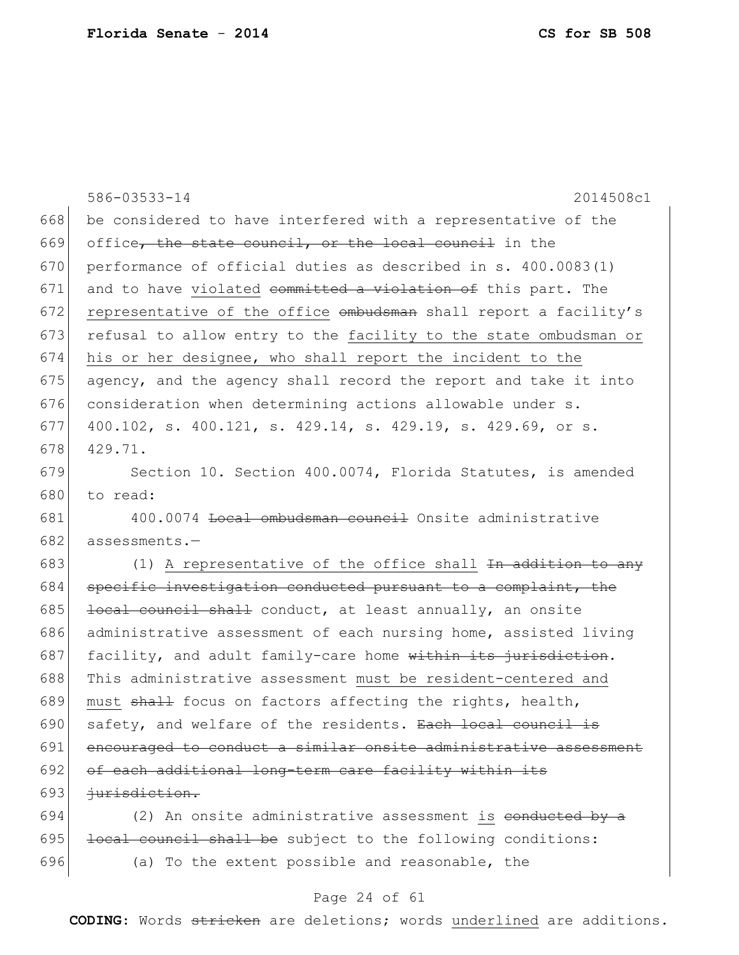|     | 586-03533-14<br>2014508c1                                              |
|-----|------------------------------------------------------------------------|
| 668 | be considered to have interfered with a representative of the          |
| 669 | office, the state council, or the local council in the                 |
| 670 | performance of official duties as described in s. 400.0083(1)          |
| 671 | and to have violated committed a violation of this part. The           |
| 672 | representative of the office ombudsman shall report a facility's       |
| 673 | refusal to allow entry to the facility to the state ombudsman or       |
| 674 | his or her designee, who shall report the incident to the              |
| 675 | agency, and the agency shall record the report and take it into        |
| 676 | consideration when determining actions allowable under s.              |
| 677 | 400.102, s. 400.121, s. 429.14, s. 429.19, s. 429.69, or s.            |
| 678 | 429.71.                                                                |
| 679 | Section 10. Section 400.0074, Florida Statutes, is amended             |
| 680 | to read:                                                               |
| 681 | 400.0074 <b>Local ombudsman council</b> Onsite administrative          |
| 682 | assessments.-                                                          |
| 683 | (1) A representative of the office shall <del>In addition to any</del> |
| 684 | specific investigation conducted pursuant to a complaint, the          |
| 685 | local council shall conduct, at least annually, an onsite              |
| 686 | administrative assessment of each nursing home, assisted living        |
| 687 | facility, and adult family-care home within its jurisdiction.          |
| 688 | This administrative assessment must be resident-centered and           |
| 689 | must shall focus on factors affecting the rights, health,              |
| 690 | safety, and welfare of the residents. Each local council is            |
| 691 | encouraged to conduct a similar onsite administrative assessment       |
| 692 | of each additional long-term care facility within its                  |
| 693 | <i>iurisdiction.</i>                                                   |
| 694 | (2) An onsite administrative assessment is <del>conducted by a</del>   |
| 695 | local council shall be subject to the following conditions:            |
| 696 | (a) To the extent possible and reasonable, the                         |

# Page 24 of 61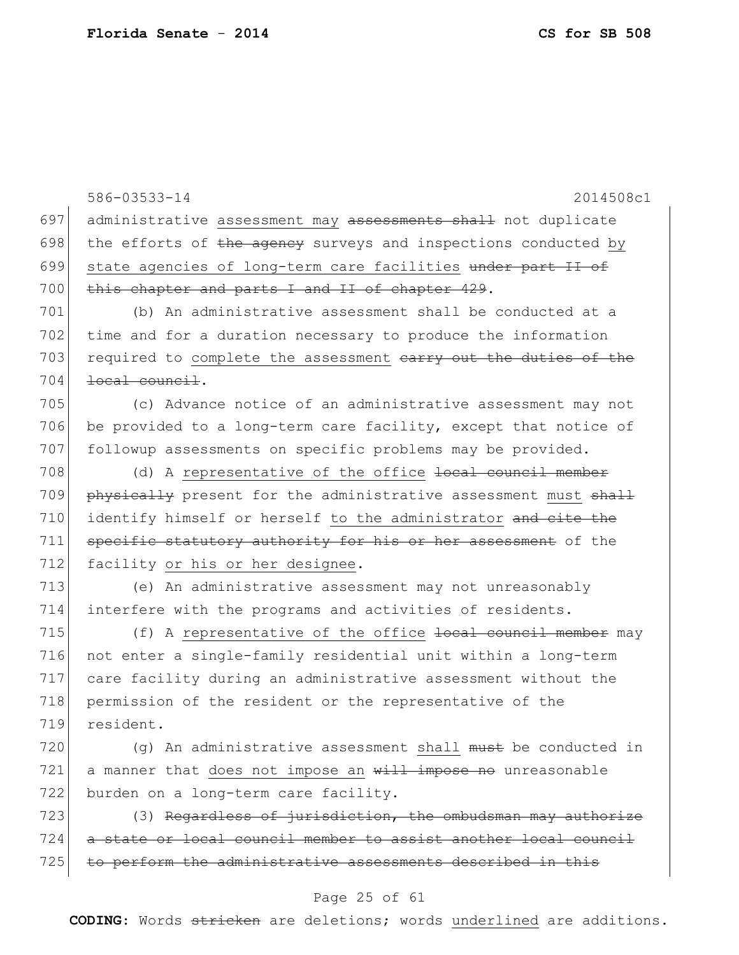586-03533-14 2014508c1 697 administrative assessment may assessments shall not duplicate 698 the efforts of  $t$ he agency surveys and inspections conducted by 699 state agencies of long-term care facilities under part II of 700 this chapter and parts I and II of chapter 429. 701 (b) An administrative assessment shall be conducted at a 702 time and for a duration necessary to produce the information 703 required to complete the assessment earry out the duties of the  $704$   $\rightarrow$   $1004$   $\rightarrow$   $1004$   $\rightarrow$   $1004$   $\rightarrow$   $1004$   $\rightarrow$   $1004$   $\rightarrow$   $1004$   $\rightarrow$   $1004$   $\rightarrow$   $1004$   $\rightarrow$   $1004$   $\rightarrow$   $1004$   $\rightarrow$   $1004$   $\rightarrow$   $1004$   $\rightarrow$   $1004$   $\rightarrow$   $1004$   $\rightarrow$   $1004$   $\rightarrow$   $1004$   $\rightarrow$   $1004$   $\rightarrow$   $1004$ 705 (c) Advance notice of an administrative assessment may not 706 be provided to a long-term care facility, except that notice of 707 followup assessments on specific problems may be provided. 708  $\vert$  (d) A representative of the office  $\frac{1}{1}$  council member 709 physically present for the administrative assessment must shall 710 identify himself or herself to the administrator and cite the 711 specific statutory authority for his or her assessment of the 712 facility or his or her designee. 713 (e) An administrative assessment may not unreasonably 714 interfere with the programs and activities of residents. 715 (f) A representative of the office <del>local council member</del> may 716 not enter a single-family residential unit within a long-term 717 care facility during an administrative assessment without the 718 permission of the resident or the representative of the 719 resident. 720  $(q)$  An administrative assessment shall must be conducted in  $721$  a manner that does not impose an  $\frac{111}{11}$  impose no unreasonable 722 burden on a long-term care facility.  $723$  (3) Regardless of jurisdiction, the ombudsman may authorize 724 a state or local council member to assist another local council 725 to perform the administrative assessments described in this

#### Page 25 of 61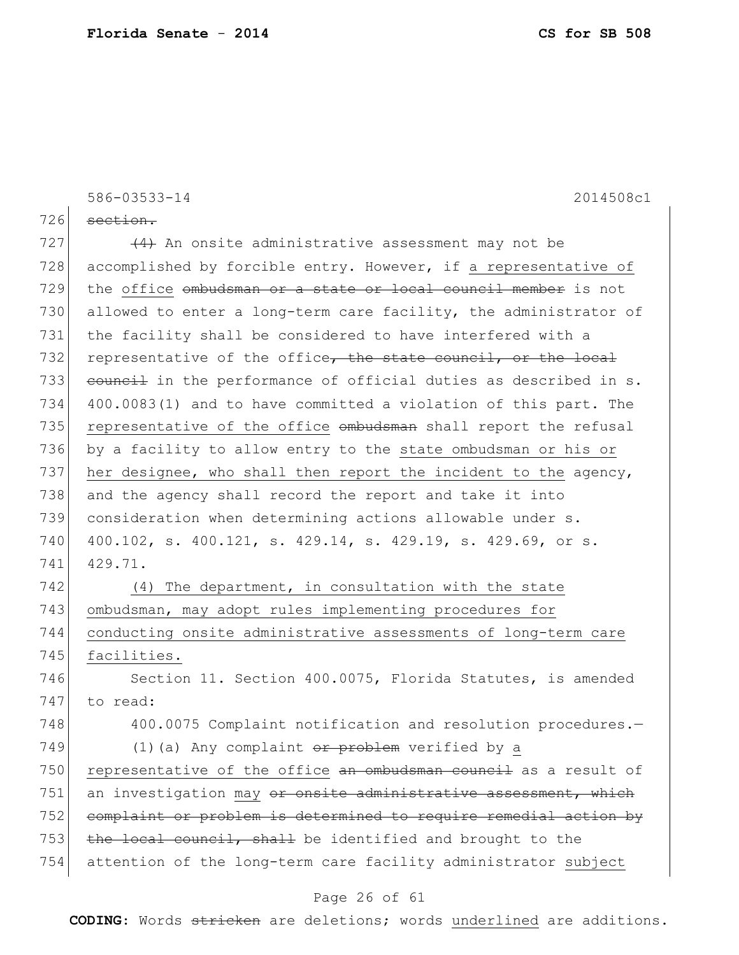|     | 586-03533-14<br>2014508c1                                                  |
|-----|----------------------------------------------------------------------------|
| 726 | section.                                                                   |
| 727 | $(4)$ An onsite administrative assessment may not be                       |
| 728 | accomplished by forcible entry. However, if a representative of            |
| 729 | the office ombudsman or a state or local council member is not             |
| 730 | allowed to enter a long-term care facility, the administrator of           |
| 731 | the facility shall be considered to have interfered with a                 |
| 732 | representative of the office, the state council, or the local              |
| 733 | eouncil in the performance of official duties as described in s.           |
| 734 | 400.0083(1) and to have committed a violation of this part. The            |
| 735 | representative of the office ombudsman shall report the refusal            |
| 736 | by a facility to allow entry to the state ombudsman or his or              |
| 737 | her designee, who shall then report the incident to the agency,            |
| 738 | and the agency shall record the report and take it into                    |
| 739 | consideration when determining actions allowable under s.                  |
| 740 | 400.102, s. 400.121, s. 429.14, s. 429.19, s. 429.69, or s.                |
| 741 | 429.71.                                                                    |
| 742 | The department, in consultation with the state<br>(4)                      |
| 743 | ombudsman, may adopt rules implementing procedures for                     |
| 744 | conducting onsite administrative assessments of long-term care             |
| 745 | facilities.                                                                |
| 746 | Section 11. Section 400.0075, Florida Statutes, is amended                 |
| 747 | to read:                                                                   |
| 748 | 400.0075 Complaint notification and resolution procedures.-                |
| 749 | (1) (a) Any complaint $or$ problem verified by a                           |
| 750 | representative of the office an ombudsman council as a result of           |
| 751 | an investigation may <del>or onsite administrative assessment, which</del> |
| 752 | complaint or problem is determined to require remedial action by           |
| 753 | the local council, shall be identified and brought to the                  |
| 754 | attention of the long-term care facility administrator subject             |
|     |                                                                            |

## Page 26 of 61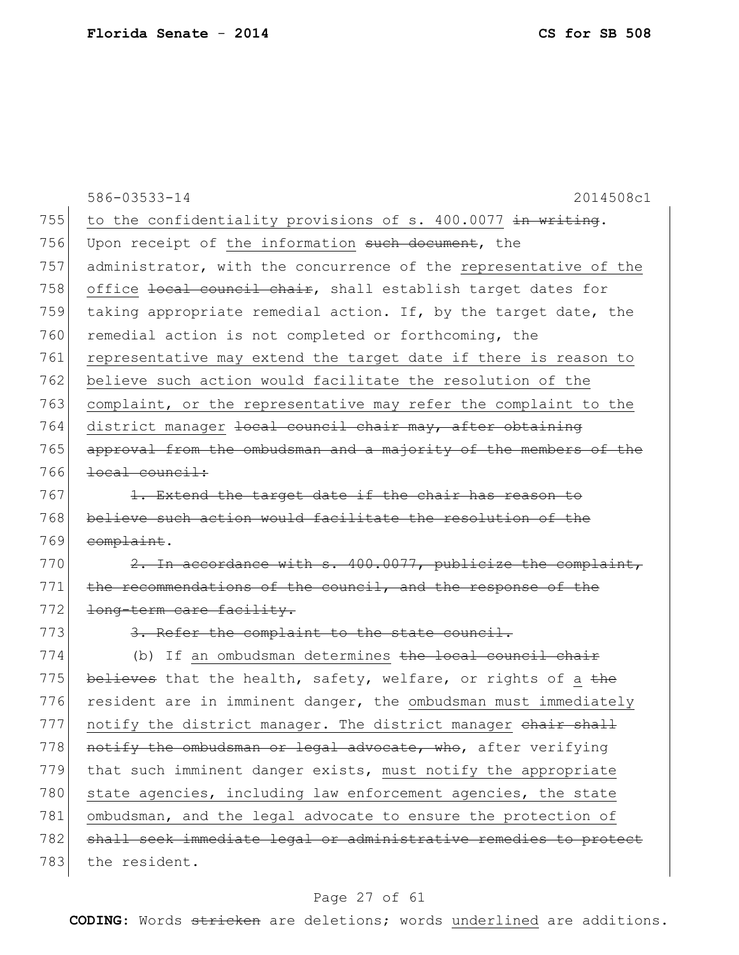|     | 586-03533-14<br>2014508c1                                        |
|-----|------------------------------------------------------------------|
| 755 | to the confidentiality provisions of s. 400.0077 in writing.     |
| 756 | Upon receipt of the information such document, the               |
| 757 | administrator, with the concurrence of the representative of the |
| 758 | office local council chair, shall establish target dates for     |
| 759 | taking appropriate remedial action. If, by the target date, the  |
| 760 | remedial action is not completed or forthcoming, the             |
| 761 | representative may extend the target date if there is reason to  |
| 762 | believe such action would facilitate the resolution of the       |
| 763 | complaint, or the representative may refer the complaint to the  |
| 764 | district manager local council chair may, after obtaining        |
| 765 | approval from the ombudsman and a majority of the members of the |
| 766 | <del>local council:</del>                                        |
| 767 | 1. Extend the target date if the chair has reason to             |
| 768 | believe such action would facilitate the resolution of the       |
| 769 | complaint.                                                       |
| 770 | 2. In accordance with s. 400.0077, publicize the complaint,      |
| 771 | the recommendations of the council, and the response of the      |
| 772 | long-term care facility.                                         |
| 773 | 3. Refer the complaint to the state council.                     |
| 774 | (b) If an ombudsman determines the local council chair           |
| 775 | believes that the health, safety, welfare, or rights of a the    |
| 776 | resident are in imminent danger, the ombudsman must immediately  |
| 777 | notify the district manager. The district manager chair shall    |
| 778 | notify the ombudsman or legal advocate, who, after verifying     |
| 779 | that such imminent danger exists, must notify the appropriate    |
| 780 | state agencies, including law enforcement agencies, the state    |
| 781 | ombudsman, and the legal advocate to ensure the protection of    |
| 782 | shall seek immediate legal or administrative remedies to protect |
| 783 | the resident.                                                    |
|     |                                                                  |

# Page 27 of 61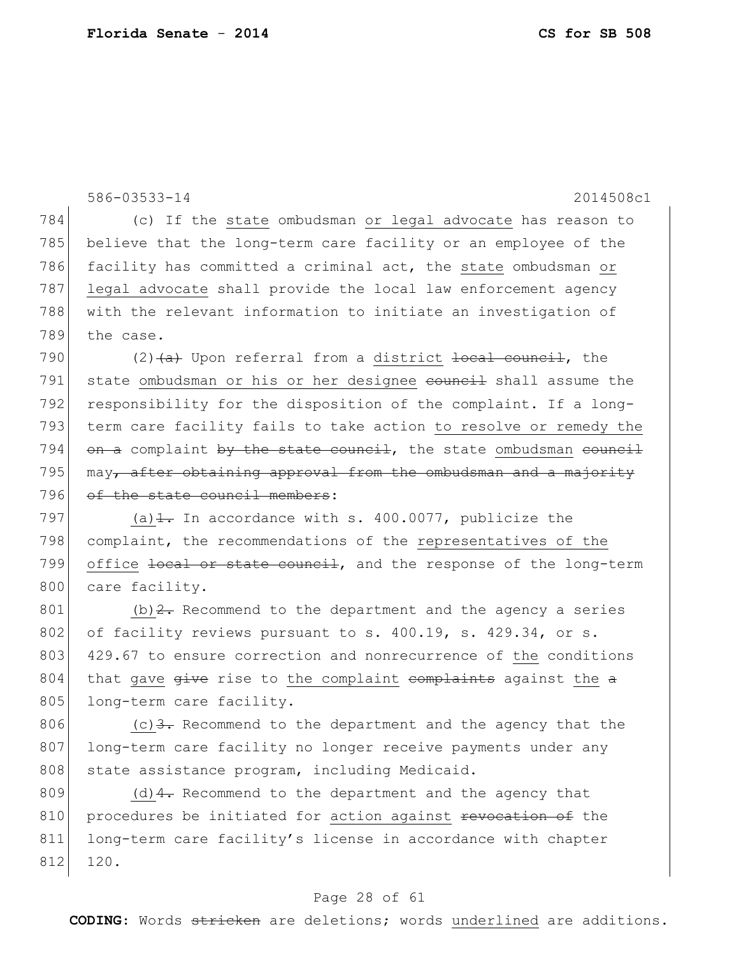586-03533-14 2014508c1 784 (c) If the state ombudsman or legal advocate has reason to 785 believe that the long-term care facility or an employee of the 786 facility has committed a criminal act, the state ombudsman or 787 legal advocate shall provide the local law enforcement agency 788 with the relevant information to initiate an investigation of 789 the case. 790 (2)  $(a + b)$  Upon referral from a district local council, the 791 state ombudsman or his or her designee council shall assume the 792 responsibility for the disposition of the complaint. If a long-793 term care facility fails to take action to resolve or remedy the 794  $\sigma$  a complaint by the state council, the state ombudsman council 795 may, after obtaining approval from the ombudsman and a majority 796 of the state council members: 797 (a) $\pm$ . In accordance with s. 400.0077, publicize the 798 complaint, the recommendations of the representatives of the 799 office local or state council, and the response of the long-term 800 care facility. 801 (b)  $2$ . Recommend to the department and the agency a series 802 of facility reviews pursuant to s. 400.19, s. 429.34, or s. 803 429.67 to ensure correction and nonrecurrence of the conditions 804 that gave  $\frac{q}{q}$  ive rise to the complaint complaints against the  $\alpha$ 805 long-term care facility. 806  $(c)$  3. Recommend to the department and the agency that the 807 long-term care facility no longer receive payments under any 808 | state assistance program, including Medicaid.

809 (d) $\frac{4}{1}$ . Recommend to the department and the agency that 810 procedures be initiated for action against revocation of the 811 long-term care facility's license in accordance with chapter 812 120.

#### Page 28 of 61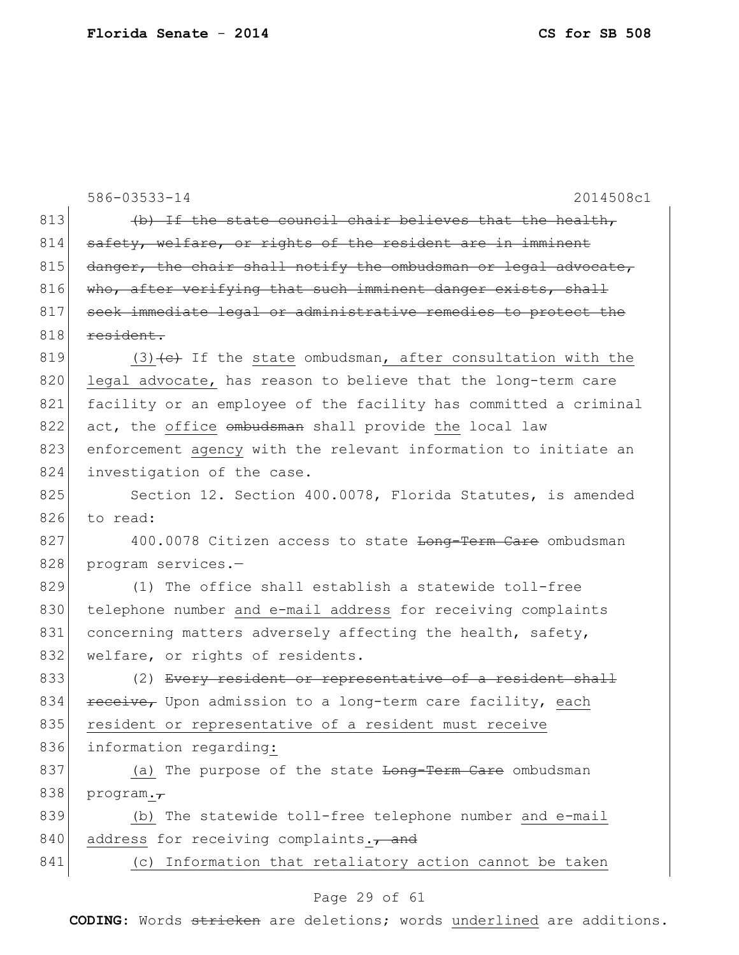|     | 2014508c1<br>586-03533-14                                              |
|-----|------------------------------------------------------------------------|
| 813 | (b) If the state council chair believes that the health,               |
| 814 | safety, welfare, or rights of the resident are in imminent             |
| 815 | danger, the chair shall notify the ombudsman or legal advocate,        |
| 816 | who, after verifying that such imminent danger exists, shall           |
| 817 | seek immediate legal or administrative remedies to protect the         |
| 818 | resident.                                                              |
| 819 | $(3)$ $\leftarrow$ If the state ombudsman, after consultation with the |
| 820 | legal advocate, has reason to believe that the long-term care          |
| 821 | facility or an employee of the facility has committed a criminal       |
| 822 | act, the office ombudsman shall provide the local law                  |
| 823 | enforcement agency with the relevant information to initiate an        |
| 824 | investigation of the case.                                             |
| 825 | Section 12. Section 400.0078, Florida Statutes, is amended             |
| 826 | to read:                                                               |
| 827 | 400.0078 Citizen access to state <del>Long-Term Care</del> ombudsman   |
| 828 | program services.-                                                     |
| 829 | (1) The office shall establish a statewide toll-free                   |
| 830 | telephone number and e-mail address for receiving complaints           |
| 831 | concerning matters adversely affecting the health, safety,             |
| 832 | welfare, or rights of residents.                                       |
| 833 | (2) Every resident or representative of a resident shall               |
| 834 | receive, Upon admission to a long-term care facility, each             |
| 835 | resident or representative of a resident must receive                  |
| 836 | information regarding:                                                 |
| 837 | (a) The purpose of the state Long-Term Care ombudsman                  |
| 838 | $\text{program.7}$                                                     |
| 839 | (b) The statewide toll-free telephone number and e-mail                |
| 840 | address for receiving complaints., and                                 |
| 841 | (c) Information that retaliatory action cannot be taken                |
|     |                                                                        |

# Page 29 of 61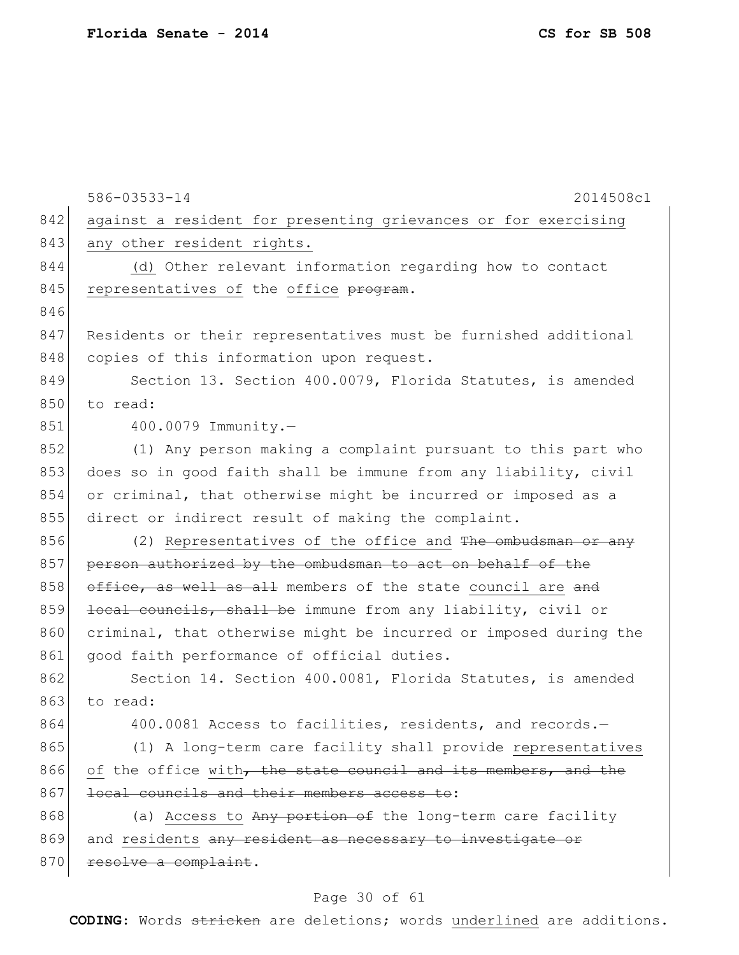|     | 586-03533-14<br>2014508c1                                        |
|-----|------------------------------------------------------------------|
| 842 | against a resident for presenting grievances or for exercising   |
| 843 | any other resident rights.                                       |
| 844 | (d) Other relevant information regarding how to contact          |
| 845 | representatives of the office program.                           |
| 846 |                                                                  |
| 847 | Residents or their representatives must be furnished additional  |
| 848 | copies of this information upon request.                         |
| 849 | Section 13. Section 400.0079, Florida Statutes, is amended       |
| 850 | to read:                                                         |
| 851 | 400.0079 Immunity.-                                              |
| 852 | (1) Any person making a complaint pursuant to this part who      |
| 853 | does so in good faith shall be immune from any liability, civil  |
| 854 | or criminal, that otherwise might be incurred or imposed as a    |
| 855 | direct or indirect result of making the complaint.               |
| 856 | (2) Representatives of the office and The ombudsman or any       |
| 857 | person authorized by the ombudsman to act on behalf of the       |
| 858 | office, as well as all members of the state council are and      |
| 859 | local councils, shall be immune from any liability, civil or     |
| 860 | criminal, that otherwise might be incurred or imposed during the |
| 861 | good faith performance of official duties.                       |
| 862 | Section 14. Section 400.0081, Florida Statutes, is amended       |
| 863 | to read:                                                         |
| 864 | 400.0081 Access to facilities, residents, and records.-          |
| 865 | (1) A long-term care facility shall provide representatives      |
| 866 | of the office with, the state council and its members, and the   |
| 867 | local councils and their members access to:                      |
| 868 | (a) Access to Any portion of the long-term care facility         |
| 869 | and residents any resident as necessary to investigate or        |
| 870 | resolve a complaint.                                             |
|     |                                                                  |

# Page 30 of 61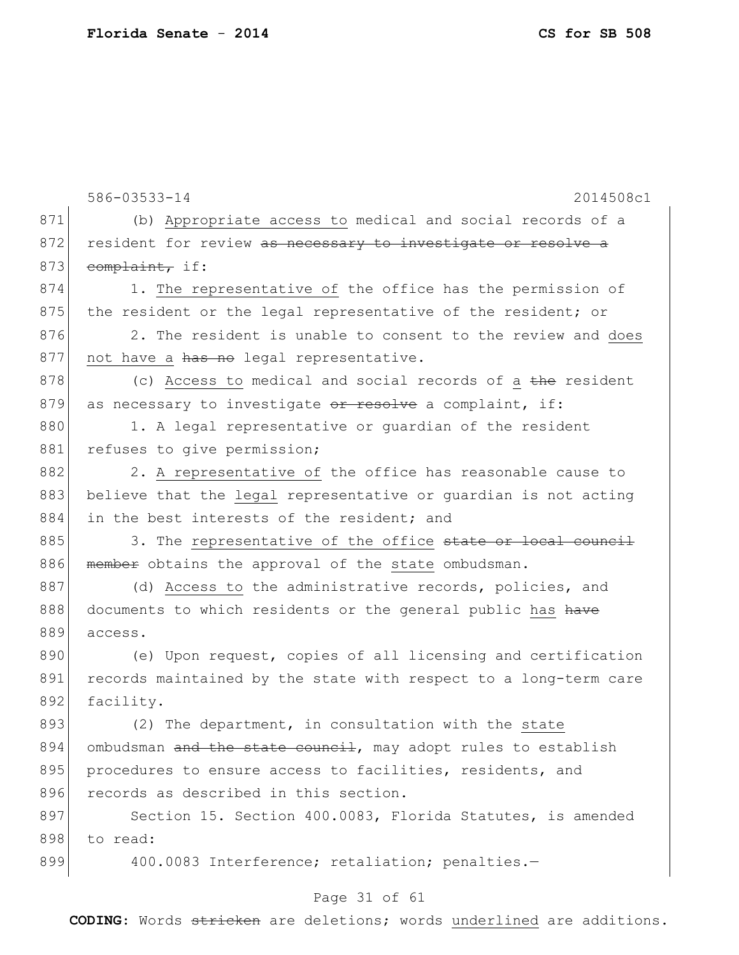|     | 586-03533-14<br>2014508c1                                        |
|-----|------------------------------------------------------------------|
| 871 | (b) Appropriate access to medical and social records of a        |
| 872 | resident for review as necessary to investigate or resolve a     |
| 873 | complaint, if:                                                   |
| 874 | 1. The representative of the office has the permission of        |
| 875 | the resident or the legal representative of the resident; or     |
| 876 | 2. The resident is unable to consent to the review and does      |
| 877 | not have a has no legal representative.                          |
| 878 | (c) Access to medical and social records of a the resident       |
| 879 | as necessary to investigate or resolve a complaint, if:          |
| 880 | 1. A legal representative or guardian of the resident            |
| 881 | refuses to give permission;                                      |
| 882 | 2. A representative of the office has reasonable cause to        |
| 883 | believe that the legal representative or guardian is not acting  |
| 884 | in the best interests of the resident; and                       |
| 885 | 3. The representative of the office state or local council       |
| 886 | member obtains the approval of the state ombudsman.              |
| 887 | (d) Access to the administrative records, policies, and          |
| 888 | documents to which residents or the general public has have      |
| 889 | access.                                                          |
| 890 | (e) Upon request, copies of all licensing and certification      |
| 891 | records maintained by the state with respect to a long-term care |
| 892 | facility.                                                        |
| 893 | (2) The department, in consultation with the state               |
| 894 | ombudsman and the state council, may adopt rules to establish    |
| 895 | procedures to ensure access to facilities, residents, and        |
| 896 | records as described in this section.                            |
| 897 | Section 15. Section 400.0083, Florida Statutes, is amended       |
| 898 | to read:                                                         |
| 899 | 400.0083 Interference; retaliation; penalties.-                  |
|     | Page 31 of 61                                                    |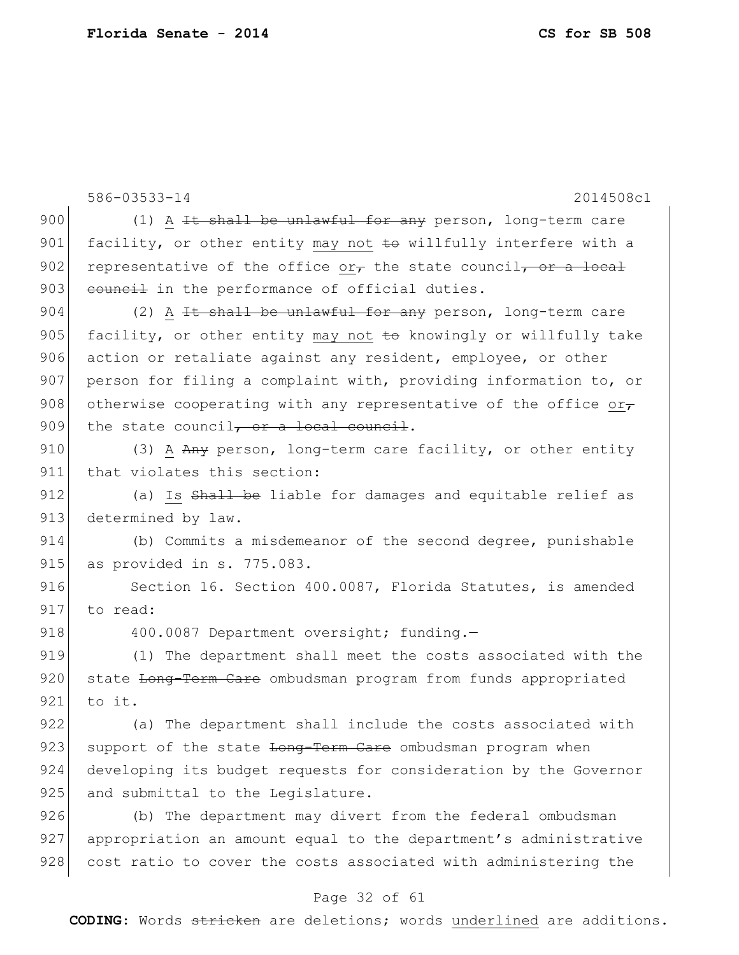586-03533-14 2014508c1 900 (1) A  $H$  shall be unlawful for any person, long-term care 901 facility, or other entity may not  $\pm \Theta$  willfully interfere with a 902 representative of the office or $\tau$  the state council, or a local 903 council in the performance of official duties. 904  $(2)$  A <del>It shall be unlawful for any</del> person, long-term care 905 facility, or other entity may not  $\pm \Theta$  knowingly or willfully take 906 action or retaliate against any resident, employee, or other 907 person for filing a complaint with, providing information to, or 908 otherwise cooperating with any representative of the office or-909 the state council, or a local council. 910 (3) A Any person, long-term care facility, or other entity 911 that violates this section: 912 (a) Is Shall be liable for damages and equitable relief as 913 determined by law. 914 (b) Commits a misdemeanor of the second degree, punishable 915 as provided in s. 775.083. 916 Section 16. Section 400.0087, Florida Statutes, is amended 917 to read: 918 400.0087 Department oversight; funding. 919 (1) The department shall meet the costs associated with the 920 state Long-Term Care ombudsman program from funds appropriated 921 to it. 922 (a) The department shall include the costs associated with 923 support of the state <del>Long-Term Care</del> ombudsman program when 924 developing its budget requests for consideration by the Governor 925 and submittal to the Legislature. 926 (b) The department may divert from the federal ombudsman 927 appropriation an amount equal to the department's administrative 928 cost ratio to cover the costs associated with administering the

#### Page 32 of 61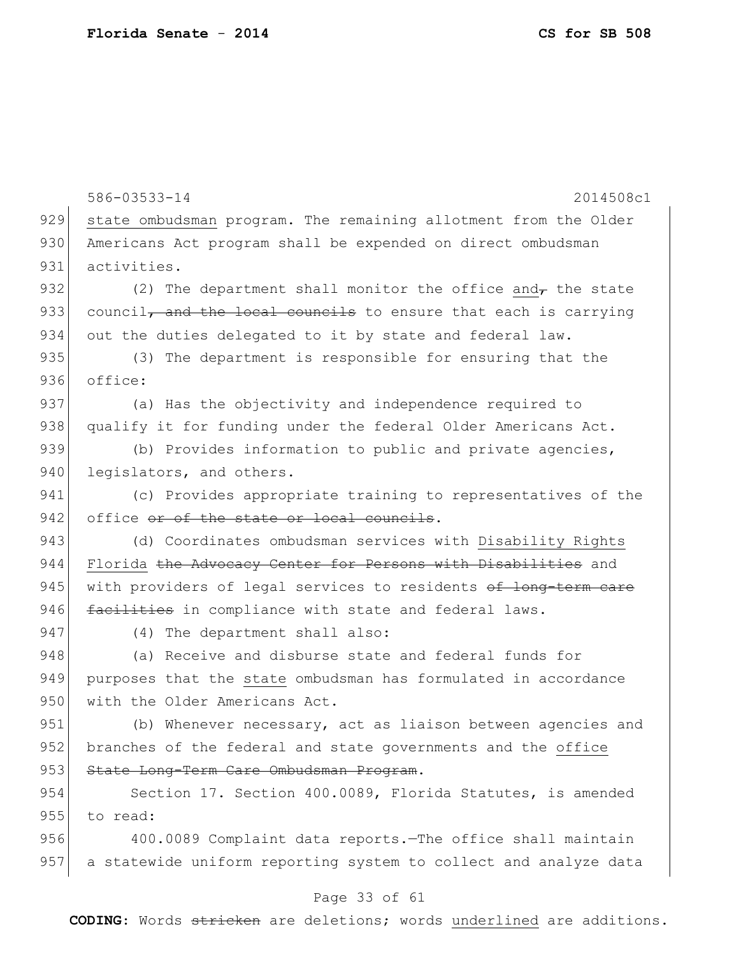586-03533-14 2014508c1 929 state ombudsman program. The remaining allotment from the Older 930 Americans Act program shall be expended on direct ombudsman 931 activities. 932 (2) The department shall monitor the office and the state 933 council, and the local councils to ensure that each is carrying 934 out the duties delegated to it by state and federal law. 935 (3) The department is responsible for ensuring that the 936 office: 937 (a) Has the objectivity and independence required to 938 qualify it for funding under the federal Older Americans Act. 939 (b) Provides information to public and private agencies, 940 legislators, and others. 941 (c) Provides appropriate training to representatives of the 942 office or of the state or local councils. 943 (d) Coordinates ombudsman services with Disability Rights 944 Florida the Advocacy Center for Persons with Disabilities and 945 with providers of legal services to residents of long-term care 946 facilities in compliance with state and federal laws. 947 (4) The department shall also: 948 (a) Receive and disburse state and federal funds for 949 purposes that the state ombudsman has formulated in accordance 950 with the Older Americans Act. 951 (b) Whenever necessary, act as liaison between agencies and 952 branches of the federal and state governments and the office 953 State Long-Term Care Ombudsman Program. 954 Section 17. Section 400.0089, Florida Statutes, is amended 955 to read: 956 400.0089 Complaint data reports.—The office shall maintain 957 a statewide uniform reporting system to collect and analyze data

#### Page 33 of 61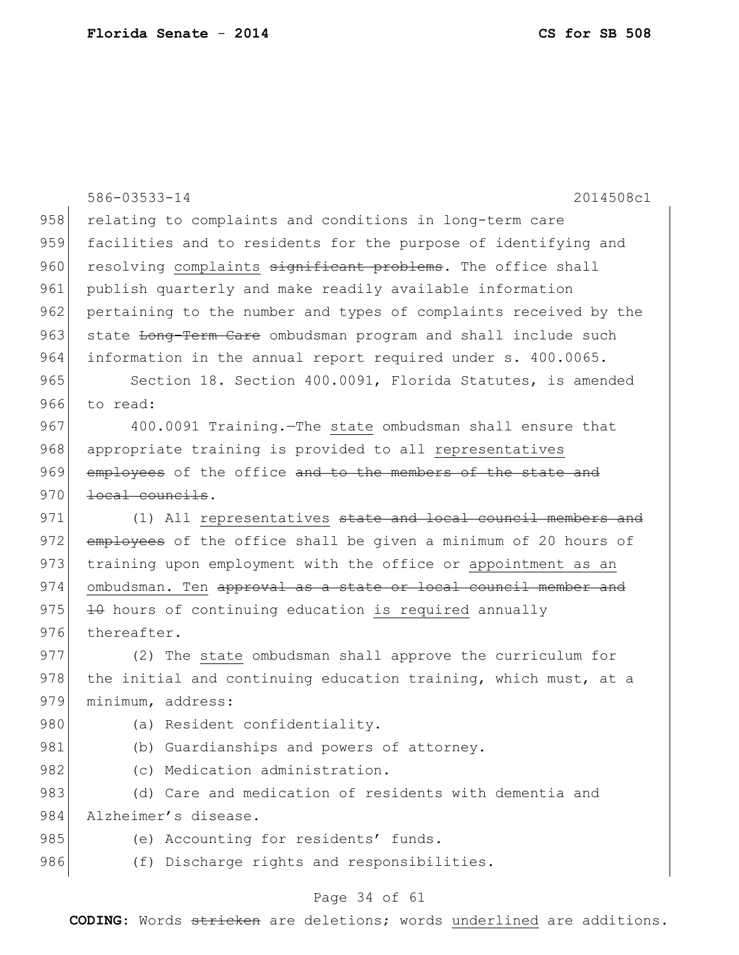|     | 586-03533-14<br>2014508c1                                        |
|-----|------------------------------------------------------------------|
| 958 | relating to complaints and conditions in long-term care          |
| 959 | facilities and to residents for the purpose of identifying and   |
| 960 | resolving complaints significant problems. The office shall      |
| 961 | publish quarterly and make readily available information         |
| 962 | pertaining to the number and types of complaints received by the |
| 963 | state Long-Term Care ombudsman program and shall include such    |
| 964 | information in the annual report required under s. 400.0065.     |
| 965 | Section 18. Section 400.0091, Florida Statutes, is amended       |
| 966 | to read:                                                         |
| 967 | 400.0091 Training. The state ombudsman shall ensure that         |
| 968 | appropriate training is provided to all representatives          |
| 969 | employees of the office and to the members of the state and      |
| 970 | local councils.                                                  |
| 971 | (1) All representatives state and local council members and      |
| 972 | employees of the office shall be given a minimum of 20 hours of  |
| 973 | training upon employment with the office or appointment as an    |
| 974 | ombudsman. Ten approval as a state or local council member and   |
| 975 | 10 hours of continuing education is required annually            |
| 976 | thereafter.                                                      |
| 977 | (2) The state ombudsman shall approve the curriculum for         |
| 978 | the initial and continuing education training, which must, at a  |
| 979 | minimum, address:                                                |
| 980 | (a) Resident confidentiality.                                    |
| 981 | (b) Guardianships and powers of attorney.                        |
| 982 | (c) Medication administration.                                   |
| 983 | (d) Care and medication of residents with dementia and           |
| 984 | Alzheimer's disease.                                             |
| 985 | (e) Accounting for residents' funds.                             |
| 986 | (f) Discharge rights and responsibilities.                       |
|     | Page 34 of 61                                                    |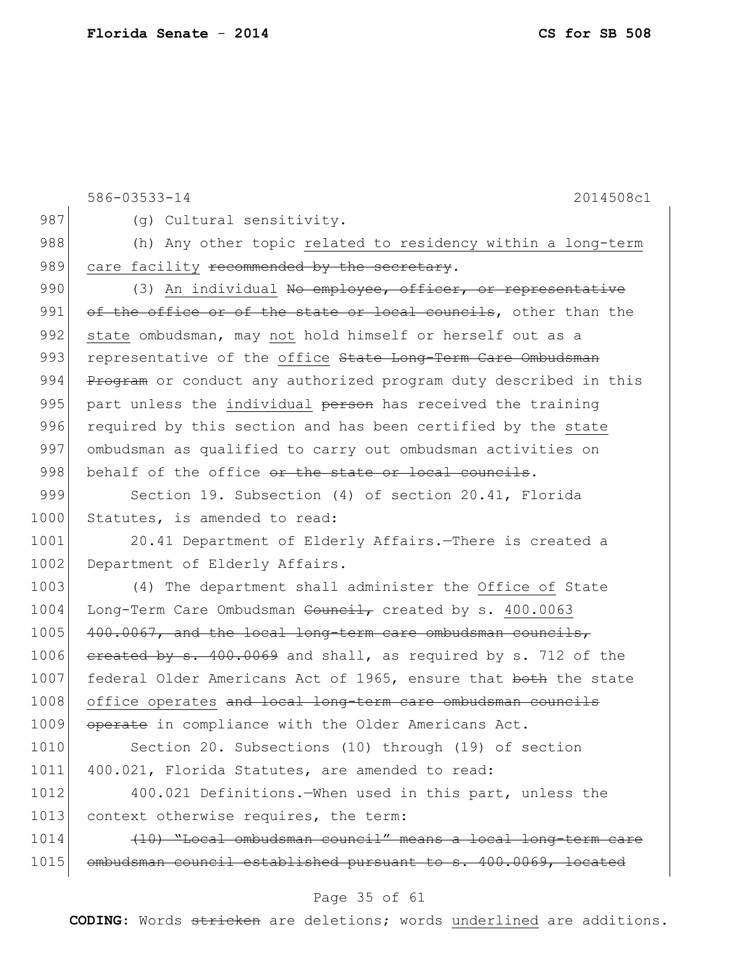586-03533-14 2014508c1 987 (g) Cultural sensitivity. 988 (h) Any other topic related to residency within a long-term 989 care facility recommended by the secretary. 990 (3) An individual No employee, officer, or representative 991 of the office or of the state or local councils, other than the 992 state ombudsman, may not hold himself or herself out as a 993 representative of the office State Long-Term Care Ombudsman 994 Program or conduct any authorized program duty described in this 995 part unless the individual person has received the training 996 required by this section and has been certified by the state 997 ombudsman as qualified to carry out ombudsman activities on 998 behalf of the office or the state or local councils. 999 Section 19. Subsection (4) of section 20.41, Florida 1000 Statutes, is amended to read: 1001 20.41 Department of Elderly Affairs. - There is created a 1002 Department of Elderly Affairs. 1003 (4) The department shall administer the Office of State 1004 Long-Term Care Ombudsman Council, created by s. 400.0063 1005 400.0067, and the local long-term care ombudsman councils, 1006  $e$ reated by s. 400.0069 and shall, as required by s. 712 of the 1007 federal Older Americans Act of 1965, ensure that both the state 1008 office operates and local long-term care ombudsman councils 1009 operate in compliance with the Older Americans Act. 1010 Section 20. Subsections (10) through (19) of section 1011 400.021, Florida Statutes, are amended to read: 1012 400.021 Definitions.—When used in this part, unless the 1013 context otherwise requires, the term: 1014 (10) "Local ombudsman council" means a local long-term care 1015 ombudsman council established pursuant to s. 400.0069, located

#### Page 35 of 61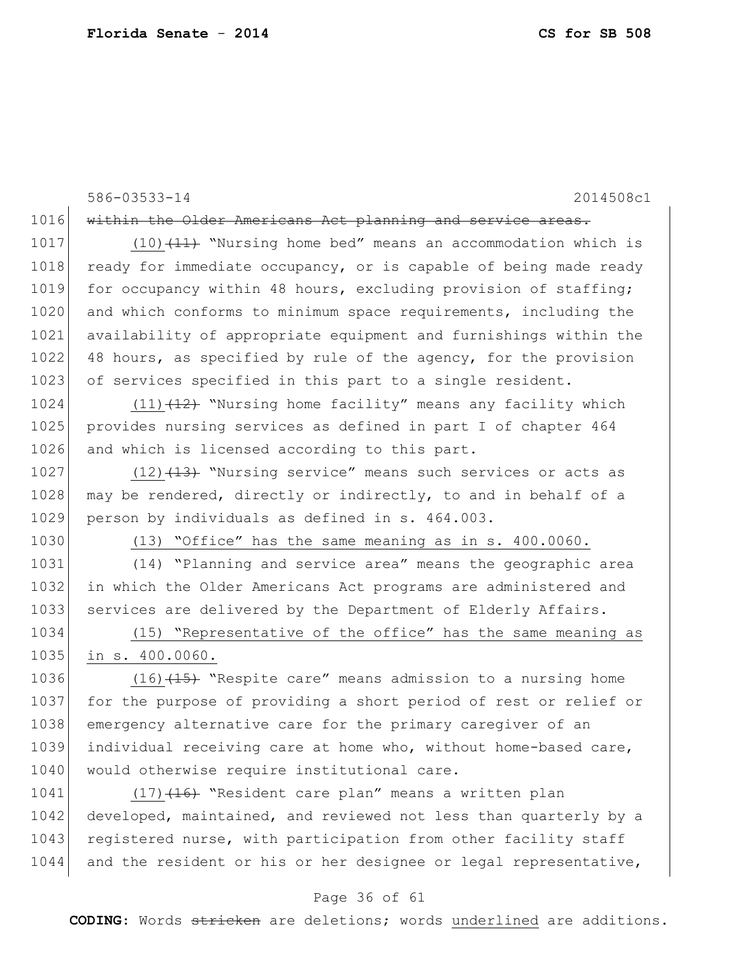|      | 586-03533-14<br>2014508c1                                        |
|------|------------------------------------------------------------------|
| 1016 | within the Older Americans Act planning and service areas.       |
| 1017 | $(10)$ $(11)$ "Nursing home bed" means an accommodation which is |
| 1018 | ready for immediate occupancy, or is capable of being made ready |
| 1019 | for occupancy within 48 hours, excluding provision of staffing;  |
| 1020 | and which conforms to minimum space requirements, including the  |
| 1021 | availability of appropriate equipment and furnishings within the |
| 1022 | 48 hours, as specified by rule of the agency, for the provision  |
| 1023 | of services specified in this part to a single resident.         |
| 1024 | $(11)$ $(12)$ "Nursing home facility" means any facility which   |
| 1025 | provides nursing services as defined in part I of chapter 464    |
| 1026 | and which is licensed according to this part.                    |
| 1027 | $(12)$ $(13)$ "Nursing service" means such services or acts as   |
| 1028 | may be rendered, directly or indirectly, to and in behalf of a   |
| 1029 | person by individuals as defined in s. 464.003.                  |
| 1030 | (13) "Office" has the same meaning as in s. 400.0060.            |
| 1031 | (14) "Planning and service area" means the geographic area       |
| 1032 | in which the Older Americans Act programs are administered and   |
| 1033 | services are delivered by the Department of Elderly Affairs.     |
| 1034 | (15) "Representative of the office" has the same meaning as      |
| 1035 | in s. 400.0060.                                                  |
| 1036 | $(16)$ $(15)$ "Respite care" means admission to a nursing home   |
| 1037 | for the purpose of providing a short period of rest or relief or |
| 1038 | emergency alternative care for the primary caregiver of an       |
| 1039 | individual receiving care at home who, without home-based care,  |
| 1040 | would otherwise require institutional care.                      |
| 1041 | (17) (16) "Resident care plan" means a written plan              |
| 1042 | developed, maintained, and reviewed not less than quarterly by a |
| 1043 | registered nurse, with participation from other facility staff   |

## Page 36 of 61

1044 and the resident or his or her designee or legal representative,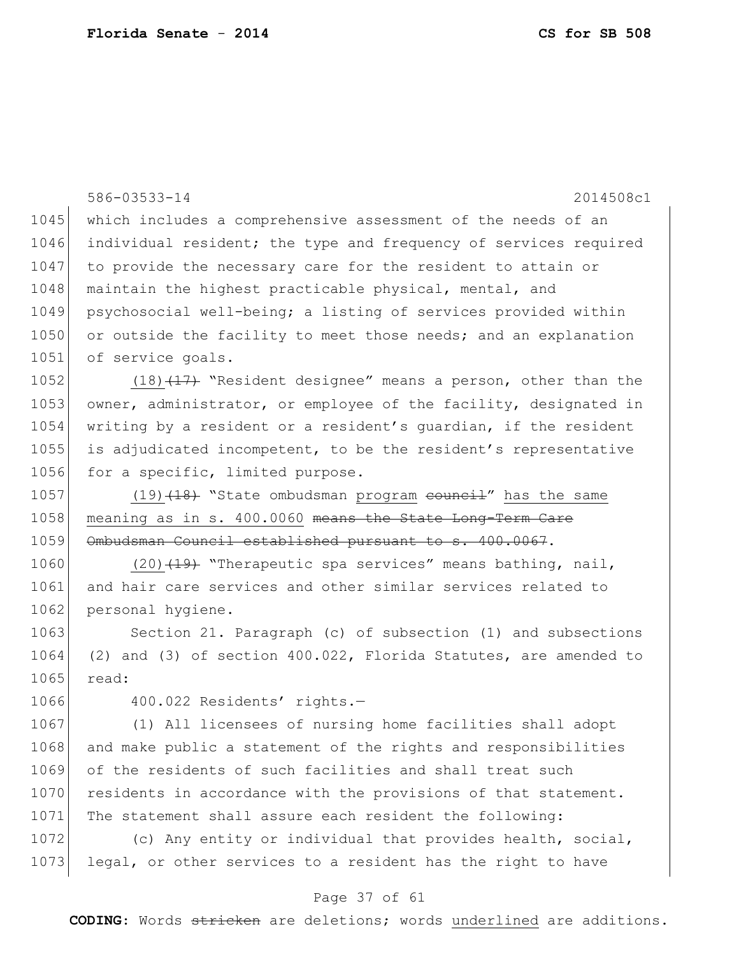|      | 586-03533-14<br>2014508c1                                        |
|------|------------------------------------------------------------------|
| 1045 | which includes a comprehensive assessment of the needs of an     |
| 1046 | individual resident; the type and frequency of services required |
| 1047 | to provide the necessary care for the resident to attain or      |
| 1048 | maintain the highest practicable physical, mental, and           |
| 1049 | psychosocial well-being; a listing of services provided within   |
| 1050 | or outside the facility to meet those needs; and an explanation  |
| 1051 | of service goals.                                                |
| 1052 | $(18)$ $(17)$ "Resident designee" means a person, other than the |
| 1053 | owner, administrator, or employee of the facility, designated in |
| 1054 | writing by a resident or a resident's guardian, if the resident  |
| 1055 | is adjudicated incompetent, to be the resident's representative  |
| 1056 | for a specific, limited purpose.                                 |
| 1057 | $(19)$ $(18)$ "State ombudsman program eouncil" has the same     |
| 1058 | meaning as in s. 400.0060 means the State Long-Term Care         |
| 1059 | Ombudsman Council established pursuant to s. 400.0067.           |
| 1060 | (20) (19) "Therapeutic spa services" means bathing, nail,        |
| 1061 | and hair care services and other similar services related to     |
| 1062 | personal hygiene.                                                |
| 1063 | Section 21. Paragraph (c) of subsection (1) and subsections      |
| 1064 | (2) and (3) of section 400.022, Florida Statutes, are amended to |
| 1065 | read:                                                            |
| 1066 | 400.022 Residents' rights.-                                      |
| 1067 | (1) All licensees of nursing home facilities shall adopt         |
| 1068 | and make public a statement of the rights and responsibilities   |
| 1069 | of the residents of such facilities and shall treat such         |
| 1070 | residents in accordance with the provisions of that statement.   |
| 1071 | The statement shall assure each resident the following:          |
| 1072 | (c) Any entity or individual that provides health, social,       |
| 1073 | legal, or other services to a resident has the right to have     |

# Page 37 of 61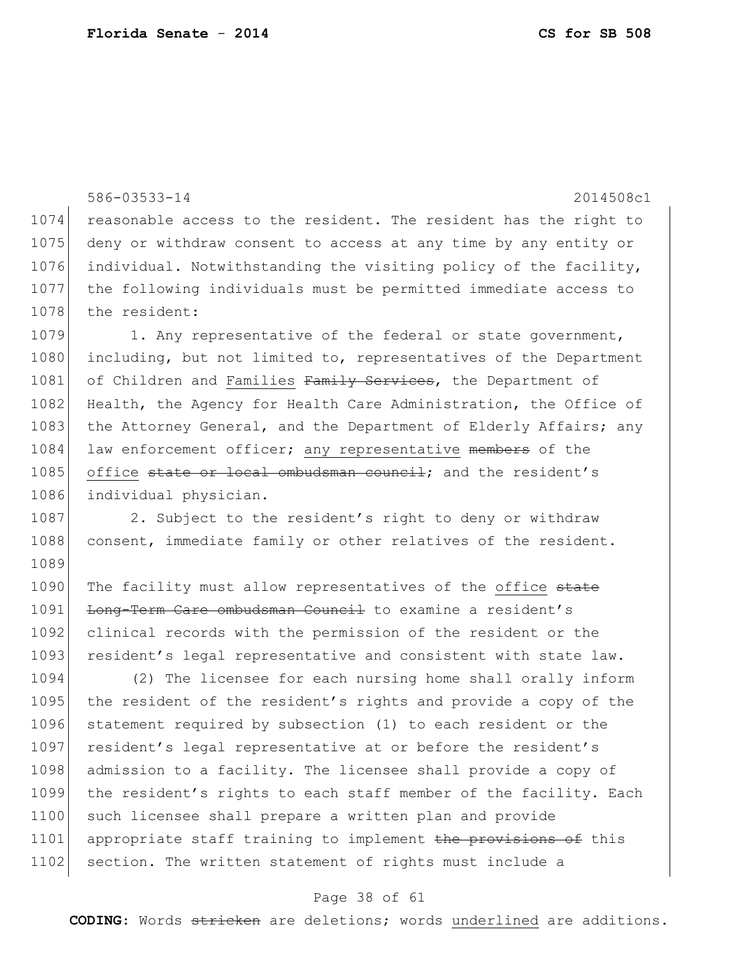```
586-03533-14 2014508c1
1074 reasonable access to the resident. The resident has the right to 
1075 deny or withdraw consent to access at any time by any entity or
1076 individual. Notwithstanding the visiting policy of the facility, 
1077 the following individuals must be permitted immediate access to 
1078 the resident:
1079 1. Any representative of the federal or state government,
1080 including, but not limited to, representatives of the Department
1081 of Children and Families Family Services, the Department of
1082 Health, the Agency for Health Care Administration, the Office of
1083 the Attorney General, and the Department of Elderly Affairs; any
1084 law enforcement officer; any representative members of the
1085 office state or local ombudsman council; and the resident's
1086 individual physician.
1087 2. Subject to the resident's right to deny or withdraw
1088 consent, immediate family or other relatives of the resident.
1089
1090 The facility must allow representatives of the office state
1091 Long-Term Care ombudsman Council to examine a resident's
1092 clinical records with the permission of the resident or the
1093 resident's legal representative and consistent with state law.
1094 (2) The licensee for each nursing home shall orally inform 
1095 the resident of the resident's rights and provide a copy of the
1096 statement required by subsection (1) to each resident or the 
1097 resident's legal representative at or before the resident's
1098 admission to a facility. The licensee shall provide a copy of
1099 the resident's rights to each staff member of the facility. Each 
1100 such licensee shall prepare a written plan and provide
1101 appropriate staff training to implement the provisions of this
1102 section. The written statement of rights must include a
```
#### Page 38 of 61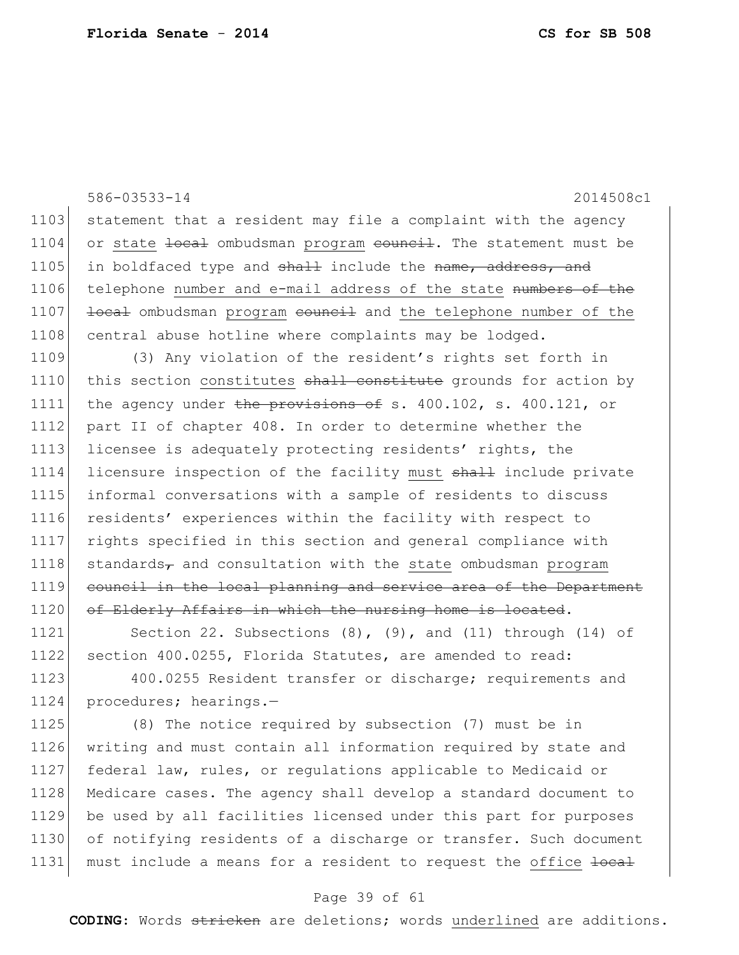1103 statement that a resident may file a complaint with the agency 1104 or state <del>local</del> ombudsman program <del>council</del>. The statement must be 1105 in boldfaced type and shall include the name, address, and 1106 | telephone number and e-mail address of the state numbers of the 1107 local ombudsman program council and the telephone number of the 1108 central abuse hotline where complaints may be lodged.

1109 (3) Any violation of the resident's rights set forth in 1110 this section constitutes shall constitute grounds for action by 1111 the agency under the provisions of s.  $400.102$ , s.  $400.121$ , or 1112 part II of chapter 408. In order to determine whether the 1113 licensee is adequately protecting residents' rights, the 1114 licensure inspection of the facility must shall include private 1115 informal conversations with a sample of residents to discuss 1116 residents' experiences within the facility with respect to 1117 rights specified in this section and general compliance with 1118 standards $_{\tau}$  and consultation with the state ombudsman program 1119 council in the local planning and service area of the Department 1120 of Elderly Affairs in which the nursing home is located.

1121 Section 22. Subsections (8), (9), and (11) through (14) of 1122 section 400.0255, Florida Statutes, are amended to read:

1123 400.0255 Resident transfer or discharge; requirements and 1124 procedures; hearings.-

 (8) The notice required by subsection (7) must be in writing and must contain all information required by state and federal law, rules, or regulations applicable to Medicaid or Medicare cases. The agency shall develop a standard document to be used by all facilities licensed under this part for purposes of notifying residents of a discharge or transfer. Such document 1131 must include a means for a resident to request the office local

#### Page 39 of 61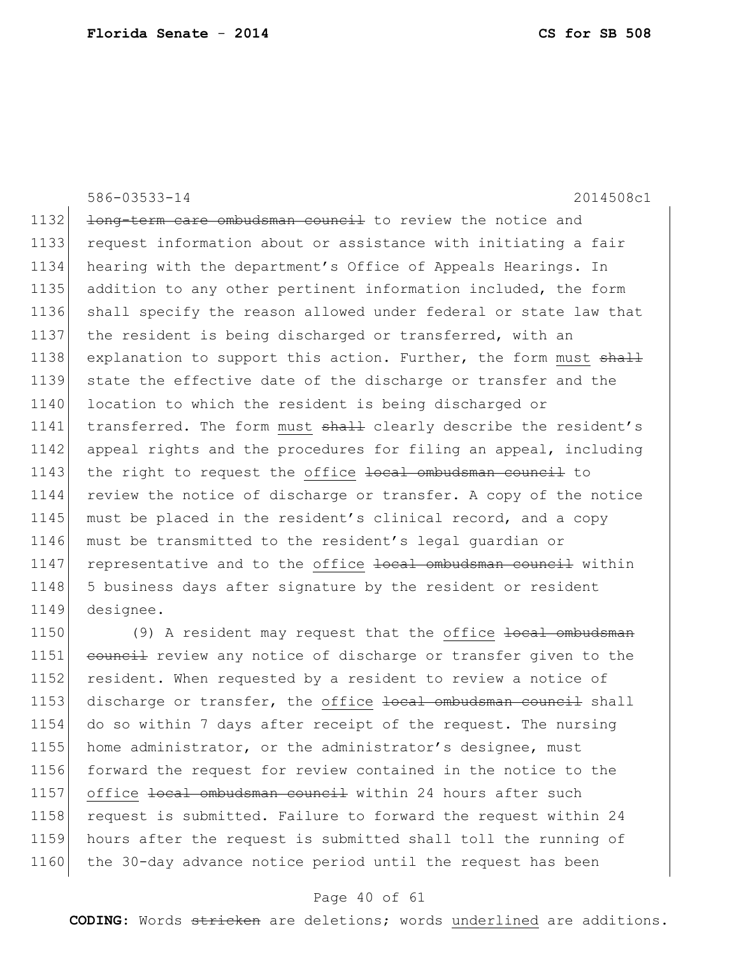1132 <del>long-term care ombudsman council</del> to review the notice and 1133 request information about or assistance with initiating a fair 1134 hearing with the department's Office of Appeals Hearings. In 1135 addition to any other pertinent information included, the form 1136 shall specify the reason allowed under federal or state law that 1137 the resident is being discharged or transferred, with an 1138 explanation to support this action. Further, the form must shall 1139 state the effective date of the discharge or transfer and the 1140 location to which the resident is being discharged or 1141 transferred. The form must shall clearly describe the resident's 1142 appeal rights and the procedures for filing an appeal, including 1143 the right to request the office local ombudsman council to 1144 review the notice of discharge or transfer. A copy of the notice 1145 must be placed in the resident's clinical record, and a copy 1146 must be transmitted to the resident's legal guardian or 1147 representative and to the office local ombudsman council within 1148 5 business days after signature by the resident or resident 1149 designee.

1150 (9) A resident may request that the office <del>local ombudsman</del> 1151 council review any notice of discharge or transfer given to the 1152 resident. When requested by a resident to review a notice of 1153 discharge or transfer, the office local ombudsman council shall 1154 do so within 7 days after receipt of the request. The nursing 1155 home administrator, or the administrator's designee, must 1156 forward the request for review contained in the notice to the 1157 office local ombudsman council within 24 hours after such 1158 request is submitted. Failure to forward the request within 24 1159 hours after the request is submitted shall toll the running of 1160 the 30-day advance notice period until the request has been

#### Page 40 of 61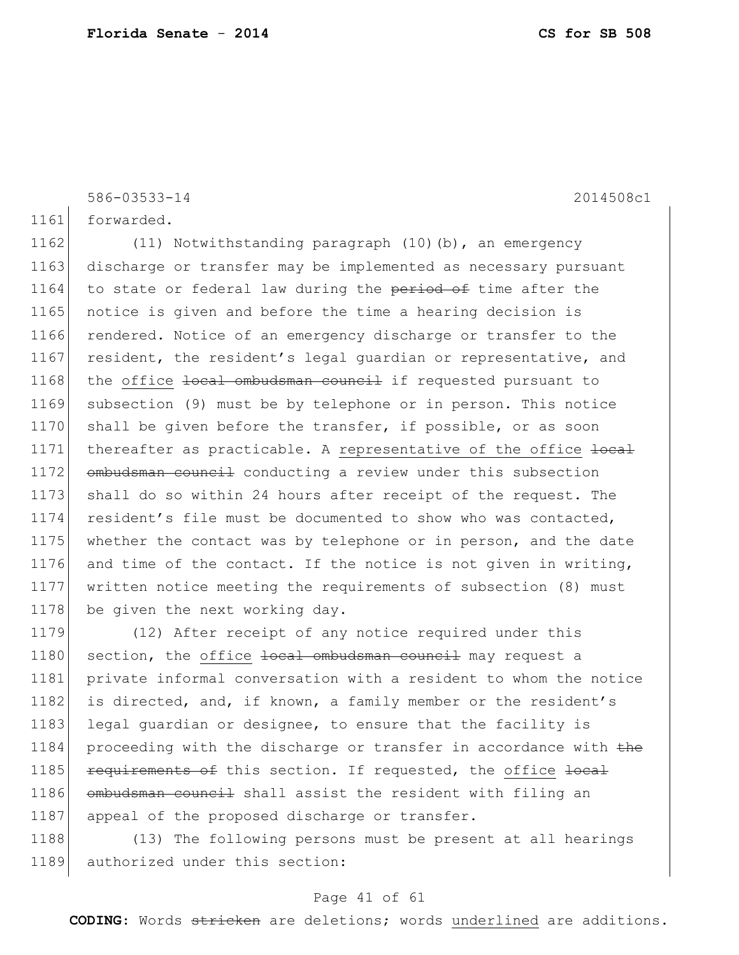1161 forwarded.

1162 (11) Notwithstanding paragraph (10)(b), an emergency 1163 discharge or transfer may be implemented as necessary pursuant 1164 to state or federal law during the period of time after the 1165 notice is given and before the time a hearing decision is 1166 rendered. Notice of an emergency discharge or transfer to the 1167 resident, the resident's legal guardian or representative, and 1168 the office local ombudsman council if requested pursuant to 1169 subsection (9) must be by telephone or in person. This notice 1170 shall be given before the transfer, if possible, or as soon 1171 thereafter as practicable. A representative of the office local 1172 ombudsman council conducting a review under this subsection 1173 shall do so within 24 hours after receipt of the request. The 1174 resident's file must be documented to show who was contacted, 1175 whether the contact was by telephone or in person, and the date 1176 and time of the contact. If the notice is not given in writing, 1177 written notice meeting the requirements of subsection (8) must 1178 be given the next working day.

1179 (12) After receipt of any notice required under this 1180 section, the office local ombudsman council may request a 1181 private informal conversation with a resident to whom the notice 1182 is directed, and, if known, a family member or the resident's 1183 legal guardian or designee, to ensure that the facility is 1184 proceeding with the discharge or transfer in accordance with the 1185 **requirements of** this section. If requested, the office local 1186 ombudsman council shall assist the resident with filing an 1187 appeal of the proposed discharge or transfer.

1188 (13) The following persons must be present at all hearings 1189 authorized under this section:

#### Page 41 of 61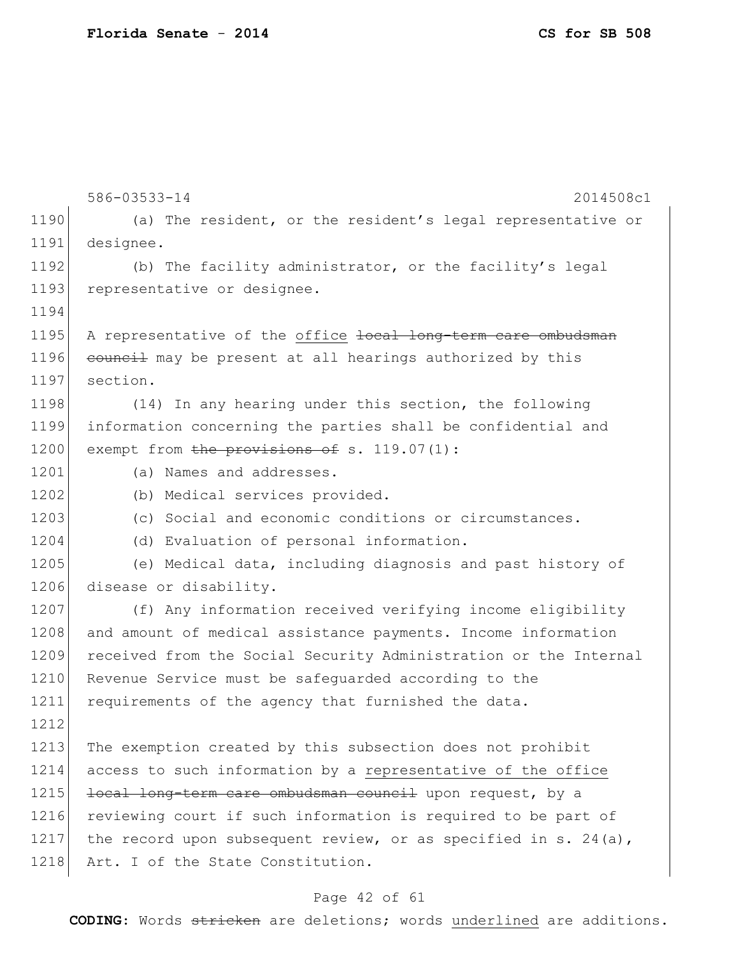586-03533-14 2014508c1 1190 (a) The resident, or the resident's legal representative or 1191 designee. 1192 (b) The facility administrator, or the facility's legal 1193 representative or designee. 1194 1195 A representative of the office local long-term care ombudsman 1196 council may be present at all hearings authorized by this 1197 section. 1198 (14) In any hearing under this section, the following 1199 information concerning the parties shall be confidential and 1200 exempt from the provisions of s. 119.07(1): 1201 (a) Names and addresses. 1202 (b) Medical services provided. 1203 (c) Social and economic conditions or circumstances. 1204 (d) Evaluation of personal information. 1205 (e) Medical data, including diagnosis and past history of 1206 disease or disability. 1207 (f) Any information received verifying income eligibility 1208 and amount of medical assistance payments. Income information 1209 received from the Social Security Administration or the Internal 1210 Revenue Service must be safequarded according to the 1211 requirements of the agency that furnished the data. 1212 1213 The exemption created by this subsection does not prohibit 1214 access to such information by a representative of the office 1215 local long-term care ombudsman council upon request, by a 1216 reviewing court if such information is required to be part of 1217 the record upon subsequent review, or as specified in s. 24(a), 1218 Art. I of the State Constitution.

#### Page 42 of 61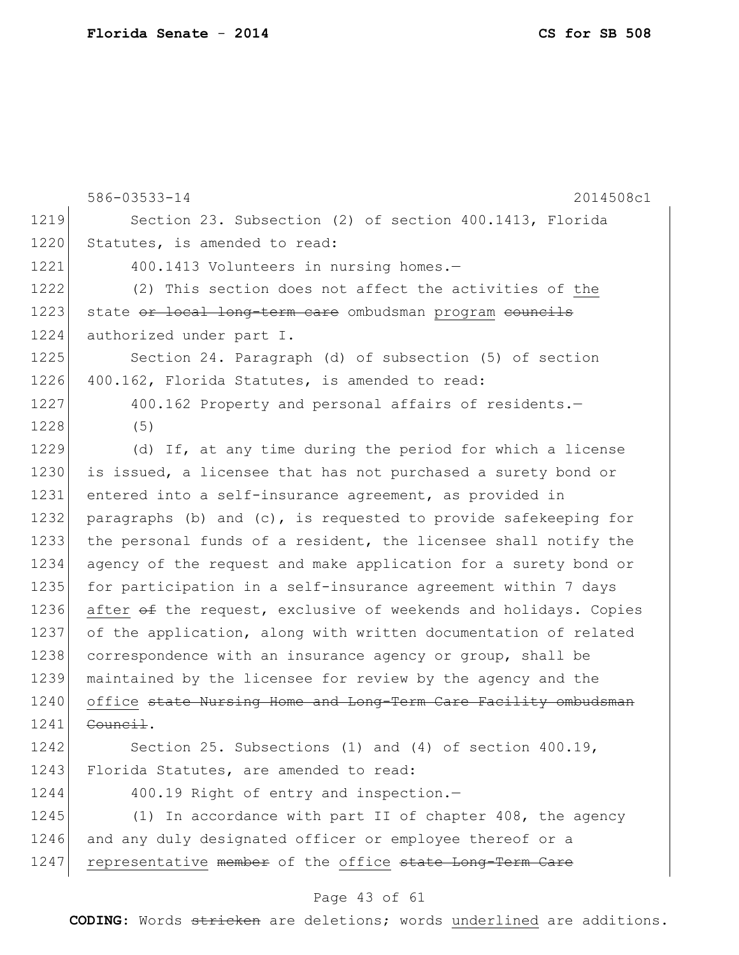|      | 586-03533-14<br>2014508c1                                          |
|------|--------------------------------------------------------------------|
| 1219 | Section 23. Subsection (2) of section 400.1413, Florida            |
| 1220 | Statutes, is amended to read:                                      |
| 1221 | 400.1413 Volunteers in nursing homes.-                             |
| 1222 | (2) This section does not affect the activities of the             |
| 1223 | state or local long-term care ombudsman program councils           |
| 1224 | authorized under part I.                                           |
| 1225 | Section 24. Paragraph (d) of subsection (5) of section             |
| 1226 | 400.162, Florida Statutes, is amended to read:                     |
| 1227 | 400.162 Property and personal affairs of residents.-               |
| 1228 | (5)                                                                |
| 1229 | (d) If, at any time during the period for which a license          |
| 1230 | is issued, a licensee that has not purchased a surety bond or      |
| 1231 | entered into a self-insurance agreement, as provided in            |
| 1232 | paragraphs (b) and $(c)$ , is requested to provide safekeeping for |
| 1233 | the personal funds of a resident, the licensee shall notify the    |
| 1234 | agency of the request and make application for a surety bond or    |
| 1235 | for participation in a self-insurance agreement within 7 days      |
| 1236 | after of the request, exclusive of weekends and holidays. Copies   |
| 1237 | of the application, along with written documentation of related    |
| 1238 | correspondence with an insurance agency or group, shall be         |
| 1239 | maintained by the licensee for review by the agency and the        |
| 1240 | office state Nursing Home and Long-Term Care Facility ombudsman    |
| 1241 | <del>Council</del> .                                               |
| 1242 | Section 25. Subsections (1) and (4) of section $400.19$ ,          |
| 1243 | Florida Statutes, are amended to read:                             |
| 1244 | 400.19 Right of entry and inspection.-                             |
| 1245 | (1) In accordance with part II of chapter 408, the agency          |
| 1246 | and any duly designated officer or employee thereof or a           |
| 1247 | representative member of the office state Long-Term Care           |

# Page 43 of 61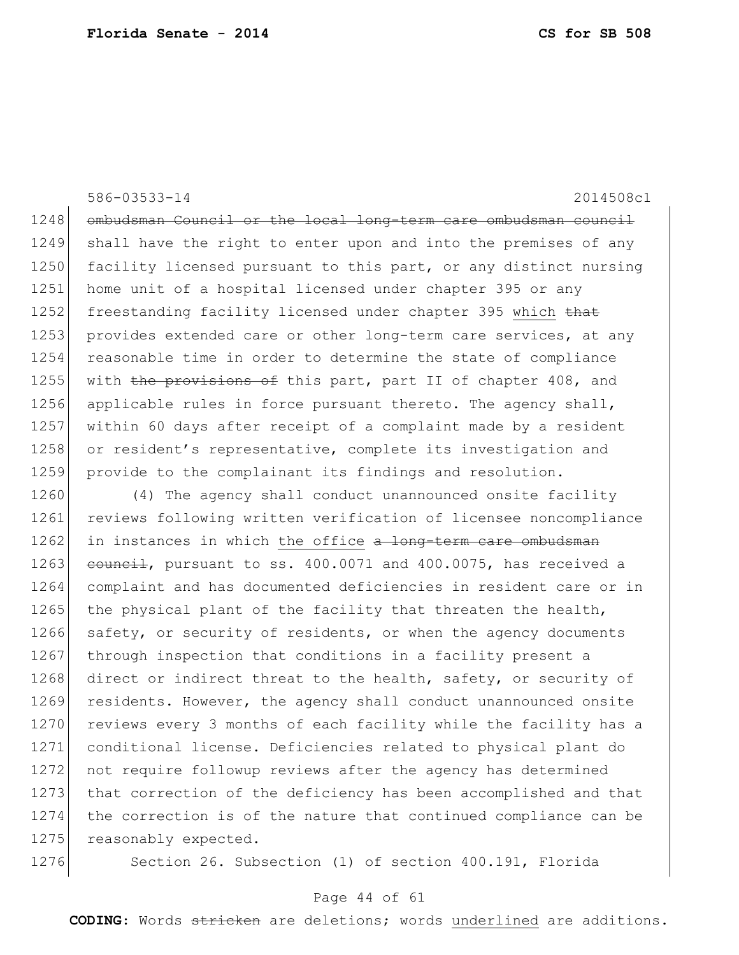1248 ombudsman Council or the local long-term care ombudsman council 1249 shall have the right to enter upon and into the premises of any 1250 facility licensed pursuant to this part, or any distinct nursing 1251 home unit of a hospital licensed under chapter 395 or any 1252 freestanding facility licensed under chapter 395 which that 1253 provides extended care or other long-term care services, at any 1254 reasonable time in order to determine the state of compliance 1255 with the provisions of this part, part II of chapter 408, and 1256 applicable rules in force pursuant thereto. The agency shall, 1257 within 60 days after receipt of a complaint made by a resident 1258 or resident's representative, complete its investigation and 1259 provide to the complainant its findings and resolution.

1260 (4) The agency shall conduct unannounced onsite facility 1261 reviews following written verification of licensee noncompliance 1262 in instances in which the office a long-term care ombudsman 1263 council, pursuant to ss.  $400.0071$  and  $400.0075$ , has received a 1264 complaint and has documented deficiencies in resident care or in 1265 the physical plant of the facility that threaten the health, 1266 safety, or security of residents, or when the agency documents 1267 through inspection that conditions in a facility present a 1268 direct or indirect threat to the health, safety, or security of 1269 residents. However, the agency shall conduct unannounced onsite 1270 reviews every 3 months of each facility while the facility has a 1271 conditional license. Deficiencies related to physical plant do 1272 not require followup reviews after the agency has determined 1273 that correction of the deficiency has been accomplished and that 1274 the correction is of the nature that continued compliance can be 1275 reasonably expected.

1276 Section 26. Subsection (1) of section 400.191, Florida

#### Page 44 of 61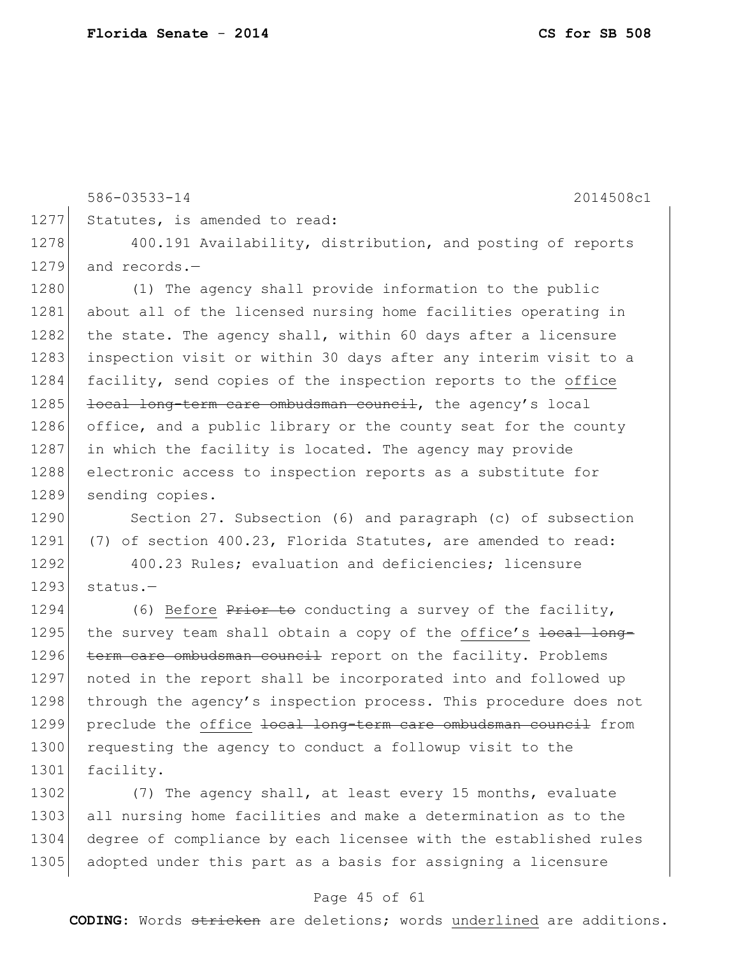586-03533-14 2014508c1 1277 Statutes, is amended to read: 1278 400.191 Availability, distribution, and posting of reports 1279 and records.-1280 (1) The agency shall provide information to the public 1281 about all of the licensed nursing home facilities operating in 1282 the state. The agency shall, within 60 days after a licensure 1283 inspection visit or within 30 days after any interim visit to a 1284 facility, send copies of the inspection reports to the office  $1285$  <del>local long-term care ombudsman council</del>, the agency's local 1286 office, and a public library or the county seat for the county 1287 in which the facility is located. The agency may provide 1288 electronic access to inspection reports as a substitute for 1289 sending copies.

1290 Section 27. Subsection (6) and paragraph (c) of subsection 1291 (7) of section 400.23, Florida Statutes, are amended to read:

1292 400.23 Rules; evaluation and deficiencies; licensure  $1293$  status. $-$ 

1294 (6) Before  $P$ rior to conducting a survey of the facility, 1295 the survey team shall obtain a copy of the office's <del>local long-</del> 1296 term care ombudsman council report on the facility. Problems 1297 noted in the report shall be incorporated into and followed up 1298 through the agency's inspection process. This procedure does not 1299 preclude the office local long-term care ombudsman council from 1300 requesting the agency to conduct a followup visit to the 1301 facility.

1302 (7) The agency shall, at least every 15 months, evaluate 1303 all nursing home facilities and make a determination as to the 1304 degree of compliance by each licensee with the established rules 1305 adopted under this part as a basis for assigning a licensure

#### Page 45 of 61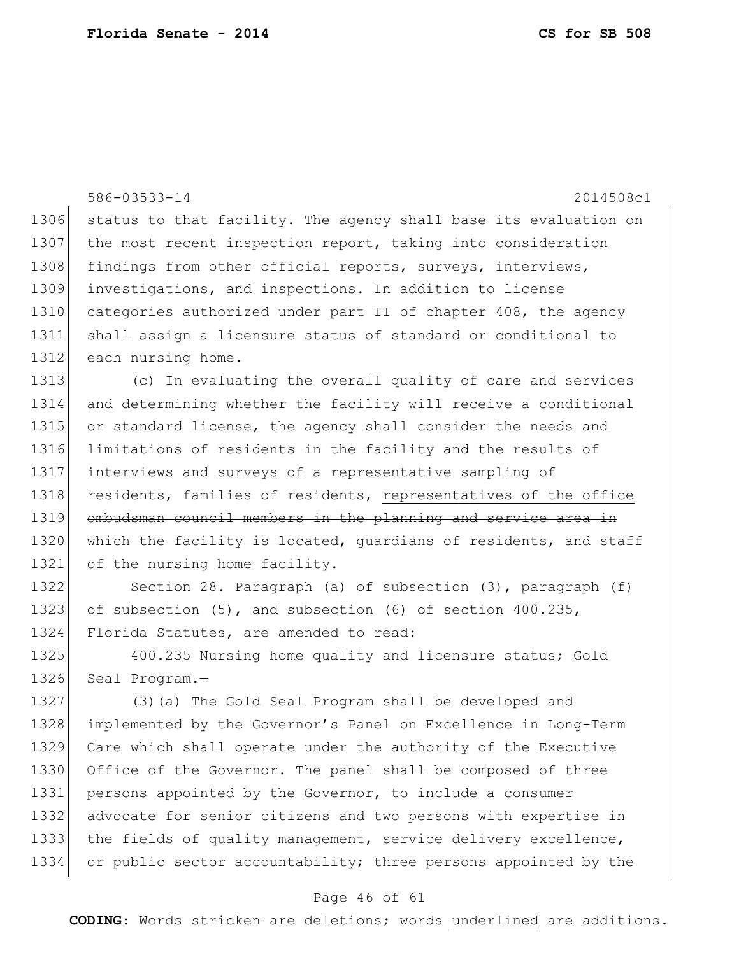|      | 586-03533-14<br>2014508c1                                         |
|------|-------------------------------------------------------------------|
| 1306 | status to that facility. The agency shall base its evaluation on  |
| 1307 | the most recent inspection report, taking into consideration      |
| 1308 |                                                                   |
|      | findings from other official reports, surveys, interviews,        |
| 1309 | investigations, and inspections. In addition to license           |
| 1310 | categories authorized under part II of chapter 408, the agency    |
| 1311 | shall assign a licensure status of standard or conditional to     |
| 1312 | each nursing home.                                                |
| 1313 | (c) In evaluating the overall quality of care and services        |
| 1314 | and determining whether the facility will receive a conditional   |
| 1315 | or standard license, the agency shall consider the needs and      |
| 1316 | limitations of residents in the facility and the results of       |
| 1317 | interviews and surveys of a representative sampling of            |
| 1318 | residents, families of residents, representatives of the office   |
| 1319 | ombudsman council members in the planning and service area in     |
| 1320 | which the facility is located, quardians of residents, and staff  |
| 1321 | of the nursing home facility.                                     |
| 1322 | Section 28. Paragraph (a) of subsection (3), paragraph (f)        |
| 1323 | of subsection $(5)$ , and subsection $(6)$ of section $400.235$ , |
| 1324 | Florida Statutes, are amended to read:                            |
| 1325 | 400.235 Nursing home quality and licensure status; Gold           |
| 1326 | Seal Program.-                                                    |
| 1327 | (3) (a) The Gold Seal Program shall be developed and              |
| 1328 | implemented by the Governor's Panel on Excellence in Long-Term    |
| 1329 | Care which shall operate under the authority of the Executive     |
| 1330 | Office of the Governor. The panel shall be composed of three      |
| 1331 | persons appointed by the Governor, to include a consumer          |
| 1332 | advocate for senior citizens and two persons with expertise in    |
| 1333 | the fields of quality management, service delivery excellence,    |
| 1334 | or public sector accountability; three persons appointed by the   |
|      |                                                                   |
|      |                                                                   |

## Page 46 of 61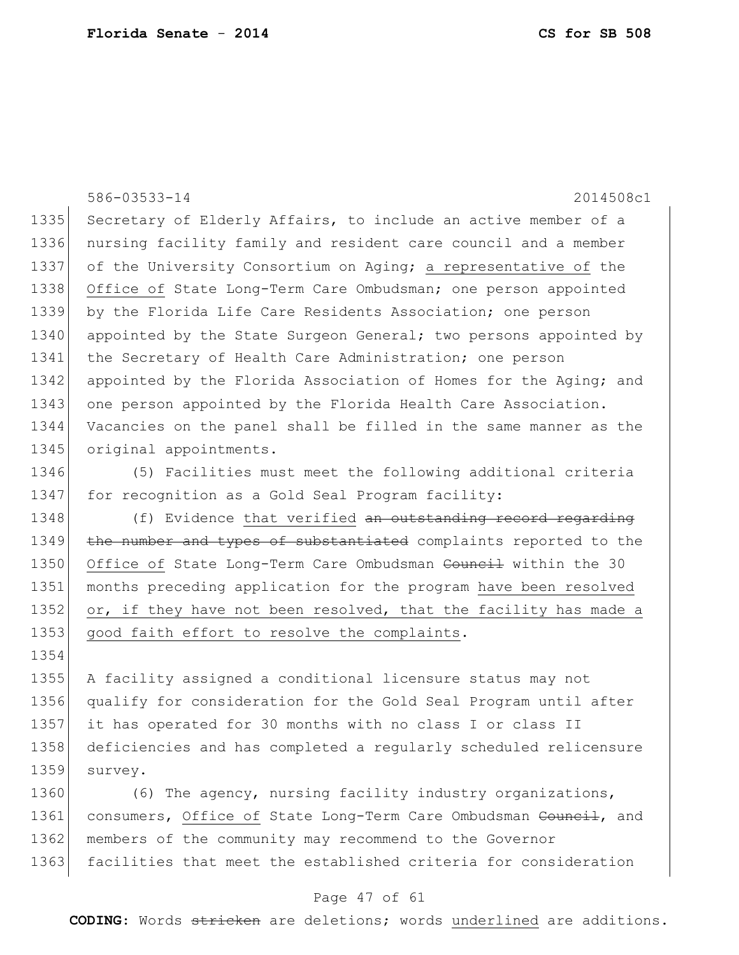|      | 586-03533-14<br>2014508c1                                        |
|------|------------------------------------------------------------------|
| 1335 | Secretary of Elderly Affairs, to include an active member of a   |
| 1336 | nursing facility family and resident care council and a member   |
| 1337 | of the University Consortium on Aging; a representative of the   |
| 1338 | Office of State Long-Term Care Ombudsman; one person appointed   |
| 1339 | by the Florida Life Care Residents Association; one person       |
| 1340 | appointed by the State Surgeon General; two persons appointed by |
| 1341 | the Secretary of Health Care Administration; one person          |
| 1342 | appointed by the Florida Association of Homes for the Aging; and |
| 1343 | one person appointed by the Florida Health Care Association.     |
| 1344 | Vacancies on the panel shall be filled in the same manner as the |
| 1345 | original appointments.                                           |
| 1346 | (5) Facilities must meet the following additional criteria       |
| 1347 | for recognition as a Gold Seal Program facility:                 |
| 1348 | (f) Evidence that verified an outstanding record regarding       |
| 1349 | the number and types of substantiated complaints reported to the |
| 1350 | Office of State Long-Term Care Ombudsman Council within the 30   |
| 1351 | months preceding application for the program have been resolved  |
| 1352 | or, if they have not been resolved, that the facility has made a |
| 1353 | good faith effort to resolve the complaints.                     |
| 1354 |                                                                  |
| 1355 | A facility assigned a conditional licensure status may not       |
| 1356 | qualify for consideration for the Gold Seal Program until after  |
| 1357 | it has operated for 30 months with no class I or class II        |
| 1358 | deficiencies and has completed a regularly scheduled relicensure |
| 1359 | survey.                                                          |
| 1360 | (6) The agency, nursing facility industry organizations,         |
| 1361 | consumers, Office of State Long-Term Care Ombudsman Council, and |
| 1362 | members of the community may recommend to the Governor           |
| 1363 | facilities that meet the established criteria for consideration  |

## Page 47 of 61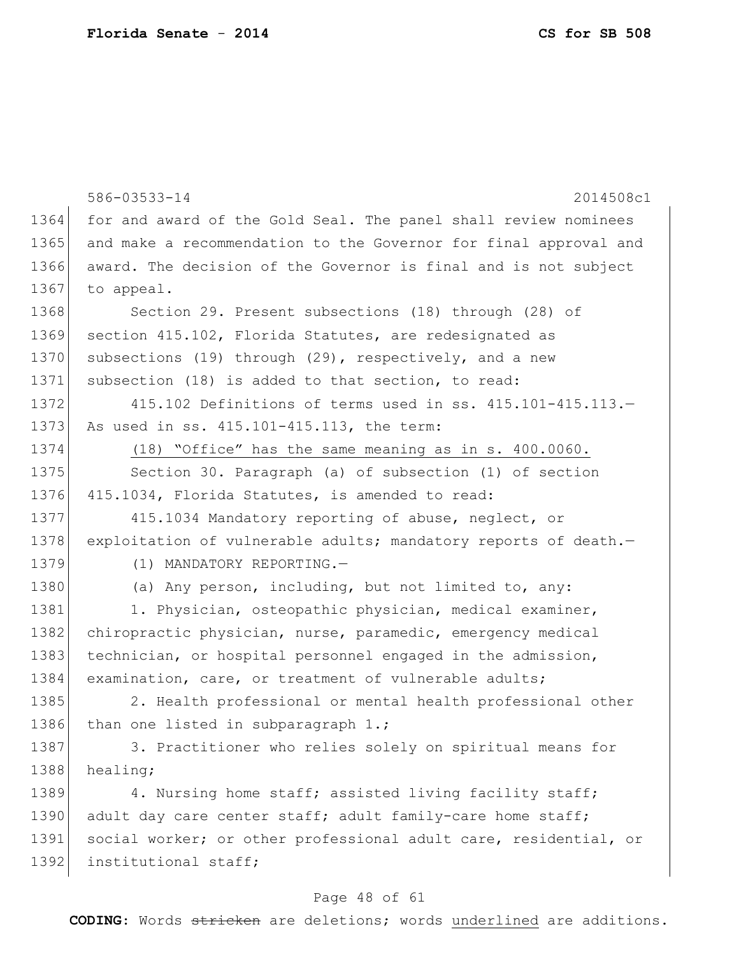|                                                                       | 586-03533-14<br>2014508c1                                        |
|-----------------------------------------------------------------------|------------------------------------------------------------------|
| 1364                                                                  | for and award of the Gold Seal. The panel shall review nominees  |
| 1365                                                                  | and make a recommendation to the Governor for final approval and |
| 1366                                                                  | award. The decision of the Governor is final and is not subject  |
| 1367                                                                  | to appeal.                                                       |
| 1368                                                                  | Section 29. Present subsections (18) through (28) of             |
| 1369                                                                  | section 415.102, Florida Statutes, are redesignated as           |
| 1370                                                                  | subsections (19) through (29), respectively, and a new           |
| 1371                                                                  | subsection (18) is added to that section, to read:               |
| 1372                                                                  | 415.102 Definitions of terms used in ss. 415.101-415.113.-       |
| 1373                                                                  | As used in ss. 415.101-415.113, the term:                        |
| 1374                                                                  | (18) "Office" has the same meaning as in s. 400.0060.            |
| 1375                                                                  | Section 30. Paragraph (a) of subsection (1) of section           |
| 1376                                                                  | 415.1034, Florida Statutes, is amended to read:                  |
| 1377                                                                  | 415.1034 Mandatory reporting of abuse, neglect, or               |
| 1378                                                                  | exploitation of vulnerable adults; mandatory reports of death.-  |
| 1379                                                                  | (1) MANDATORY REPORTING.-                                        |
| 1380                                                                  | (a) Any person, including, but not limited to, any:              |
| 1381                                                                  | 1. Physician, osteopathic physician, medical examiner,           |
| 1382                                                                  | chiropractic physician, nurse, paramedic, emergency medical      |
| 1383                                                                  | technician, or hospital personnel engaged in the admission,      |
| 1384                                                                  | examination, care, or treatment of vulnerable adults;            |
| 1385                                                                  | 2. Health professional or mental health professional other       |
| 1386                                                                  | than one listed in subparagraph 1.;                              |
| 1387                                                                  | 3. Practitioner who relies solely on spiritual means for         |
| 1388                                                                  | healing;                                                         |
| 1389                                                                  | 4. Nursing home staff; assisted living facility staff;           |
| 1390                                                                  | adult day care center staff; adult family-care home staff;       |
| 1391                                                                  | social worker; or other professional adult care, residential, or |
| 1392                                                                  | institutional staff;                                             |
|                                                                       | Page 48 of 61                                                    |
| CODING: Words stricken are deletions; words underlined are additions. |                                                                  |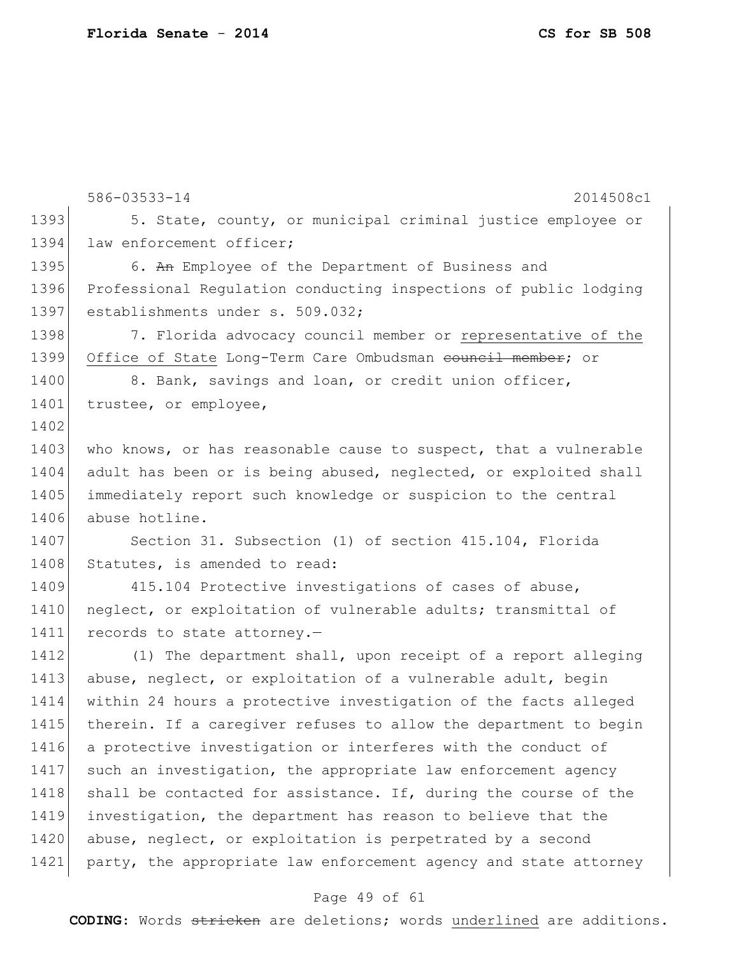586-03533-14 2014508c1 1393 5. State, county, or municipal criminal justice employee or 1394 law enforcement officer; 1395 6. An Employee of the Department of Business and 1396 Professional Regulation conducting inspections of public lodging 1397 establishments under s. 509.032; 1398 1398 7. Florida advocacy council member or representative of the 1399 Office of State Long-Term Care Ombudsman council member; or 1400 8. Bank, savings and loan, or credit union officer, 1401 trustee, or employee, 1402 1403 who knows, or has reasonable cause to suspect, that a vulnerable 1404 adult has been or is being abused, neglected, or exploited shall 1405 immediately report such knowledge or suspicion to the central 1406 abuse hotline. 1407 Section 31. Subsection (1) of section 415.104, Florida 1408 Statutes, is amended to read: 1409 415.104 Protective investigations of cases of abuse, 1410 | neglect, or exploitation of vulnerable adults; transmittal of 1411 records to state attorney.-1412 (1) The department shall, upon receipt of a report alleging 1413 abuse, neglect, or exploitation of a vulnerable adult, begin 1414 within 24 hours a protective investigation of the facts alleged 1415 therein. If a caregiver refuses to allow the department to begin 1416 a protective investigation or interferes with the conduct of 1417 such an investigation, the appropriate law enforcement agency 1418 shall be contacted for assistance. If, during the course of the 1419 investigation, the department has reason to believe that the 1420 abuse, neglect, or exploitation is perpetrated by a second 1421 party, the appropriate law enforcement agency and state attorney

#### Page 49 of 61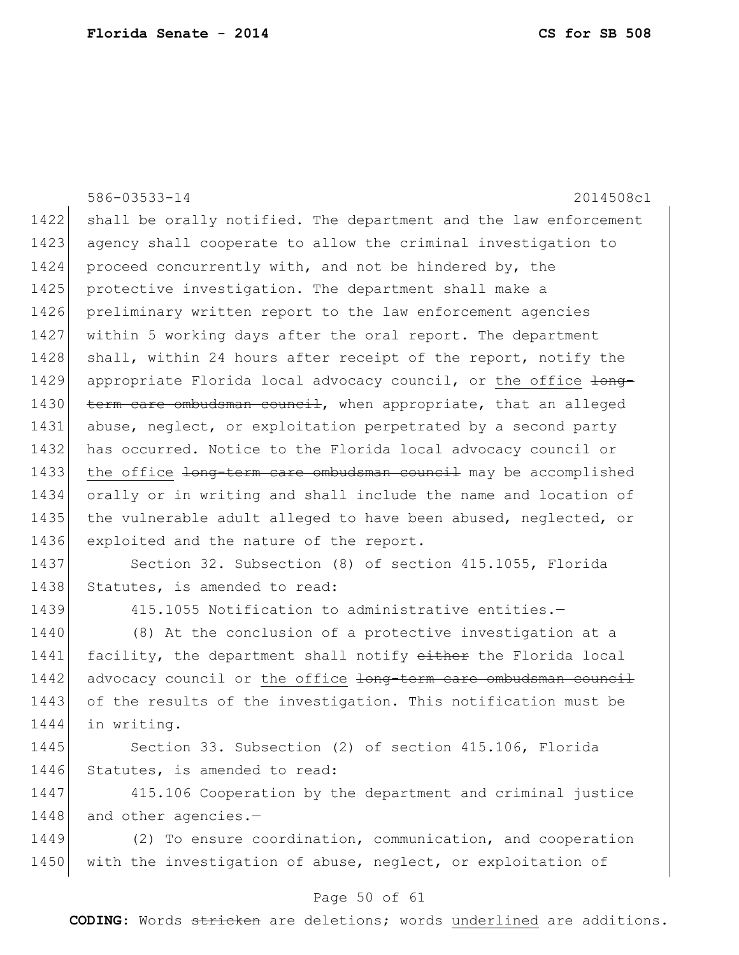|      | 586-03533-14<br>2014508c1                                        |
|------|------------------------------------------------------------------|
| 1422 | shall be orally notified. The department and the law enforcement |
| 1423 | agency shall cooperate to allow the criminal investigation to    |
| 1424 | proceed concurrently with, and not be hindered by, the           |
| 1425 | protective investigation. The department shall make a            |
| 1426 | preliminary written report to the law enforcement agencies       |
| 1427 | within 5 working days after the oral report. The department      |
| 1428 | shall, within 24 hours after receipt of the report, notify the   |
| 1429 | appropriate Florida local advocacy council, or the office long-  |
| 1430 | term care ombudsman council, when appropriate, that an alleged   |
| 1431 | abuse, neglect, or exploitation perpetrated by a second party    |
| 1432 | has occurred. Notice to the Florida local advocacy council or    |
| 1433 | the office long-term care ombudsman council may be accomplished  |
| 1434 | orally or in writing and shall include the name and location of  |
| 1435 | the vulnerable adult alleged to have been abused, neglected, or  |
| 1436 | exploited and the nature of the report.                          |
| 1437 | Section 32. Subsection (8) of section 415.1055, Florida          |
| 1438 | Statutes, is amended to read:                                    |
| 1439 | 415.1055 Notification to administrative entities.-               |
| 1440 | (8) At the conclusion of a protective investigation at a         |
| 1441 | facility, the department shall notify either the Florida local   |
| 1442 | advocacy council or the office long-term care ombudsman council  |
| 1443 | of the results of the investigation. This notification must be   |
| 1444 | in writing.                                                      |
| 1445 | Section 33. Subsection (2) of section 415.106, Florida           |
| 1446 | Statutes, is amended to read:                                    |
| 1447 | 415.106 Cooperation by the department and criminal justice       |
| 1448 | and other agencies.-                                             |
| 1449 | (2) To ensure coordination, communication, and cooperation       |
| 1450 | with the investigation of abuse, neglect, or exploitation of     |

# Page 50 of 61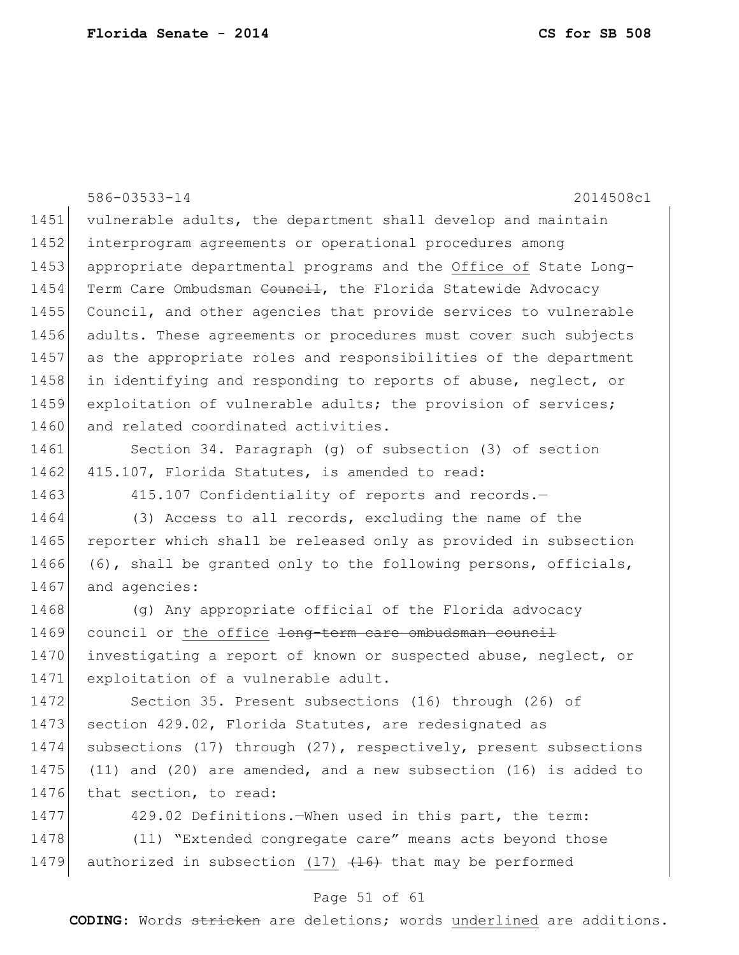586-03533-14 2014508c1 Page 51 of 61 1451 vulnerable adults, the department shall develop and maintain 1452 interprogram agreements or operational procedures among 1453 appropriate departmental programs and the Office of State Long-1454 Term Care Ombudsman <del>Council</del>, the Florida Statewide Advocacy 1455 Council, and other agencies that provide services to vulnerable 1456 adults. These agreements or procedures must cover such subjects 1457 as the appropriate roles and responsibilities of the department 1458 in identifying and responding to reports of abuse, neglect, or 1459 exploitation of vulnerable adults; the provision of services; 1460 and related coordinated activities. 1461 Section 34. Paragraph (g) of subsection (3) of section 1462 415.107, Florida Statutes, is amended to read: 1463 415.107 Confidentiality of reports and records. 1464 (3) Access to all records, excluding the name of the 1465 reporter which shall be released only as provided in subsection 1466 (6), shall be granted only to the following persons, officials, 1467 and agencies: 1468 (g) Any appropriate official of the Florida advocacy 1469 council or the office <del>long-term care ombudsman council</del> 1470 investigating a report of known or suspected abuse, neglect, or 1471 exploitation of a vulnerable adult. 1472 Section 35. Present subsections (16) through (26) of 1473 section 429.02, Florida Statutes, are redesignated as 1474 subsections (17) through (27), respectively, present subsections 1475 (11) and (20) are amended, and a new subsection (16) is added to 1476 that section, to read: 1477 429.02 Definitions.—When used in this part, the term: 1478 (11) "Extended congregate care" means acts beyond those 1479 authorized in subsection  $(17)$   $(16)$  that may be performed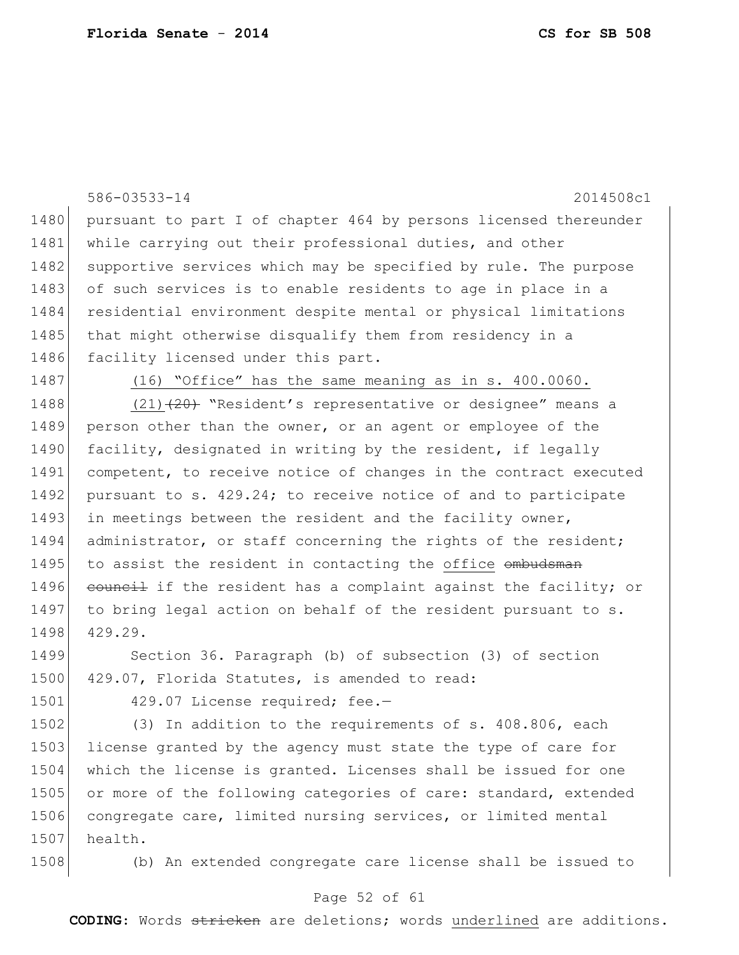|      | 586-03533-14<br>2014508c1                                        |
|------|------------------------------------------------------------------|
| 1480 | pursuant to part I of chapter 464 by persons licensed thereunder |
| 1481 | while carrying out their professional duties, and other          |
| 1482 | supportive services which may be specified by rule. The purpose  |
| 1483 | of such services is to enable residents to age in place in a     |
| 1484 | residential environment despite mental or physical limitations   |
| 1485 | that might otherwise disqualify them from residency in a         |
| 1486 | facility licensed under this part.                               |
| 1487 | $(16)$ "Office" has the same meaning as in s. 400.0060.          |
| 1488 | $(21)$ $(20)$ "Resident's representative or designee" means a    |
| 1489 | person other than the owner, or an agent or employee of the      |
| 1490 | facility, designated in writing by the resident, if legally      |
| 1491 | competent, to receive notice of changes in the contract executed |
| 1492 | pursuant to s. 429.24; to receive notice of and to participate   |
| 1493 | in meetings between the resident and the facility owner,         |
| 1494 | administrator, or staff concerning the rights of the resident;   |
| 1495 | to assist the resident in contacting the office ombudsman        |
| 1496 | council if the resident has a complaint against the facility; or |
| 1497 | to bring legal action on behalf of the resident pursuant to s.   |
| 1498 | 429.29.                                                          |
| 1499 | Section 36. Paragraph (b) of subsection (3) of section           |
| 1500 | 429.07, Florida Statutes, is amended to read:                    |
| 1501 | 429.07 License required; fee.-                                   |
| 1502 | (3) In addition to the requirements of s. 408.806, each          |
| 1503 | license granted by the agency must state the type of care for    |
| 1504 | which the license is granted. Licenses shall be issued for one   |
| 1505 | or more of the following categories of care: standard, extended  |
| 1506 | congregate care, limited nursing services, or limited mental     |
| 1507 | health.                                                          |
| 1508 | (b) An extended congregate care license shall be issued to       |

## Page 52 of 61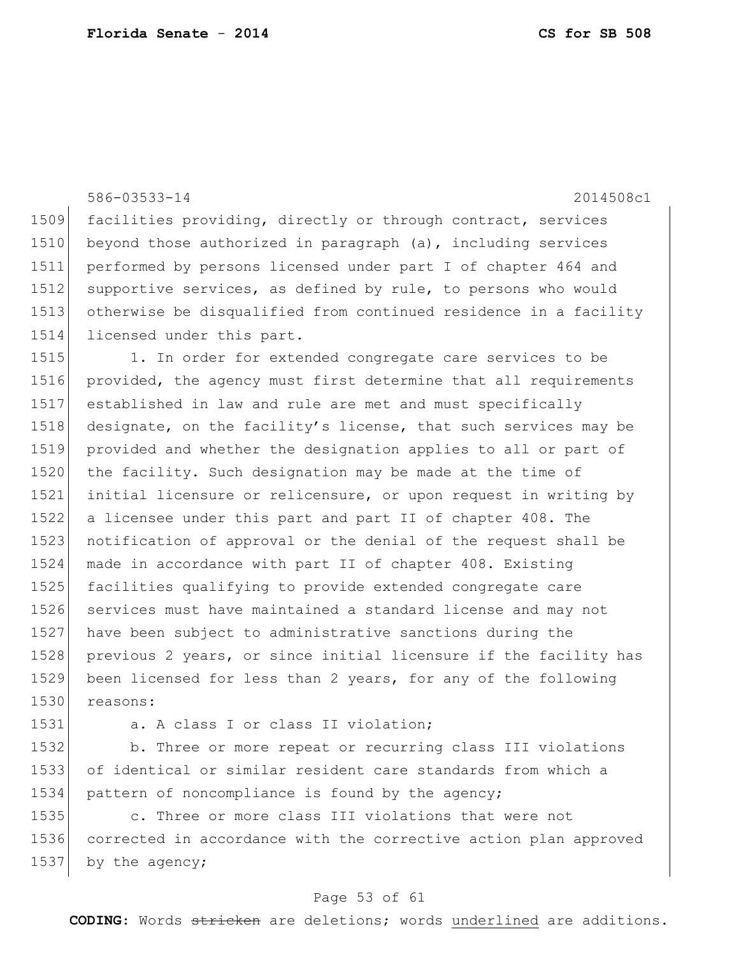586-03533-14 2014508c1 1509 facilities providing, directly or through contract, services 1510 beyond those authorized in paragraph (a), including services 1511 performed by persons licensed under part I of chapter 464 and 1512 supportive services, as defined by rule, to persons who would 1513 otherwise be disqualified from continued residence in a facility 1514 licensed under this part. 1515 1. In order for extended congregate care services to be 1516 provided, the agency must first determine that all requirements 1517 established in law and rule are met and must specifically 1518 designate, on the facility's license, that such services may be 1519 provided and whether the designation applies to all or part of 1520 the facility. Such designation may be made at the time of 1521 initial licensure or relicensure, or upon request in writing by 1522 a licensee under this part and part II of chapter 408. The 1523 notification of approval or the denial of the request shall be

1530 reasons:

1531 a. A class I or class II violation;

1524 made in accordance with part II of chapter 408. Existing 1525 facilities qualifying to provide extended congregate care

1527 have been subject to administrative sanctions during the

1526 services must have maintained a standard license and may not

1532 b. Three or more repeat or recurring class III violations 1533 of identical or similar resident care standards from which a 1534 pattern of noncompliance is found by the agency;

1528 previous 2 years, or since initial licensure if the facility has

1529 been licensed for less than 2 years, for any of the following

1535 c. Three or more class III violations that were not 1536 corrected in accordance with the corrective action plan approved 1537 by the agency;

#### Page 53 of 61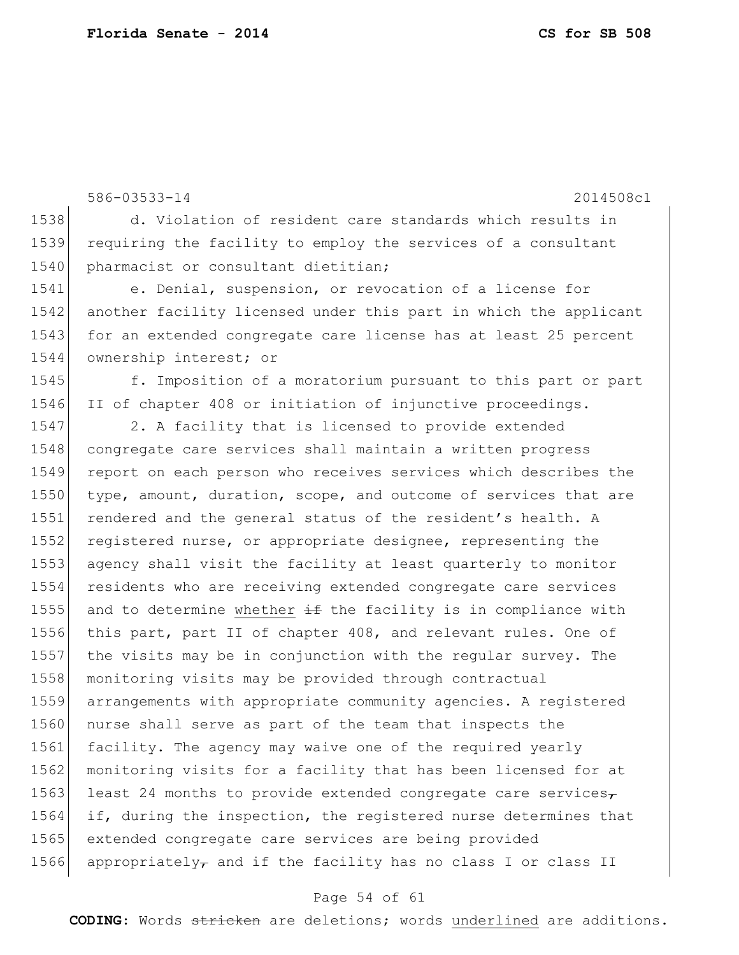586-03533-14 2014508c1 1538 d. Violation of resident care standards which results in 1539 requiring the facility to employ the services of a consultant 1540 pharmacist or consultant dietitian; 1541 e. Denial, suspension, or revocation of a license for 1542 another facility licensed under this part in which the applicant 1543 for an extended congregate care license has at least 25 percent 1544 ownership interest; or 1545 f. Imposition of a moratorium pursuant to this part or part 1546 II of chapter 408 or initiation of injunctive proceedings. 1547 2. A facility that is licensed to provide extended 1548 congregate care services shall maintain a written progress 1549 report on each person who receives services which describes the 1550 type, amount, duration, scope, and outcome of services that are 1551 rendered and the general status of the resident's health. A 1552 registered nurse, or appropriate designee, representing the 1553 agency shall visit the facility at least quarterly to monitor 1554 residents who are receiving extended congregate care services 1555 and to determine whether  $\pm$  the facility is in compliance with 1556 this part, part II of chapter 408, and relevant rules. One of 1557 the visits may be in conjunction with the regular survey. The 1558 monitoring visits may be provided through contractual 1559 arrangements with appropriate community agencies. A registered 1560 nurse shall serve as part of the team that inspects the 1561 facility. The agency may waive one of the required yearly 1562 monitoring visits for a facility that has been licensed for at 1563 least 24 months to provide extended congregate care services $\tau$ 1564 if, during the inspection, the registered nurse determines that 1565 extended congregate care services are being provided 1566 appropriately, and if the facility has no class I or class II

#### Page 54 of 61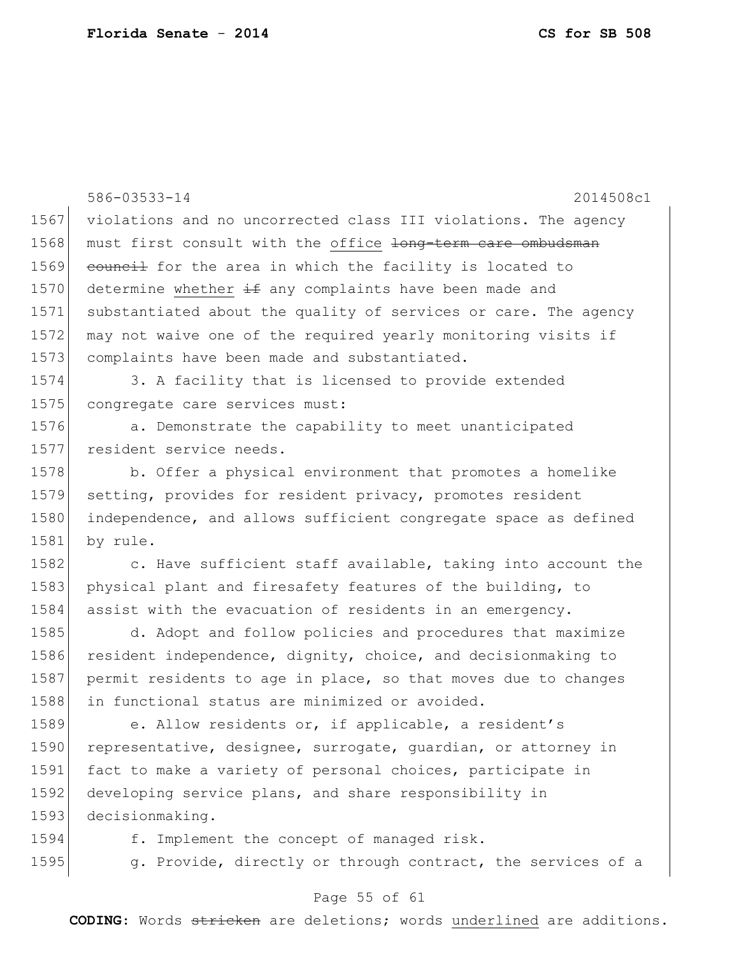|      | 586-03533-14<br>2014508c1                                              |
|------|------------------------------------------------------------------------|
| 1567 | violations and no uncorrected class III violations. The agency         |
| 1568 | must first consult with the office <del>long-term care ombudsman</del> |
| 1569 | eouncil for the area in which the facility is located to               |
| 1570 | determine whether $\pm$ any complaints have been made and              |
| 1571 | substantiated about the quality of services or care. The agency        |
| 1572 | may not waive one of the required yearly monitoring visits if          |
| 1573 | complaints have been made and substantiated.                           |
| 1574 | 3. A facility that is licensed to provide extended                     |
| 1575 | congregate care services must:                                         |
| 1576 | a. Demonstrate the capability to meet unanticipated                    |
| 1577 | resident service needs.                                                |
| 1578 | b. Offer a physical environment that promotes a homelike               |
| 1579 | setting, provides for resident privacy, promotes resident              |
| 1580 | independence, and allows sufficient congregate space as defined        |
| 1581 | by rule.                                                               |
| 1582 | c. Have sufficient staff available, taking into account the            |
| 1583 | physical plant and firesafety features of the building, to             |
| 1584 | assist with the evacuation of residents in an emergency.               |
| 1585 | d. Adopt and follow policies and procedures that maximize              |
| 1586 | resident independence, dignity, choice, and decision making to         |
| 1587 | permit residents to age in place, so that moves due to changes         |
| 1588 | in functional status are minimized or avoided.                         |
| 1589 | e. Allow residents or, if applicable, a resident's                     |
| 1590 | representative, designee, surrogate, quardian, or attorney in          |
| 1591 | fact to make a variety of personal choices, participate in             |
| 1592 | developing service plans, and share responsibility in                  |
| 1593 | decisionmaking.                                                        |
| 1594 | f. Implement the concept of managed risk.                              |
| 1595 | g. Provide, directly or through contract, the services of a            |

# Page 55 of 61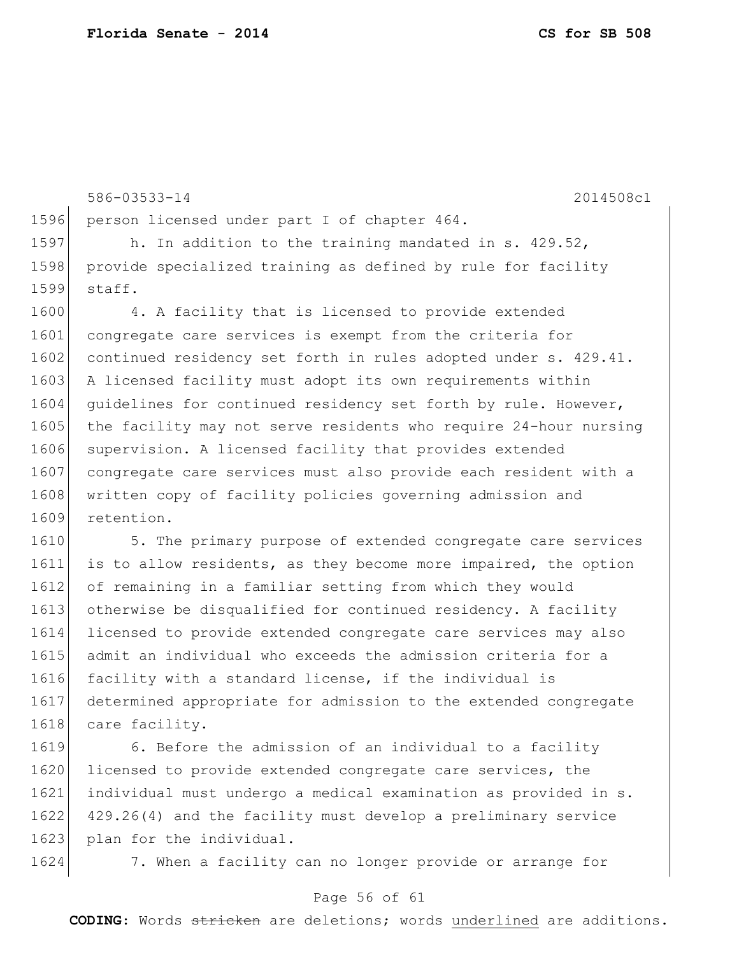586-03533-14 2014508c1 1596 person licensed under part I of chapter 464. 1597 h. In addition to the training mandated in s. 429.52, 1598 provide specialized training as defined by rule for facility 1599 staff. 1600 4. A facility that is licensed to provide extended 1601 congregate care services is exempt from the criteria for 1602 continued residency set forth in rules adopted under s. 429.41. 1603 A licensed facility must adopt its own requirements within 1604 quidelines for continued residency set forth by rule. However, 1605 the facility may not serve residents who require 24-hour nursing 1606 supervision. A licensed facility that provides extended 1607 congregate care services must also provide each resident with a 1608 written copy of facility policies governing admission and 1609 retention. 1610 5. The primary purpose of extended congregate care services 1611 is to allow residents, as they become more impaired, the option 1612 of remaining in a familiar setting from which they would 1613 otherwise be disqualified for continued residency. A facility 1614 licensed to provide extended congregate care services may also 1615 admit an individual who exceeds the admission criteria for a

1616 facility with a standard license, if the individual is 1617 determined appropriate for admission to the extended congregate 1618 care facility.

1619 6. Before the admission of an individual to a facility 1620 licensed to provide extended congregate care services, the 1621 individual must undergo a medical examination as provided in s. 1622 429.26(4) and the facility must develop a preliminary service 1623 plan for the individual.

1624 7. When a facility can no longer provide or arrange for

#### Page 56 of 61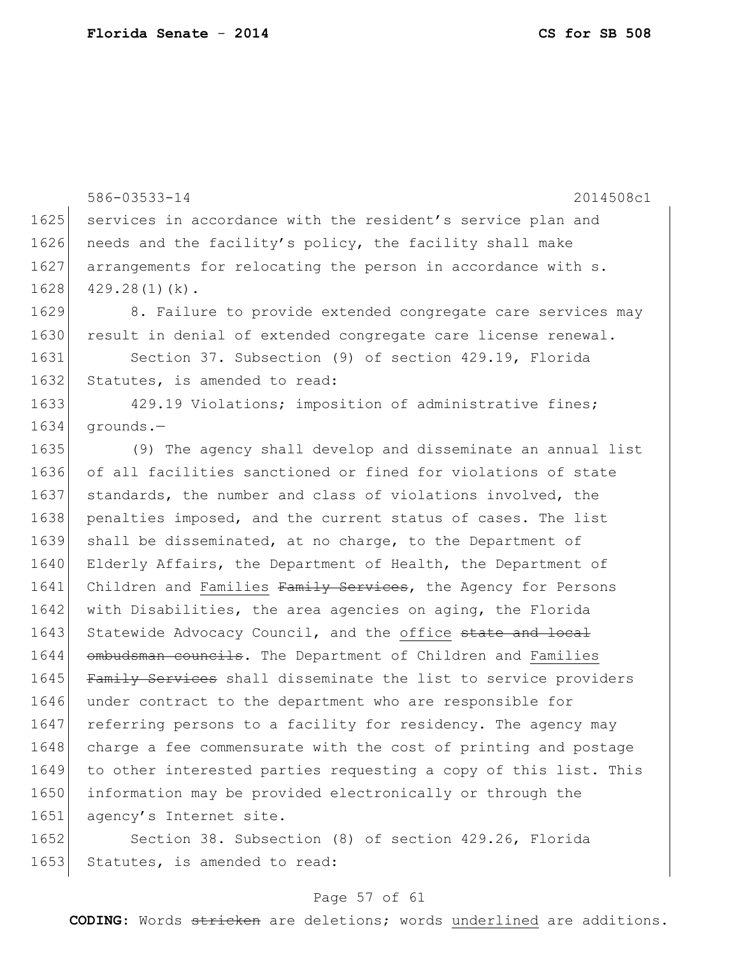586-03533-14 2014508c1 1625 services in accordance with the resident's service plan and 1626 needs and the facility's policy, the facility shall make 1627 arrangements for relocating the person in accordance with s.  $1628$  429.28(1)(k). 1629 8. Failure to provide extended congregate care services may 1630 result in denial of extended congregate care license renewal. 1631 Section 37. Subsection (9) of section 429.19, Florida 1632 Statutes, is amended to read: 1633 429.19 Violations; imposition of administrative fines; 1634 grounds.— 1635 (9) The agency shall develop and disseminate an annual list 1636 of all facilities sanctioned or fined for violations of state 1637 standards, the number and class of violations involved, the 1638 penalties imposed, and the current status of cases. The list 1639 shall be disseminated, at no charge, to the Department of 1640 Elderly Affairs, the Department of Health, the Department of 1641 Children and Families Family Services, the Agency for Persons 1642 with Disabilities, the area agencies on aging, the Florida 1643 Statewide Advocacy Council, and the office state and local 1644 ombudsman councils. The Department of Children and Families 1645 Family Services shall disseminate the list to service providers 1646 under contract to the department who are responsible for 1647 referring persons to a facility for residency. The agency may 1648 charge a fee commensurate with the cost of printing and postage 1649 to other interested parties requesting a copy of this list. This 1650 information may be provided electronically or through the 1651 agency's Internet site. 1652 Section 38. Subsection (8) of section 429.26, Florida

1653 Statutes, is amended to read:

#### Page 57 of 61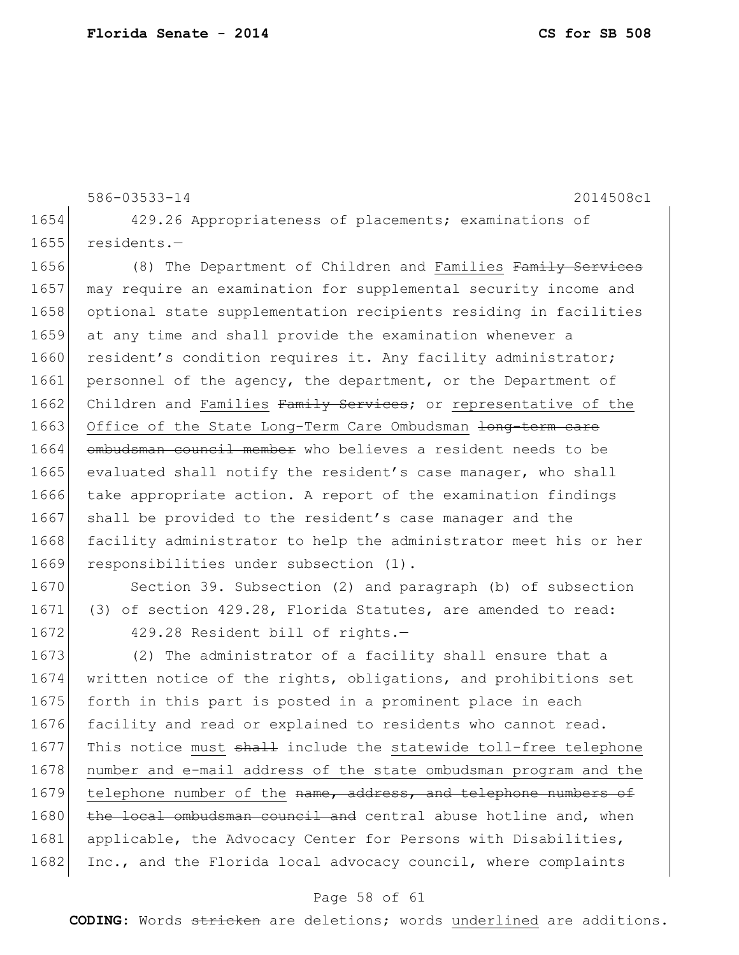586-03533-14 2014508c1 1654 429.26 Appropriateness of placements; examinations of 1655 residents.— 1656 (8) The Department of Children and Families Family Services 1657 may require an examination for supplemental security income and 1658 optional state supplementation recipients residing in facilities 1659 at any time and shall provide the examination whenever a 1660 resident's condition requires it. Any facility administrator; 1661 personnel of the agency, the department, or the Department of 1662 Children and Families Family Services; or representative of the 1663 Office of the State Long-Term Care Ombudsman <del>long-term care</del> 1664 ombudsman council member who believes a resident needs to be 1665 evaluated shall notify the resident's case manager, who shall 1666 take appropriate action. A report of the examination findings 1667 shall be provided to the resident's case manager and the 1668 facility administrator to help the administrator meet his or her 1669 responsibilities under subsection (1).

1670 Section 39. Subsection (2) and paragraph (b) of subsection 1671 (3) of section 429.28, Florida Statutes, are amended to read: 1672 429.28 Resident bill of rights.-

1673 (2) The administrator of a facility shall ensure that a 1674 written notice of the rights, obligations, and prohibitions set 1675 forth in this part is posted in a prominent place in each 1676 facility and read or explained to residents who cannot read. 1677 This notice must shall include the statewide toll-free telephone 1678 | number and e-mail address of the state ombudsman program and the 1679 telephone number of the name, address, and telephone numbers of 1680 the local ombudsman council and central abuse hotline and, when 1681 applicable, the Advocacy Center for Persons with Disabilities, 1682 Inc., and the Florida local advocacy council, where complaints

#### Page 58 of 61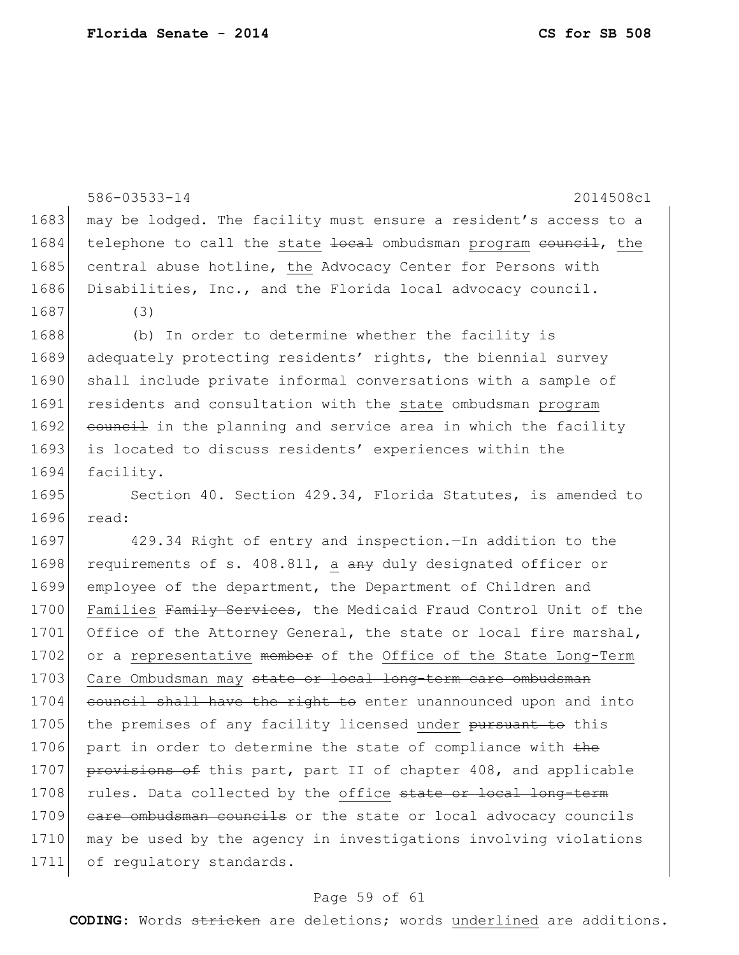|      | 586-03533-14<br>2014508c1                                        |
|------|------------------------------------------------------------------|
| 1683 | may be lodged. The facility must ensure a resident's access to a |
| 1684 | telephone to call the state local ombudsman program council, the |
| 1685 | central abuse hotline, the Advocacy Center for Persons with      |
| 1686 | Disabilities, Inc., and the Florida local advocacy council.      |
| 1687 | (3)                                                              |
| 1688 | (b) In order to determine whether the facility is                |
| 1689 | adequately protecting residents' rights, the biennial survey     |
| 1690 | shall include private informal conversations with a sample of    |
| 1691 | residents and consultation with the state ombudsman program      |
| 1692 | council in the planning and service area in which the facility   |
| 1693 | is located to discuss residents' experiences within the          |
| 1694 | facility.                                                        |
| 1695 | Section 40. Section 429.34, Florida Statutes, is amended to      |
| 1696 | read:                                                            |
| 1697 | 429.34 Right of entry and inspection. - In addition to the       |
| 1698 | requirements of s. 408.811, a any duly designated officer or     |
| 1699 | employee of the department, the Department of Children and       |
| 1700 | Families Family Services, the Medicaid Fraud Control Unit of the |
| 1701 | Office of the Attorney General, the state or local fire marshal, |
| 1702 | or a representative member of the Office of the State Long-Term  |
| 1703 | Care Ombudsman may state or local long-term care ombudsman       |
| 1704 | council shall have the right to enter unannounced upon and into  |
| 1705 | the premises of any facility licensed under pursuant to this     |
| 1706 | part in order to determine the state of compliance with the      |
| 1707 | provisions of this part, part II of chapter 408, and applicable  |
| 1708 | rules. Data collected by the office state or local long-term     |
| 1709 | eare ombudsman councils or the state or local advocacy councils  |
| 1710 | may be used by the agency in investigations involving violations |
| 1711 | of regulatory standards.                                         |

# Page 59 of 61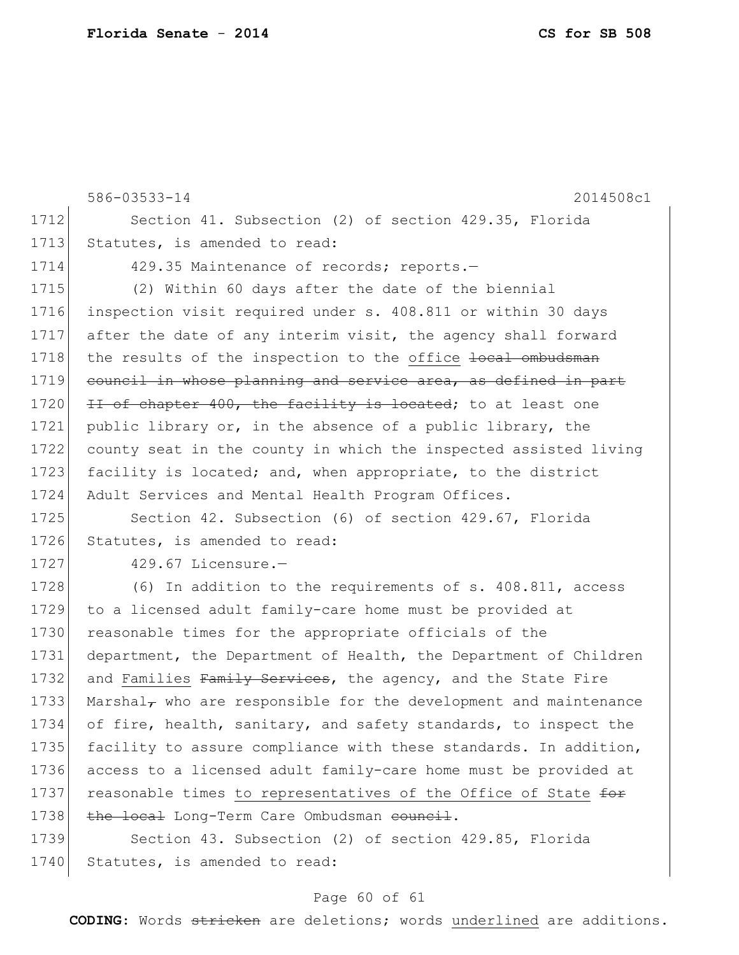586-03533-14 2014508c1 1712 Section 41. Subsection (2) of section 429.35, Florida 1713 Statutes, is amended to read: 1714 429.35 Maintenance of records; reports. 1715 (2) Within 60 days after the date of the biennial 1716 inspection visit required under s. 408.811 or within 30 days 1717 after the date of any interim visit, the agency shall forward 1718 the results of the inspection to the office <del>local ombudsman</del> 1719 council in whose planning and service area, as defined in part 1720 II of chapter  $400$ , the facility is located; to at least one 1721 public library or, in the absence of a public library, the 1722 county seat in the county in which the inspected assisted living 1723 facility is located; and, when appropriate, to the district 1724 Adult Services and Mental Health Program Offices. 1725 Section 42. Subsection (6) of section 429.67, Florida 1726 Statutes, is amended to read: 1727 429.67 Licensure.-1728 (6) In addition to the requirements of s. 408.811, access 1729 to a licensed adult family-care home must be provided at 1730 reasonable times for the appropriate officials of the 1731 department, the Department of Health, the Department of Children 1732 and Families Family Services, the agency, and the State Fire 1733 Marshal<sub> $\tau$ </sub> who are responsible for the development and maintenance 1734 of fire, health, sanitary, and safety standards, to inspect the 1735 facility to assure compliance with these standards. In addition, 1736 access to a licensed adult family-care home must be provided at 1737 reasonable times to representatives of the Office of State for 1738 the local Long-Term Care Ombudsman council. 1739 Section 43. Subsection (2) of section 429.85, Florida 1740 Statutes, is amended to read:

#### Page 60 of 61